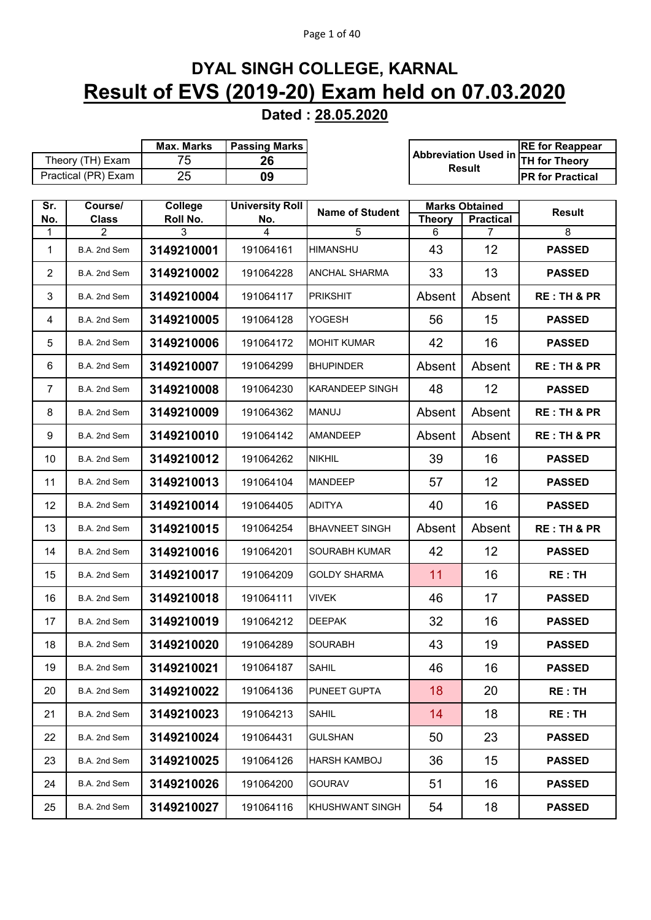## Page 1 of 40

## **DYAL SINGH COLLEGE, KARNAL Result of EVS (2019-20) Exam held on 07.03.2020**

**Dated : 28.05.2020**

|                |                     | Max. Marks | <b>Passing Marks</b>   |                        |               |                             | <b>RE</b> for Reappear  |
|----------------|---------------------|------------|------------------------|------------------------|---------------|-----------------------------|-------------------------|
|                | Theory (TH) Exam    | 75         | 26                     |                        |               | <b>Abbreviation Used in</b> | <b>TH for Theory</b>    |
|                | Practical (PR) Exam | 25         | 09                     |                        |               | <b>Result</b>               | <b>PR for Practical</b> |
|                |                     |            |                        |                        |               |                             |                         |
| Sr.            | Course/             | College    | <b>University Roll</b> |                        |               | <b>Marks Obtained</b>       |                         |
| No.            | <b>Class</b>        | Roll No.   | No.                    | <b>Name of Student</b> | <b>Theory</b> | <b>Practical</b>            | <b>Result</b>           |
| 1              | 2                   | 3          | 4                      | 5                      | 6             | $\overline{7}$              | 8                       |
| 1              | B.A. 2nd Sem        | 3149210001 | 191064161              | <b>HIMANSHU</b>        | 43            | 12                          | <b>PASSED</b>           |
| $\overline{2}$ | B.A. 2nd Sem        | 3149210002 | 191064228              | ANCHAL SHARMA          | 33            | 13                          | <b>PASSED</b>           |
| 3              | B.A. 2nd Sem        | 3149210004 | 191064117              | <b>PRIKSHIT</b>        | Absent        | Absent                      | <b>RE: TH &amp; PR</b>  |
| 4              | B.A. 2nd Sem        | 3149210005 | 191064128              | <b>YOGESH</b>          | 56            | 15                          | <b>PASSED</b>           |
| 5              | B.A. 2nd Sem        | 3149210006 | 191064172              | <b>MOHIT KUMAR</b>     | 42            | 16                          | <b>PASSED</b>           |
| 6              | B.A. 2nd Sem        | 3149210007 | 191064299              | <b>BHUPINDER</b>       | Absent        | Absent                      | <b>RE: TH &amp; PR</b>  |
| $\overline{7}$ | B.A. 2nd Sem        | 3149210008 | 191064230              | <b>KARANDEEP SINGH</b> | 48            | 12                          | <b>PASSED</b>           |
| 8              | B.A. 2nd Sem        | 3149210009 | 191064362              | <b>MANUJ</b>           | Absent        | Absent                      | <b>RE: TH &amp; PR</b>  |
| 9              | B.A. 2nd Sem        | 3149210010 | 191064142              | <b>AMANDEEP</b>        | Absent        | Absent                      | <b>RE: TH &amp; PR</b>  |
| 10             | B.A. 2nd Sem        | 3149210012 | 191064262              | <b>NIKHIL</b>          | 39            | 16                          | <b>PASSED</b>           |
| 11             | B.A. 2nd Sem        | 3149210013 | 191064104              | <b>MANDEEP</b>         | 57            | 12                          | <b>PASSED</b>           |
| 12             | B.A. 2nd Sem        | 3149210014 | 191064405              | <b>ADITYA</b>          | 40            | 16                          | <b>PASSED</b>           |
| 13             | B.A. 2nd Sem        | 3149210015 | 191064254              | <b>BHAVNEET SINGH</b>  | Absent        | Absent                      | <b>RE: TH &amp; PR</b>  |
| 14             | B.A. 2nd Sem        | 3149210016 | 191064201              | SOURABH KUMAR          | 42            | 12                          | <b>PASSED</b>           |
| 15             | B.A. 2nd Sem        | 3149210017 | 191064209              | <b>GOLDY SHARMA</b>    | 11            | 16                          | <b>RE:TH</b>            |
| 16             | B.A. 2nd Sem        | 3149210018 | 191064111              | <b>VIVEK</b>           | 46            | 17                          | <b>PASSED</b>           |
| 17             | B.A. 2nd Sem        | 3149210019 | 191064212              | <b>DEEPAK</b>          | 32            | 16                          | <b>PASSED</b>           |
| 18             | B.A. 2nd Sem        | 3149210020 | 191064289              | <b>SOURABH</b>         | 43            | 19                          | <b>PASSED</b>           |
| 19             | B.A. 2nd Sem        | 3149210021 | 191064187              | <b>SAHIL</b>           | 46            | 16                          | <b>PASSED</b>           |
| 20             | B.A. 2nd Sem        | 3149210022 | 191064136              | PUNEET GUPTA           | 18            | 20                          | RE: TH                  |
| 21             | B.A. 2nd Sem        | 3149210023 | 191064213              | SAHIL                  | 14            | 18                          | RE: TH                  |
| 22             | B.A. 2nd Sem        | 3149210024 | 191064431              | <b>GULSHAN</b>         | 50            | 23                          | <b>PASSED</b>           |
| 23             | B.A. 2nd Sem        | 3149210025 | 191064126              | <b>HARSH KAMBOJ</b>    | 36            | 15                          | <b>PASSED</b>           |
| 24             | B.A. 2nd Sem        | 3149210026 | 191064200              | <b>GOURAV</b>          | 51            | 16                          | <b>PASSED</b>           |
| 25             | B.A. 2nd Sem        | 3149210027 | 191064116              | KHUSHWANT SINGH        | 54            | 18                          | <b>PASSED</b>           |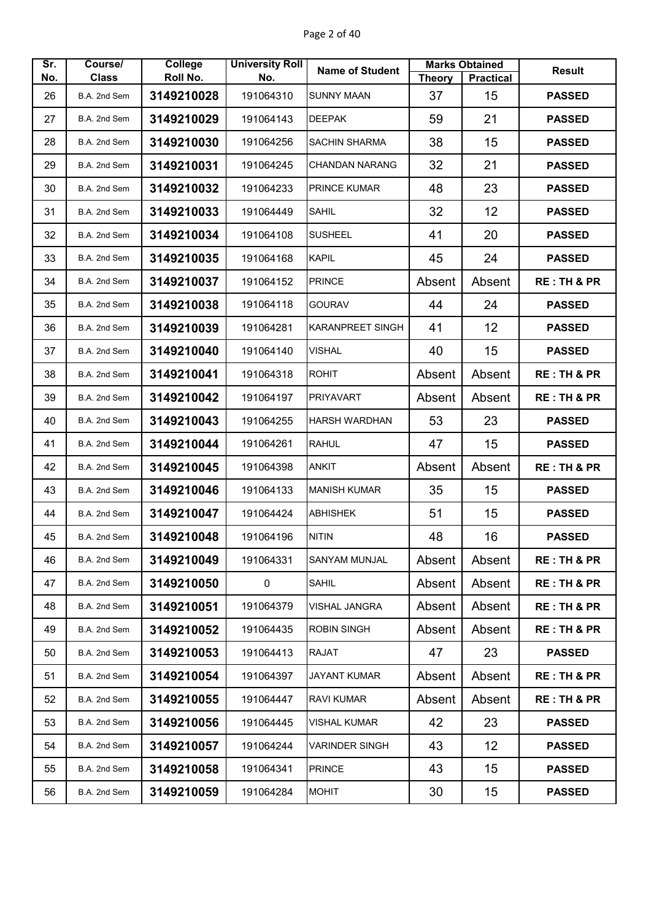| Sr. | Course/      | College    | <b>University Roll</b> | <b>Name of Student</b>  |               | <b>Marks Obtained</b> | <b>Result</b>          |
|-----|--------------|------------|------------------------|-------------------------|---------------|-----------------------|------------------------|
| No. | <b>Class</b> | Roll No.   | No.                    |                         | <b>Theory</b> | <b>Practical</b>      |                        |
| 26  | B.A. 2nd Sem | 3149210028 | 191064310              | <b>SUNNY MAAN</b>       | 37            | 15                    | <b>PASSED</b>          |
| 27  | B.A. 2nd Sem | 3149210029 | 191064143              | <b>DEEPAK</b>           | 59            | 21                    | <b>PASSED</b>          |
| 28  | B.A. 2nd Sem | 3149210030 | 191064256              | <b>SACHIN SHARMA</b>    | 38            | 15                    | <b>PASSED</b>          |
| 29  | B.A. 2nd Sem | 3149210031 | 191064245              | <b>CHANDAN NARANG</b>   | 32            | 21                    | <b>PASSED</b>          |
| 30  | B.A. 2nd Sem | 3149210032 | 191064233              | <b>PRINCE KUMAR</b>     | 48            | 23                    | <b>PASSED</b>          |
| 31  | B.A. 2nd Sem | 3149210033 | 191064449              | <b>SAHIL</b>            | 32            | 12                    | <b>PASSED</b>          |
| 32  | B.A. 2nd Sem | 3149210034 | 191064108              | <b>SUSHEEL</b>          | 41            | 20                    | <b>PASSED</b>          |
| 33  | B.A. 2nd Sem | 3149210035 | 191064168              | <b>KAPIL</b>            | 45            | 24                    | <b>PASSED</b>          |
| 34  | B.A. 2nd Sem | 3149210037 | 191064152              | <b>PRINCE</b>           | Absent        | Absent                | <b>RE: TH &amp; PR</b> |
| 35  | B.A. 2nd Sem | 3149210038 | 191064118              | <b>GOURAV</b>           | 44            | 24                    | <b>PASSED</b>          |
| 36  | B.A. 2nd Sem | 3149210039 | 191064281              | <b>KARANPREET SINGH</b> | 41            | 12                    | <b>PASSED</b>          |
| 37  | B.A. 2nd Sem | 3149210040 | 191064140              | <b>VISHAL</b>           | 40            | 15                    | <b>PASSED</b>          |
| 38  | B.A. 2nd Sem | 3149210041 | 191064318              | <b>ROHIT</b>            | Absent        | Absent                | <b>RE: TH &amp; PR</b> |
| 39  | B.A. 2nd Sem | 3149210042 | 191064197              | <b>PRIYAVART</b>        | Absent        | Absent                | <b>RE: TH &amp; PR</b> |
| 40  | B.A. 2nd Sem | 3149210043 | 191064255              | <b>HARSH WARDHAN</b>    | 53            | 23                    | <b>PASSED</b>          |
| 41  | B.A. 2nd Sem | 3149210044 | 191064261              | <b>RAHUL</b>            | 47            | 15                    | <b>PASSED</b>          |
| 42  | B.A. 2nd Sem | 3149210045 | 191064398              | <b>ANKIT</b>            | Absent        | Absent                | <b>RE: TH &amp; PR</b> |
| 43  | B.A. 2nd Sem | 3149210046 | 191064133              | <b>MANISH KUMAR</b>     | 35            | 15                    | <b>PASSED</b>          |
| 44  | B.A. 2nd Sem | 3149210047 | 191064424              | <b>ABHISHEK</b>         | 51            | 15                    | <b>PASSED</b>          |
| 45  | B.A. 2nd Sem | 3149210048 | 191064196              | <b>NITIN</b>            | 48            | 16                    | <b>PASSED</b>          |
| 46  | B.A. 2nd Sem | 3149210049 | 191064331              | <b>SANYAM MUNJAL</b>    | Absent        | Absent                | <b>RE: TH &amp; PR</b> |
| 47  | B.A. 2nd Sem | 3149210050 | 0                      | SAHIL                   | Absent        | Absent                | <b>RE: TH &amp; PR</b> |
| 48  | B.A. 2nd Sem | 3149210051 | 191064379              | VISHAL JANGRA           | Absent        | Absent                | <b>RE: TH &amp; PR</b> |
| 49  | B.A. 2nd Sem | 3149210052 | 191064435              | <b>ROBIN SINGH</b>      | Absent        | Absent                | <b>RE: TH &amp; PR</b> |
| 50  | B.A. 2nd Sem | 3149210053 | 191064413              | <b>RAJAT</b>            | 47            | 23                    | <b>PASSED</b>          |
| 51  | B.A. 2nd Sem | 3149210054 | 191064397              | JAYANT KUMAR            | Absent        | Absent                | <b>RE: TH &amp; PR</b> |
| 52  | B.A. 2nd Sem | 3149210055 | 191064447              | <b>RAVI KUMAR</b>       | Absent        | Absent                | <b>RE: TH &amp; PR</b> |
| 53  | B.A. 2nd Sem | 3149210056 | 191064445              | VISHAL KUMAR            | 42            | 23                    | <b>PASSED</b>          |
| 54  | B.A. 2nd Sem | 3149210057 | 191064244              | VARINDER SINGH          | 43            | 12                    | <b>PASSED</b>          |
| 55  | B.A. 2nd Sem | 3149210058 | 191064341              | <b>PRINCE</b>           | 43            | 15                    | <b>PASSED</b>          |
| 56  | B.A. 2nd Sem | 3149210059 | 191064284              | <b>MOHIT</b>            | 30            | 15                    | <b>PASSED</b>          |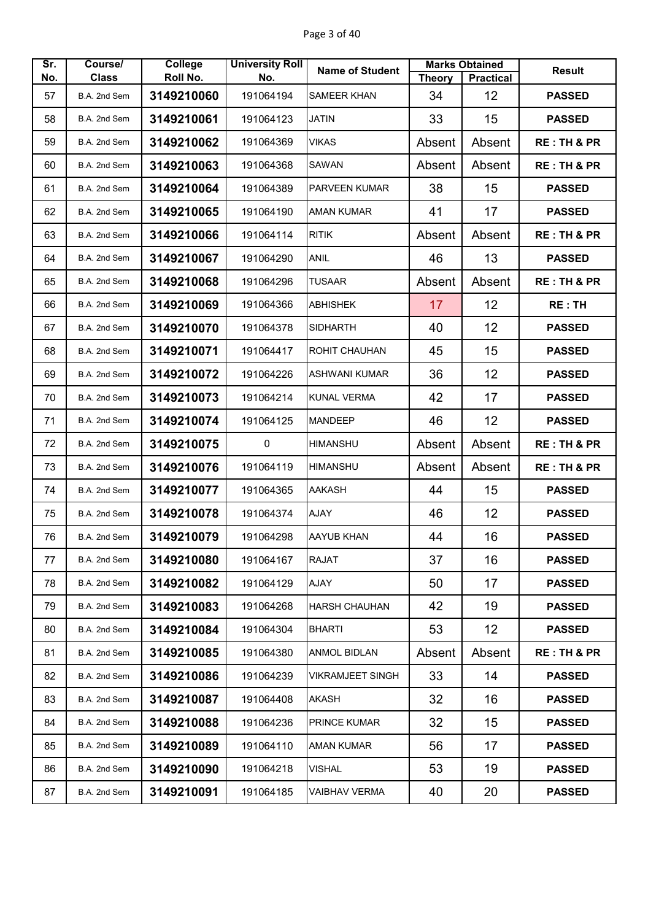| Sr. | Course/      | <b>College</b> | <b>University Roll</b> | <b>Name of Student</b>  |               | <b>Marks Obtained</b> | <b>Result</b>          |
|-----|--------------|----------------|------------------------|-------------------------|---------------|-----------------------|------------------------|
| No. | <b>Class</b> | Roll No.       | No.                    |                         | <b>Theory</b> | <b>Practical</b>      |                        |
| 57  | B.A. 2nd Sem | 3149210060     | 191064194              | <b>SAMEER KHAN</b>      | 34            | 12                    | <b>PASSED</b>          |
| 58  | B.A. 2nd Sem | 3149210061     | 191064123              | <b>JATIN</b>            | 33            | 15                    | <b>PASSED</b>          |
| 59  | B.A. 2nd Sem | 3149210062     | 191064369              | <b>VIKAS</b>            | Absent        | Absent                | <b>RE: TH &amp; PR</b> |
| 60  | B.A. 2nd Sem | 3149210063     | 191064368              | <b>SAWAN</b>            | Absent        | Absent                | <b>RE: TH &amp; PR</b> |
| 61  | B.A. 2nd Sem | 3149210064     | 191064389              | <b>PARVEEN KUMAR</b>    | 38            | 15                    | <b>PASSED</b>          |
| 62  | B.A. 2nd Sem | 3149210065     | 191064190              | <b>AMAN KUMAR</b>       | 41            | 17                    | <b>PASSED</b>          |
| 63  | B.A. 2nd Sem | 3149210066     | 191064114              | <b>RITIK</b>            | Absent        | Absent                | <b>RE: TH &amp; PR</b> |
| 64  | B.A. 2nd Sem | 3149210067     | 191064290              | <b>ANIL</b>             | 46            | 13                    | <b>PASSED</b>          |
| 65  | B.A. 2nd Sem | 3149210068     | 191064296              | <b>TUSAAR</b>           | Absent        | Absent                | <b>RE: TH &amp; PR</b> |
| 66  | B.A. 2nd Sem | 3149210069     | 191064366              | <b>ABHISHEK</b>         | 17            | 12                    | <b>RE: TH</b>          |
| 67  | B.A. 2nd Sem | 3149210070     | 191064378              | <b>SIDHARTH</b>         | 40            | 12                    | <b>PASSED</b>          |
| 68  | B.A. 2nd Sem | 3149210071     | 191064417              | <b>ROHIT CHAUHAN</b>    | 45            | 15                    | <b>PASSED</b>          |
| 69  | B.A. 2nd Sem | 3149210072     | 191064226              | <b>ASHWANI KUMAR</b>    | 36            | 12                    | <b>PASSED</b>          |
| 70  | B.A. 2nd Sem | 3149210073     | 191064214              | <b>KUNAL VERMA</b>      | 42            | 17                    | <b>PASSED</b>          |
| 71  | B.A. 2nd Sem | 3149210074     | 191064125              | <b>MANDEEP</b>          | 46            | 12                    | <b>PASSED</b>          |
| 72  | B.A. 2nd Sem | 3149210075     | $\mathbf 0$            | <b>HIMANSHU</b>         | Absent        | Absent                | <b>RE: TH &amp; PR</b> |
| 73  | B.A. 2nd Sem | 3149210076     | 191064119              | <b>HIMANSHU</b>         | Absent        | Absent                | <b>RE: TH &amp; PR</b> |
| 74  | B.A. 2nd Sem | 3149210077     | 191064365              | <b>AAKASH</b>           | 44            | 15                    | <b>PASSED</b>          |
| 75  | B.A. 2nd Sem | 3149210078     | 191064374              | <b>AJAY</b>             | 46            | 12                    | <b>PASSED</b>          |
| 76  | B.A. 2nd Sem | 3149210079     | 191064298              | AAYUB KHAN              | 44            | 16                    | <b>PASSED</b>          |
| 77  | B.A. 2nd Sem | 3149210080     | 191064167              | <b>RAJAT</b>            | 37            | 16                    | <b>PASSED</b>          |
| 78  | B.A. 2nd Sem | 3149210082     | 191064129              | AJAY                    | 50            | 17                    | <b>PASSED</b>          |
| 79  | B.A. 2nd Sem | 3149210083     | 191064268              | <b>HARSH CHAUHAN</b>    | 42            | 19                    | <b>PASSED</b>          |
| 80  | B.A. 2nd Sem | 3149210084     | 191064304              | <b>BHARTI</b>           | 53            | 12 <sub>2</sub>       | <b>PASSED</b>          |
| 81  | B.A. 2nd Sem | 3149210085     | 191064380              | <b>ANMOL BIDLAN</b>     | Absent        | Absent                | <b>RE: TH &amp; PR</b> |
| 82  | B.A. 2nd Sem | 3149210086     | 191064239              | <b>VIKRAMJEET SINGH</b> | 33            | 14                    | <b>PASSED</b>          |
| 83  | B.A. 2nd Sem | 3149210087     | 191064408              | <b>AKASH</b>            | 32            | 16                    | <b>PASSED</b>          |
| 84  | B.A. 2nd Sem | 3149210088     | 191064236              | <b>PRINCE KUMAR</b>     | 32            | 15                    | <b>PASSED</b>          |
| 85  | B.A. 2nd Sem | 3149210089     | 191064110              | AMAN KUMAR              | 56            | 17                    | <b>PASSED</b>          |
| 86  | B.A. 2nd Sem | 3149210090     | 191064218              | VISHAL                  | 53            | 19                    | <b>PASSED</b>          |
| 87  | B.A. 2nd Sem | 3149210091     | 191064185              | <b>VAIBHAV VERMA</b>    | 40            | 20                    | <b>PASSED</b>          |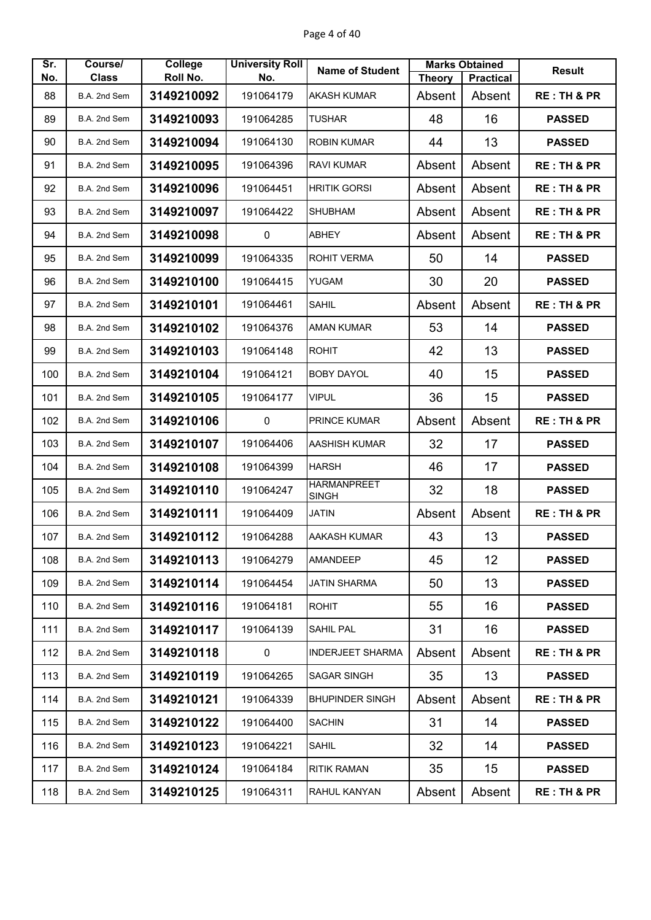| Sr. | Course/      | <b>College</b> | <b>University Roll</b> | <b>Name of Student</b>             |               | <b>Marks Obtained</b> | <b>Result</b>          |
|-----|--------------|----------------|------------------------|------------------------------------|---------------|-----------------------|------------------------|
| No. | <b>Class</b> | Roll No.       | No.                    |                                    | <b>Theory</b> | <b>Practical</b>      |                        |
| 88  | B.A. 2nd Sem | 3149210092     | 191064179              | <b>AKASH KUMAR</b>                 | Absent        | Absent                | <b>RE: TH &amp; PR</b> |
| 89  | B.A. 2nd Sem | 3149210093     | 191064285              | <b>TUSHAR</b>                      | 48            | 16                    | <b>PASSED</b>          |
| 90  | B.A. 2nd Sem | 3149210094     | 191064130              | <b>ROBIN KUMAR</b>                 | 44            | 13                    | <b>PASSED</b>          |
| 91  | B.A. 2nd Sem | 3149210095     | 191064396              | <b>RAVI KUMAR</b>                  | Absent        | Absent                | <b>RE: TH &amp; PR</b> |
| 92  | B.A. 2nd Sem | 3149210096     | 191064451              | <b>HRITIK GORSI</b>                | Absent        | Absent                | <b>RE: TH &amp; PR</b> |
| 93  | B.A. 2nd Sem | 3149210097     | 191064422              | <b>SHUBHAM</b>                     | Absent        | Absent                | <b>RE: TH &amp; PR</b> |
| 94  | B.A. 2nd Sem | 3149210098     | $\mathbf 0$            | <b>ABHEY</b>                       | Absent        | Absent                | <b>RE: TH &amp; PR</b> |
| 95  | B.A. 2nd Sem | 3149210099     | 191064335              | <b>ROHIT VERMA</b>                 | 50            | 14                    | <b>PASSED</b>          |
| 96  | B.A. 2nd Sem | 3149210100     | 191064415              | YUGAM                              | 30            | 20                    | <b>PASSED</b>          |
| 97  | B.A. 2nd Sem | 3149210101     | 191064461              | <b>SAHIL</b>                       | Absent        | Absent                | <b>RE: TH &amp; PR</b> |
| 98  | B.A. 2nd Sem | 3149210102     | 191064376              | <b>AMAN KUMAR</b>                  | 53            | 14                    | <b>PASSED</b>          |
| 99  | B.A. 2nd Sem | 3149210103     | 191064148              | <b>ROHIT</b>                       | 42            | 13                    | <b>PASSED</b>          |
| 100 | B.A. 2nd Sem | 3149210104     | 191064121              | <b>BOBY DAYOL</b>                  | 40            | 15                    | <b>PASSED</b>          |
| 101 | B.A. 2nd Sem | 3149210105     | 191064177              | <b>VIPUL</b>                       | 36            | 15                    | <b>PASSED</b>          |
| 102 | B.A. 2nd Sem | 3149210106     | 0                      | PRINCE KUMAR                       | Absent        | Absent                | <b>RE: TH &amp; PR</b> |
| 103 | B.A. 2nd Sem | 3149210107     | 191064406              | <b>AASHISH KUMAR</b>               | 32            | 17                    | <b>PASSED</b>          |
| 104 | B.A. 2nd Sem | 3149210108     | 191064399              | <b>HARSH</b>                       | 46            | 17                    | <b>PASSED</b>          |
| 105 | B.A. 2nd Sem | 3149210110     | 191064247              | <b>HARMANPREET</b><br><b>SINGH</b> | 32            | 18                    | <b>PASSED</b>          |
| 106 | B.A. 2nd Sem | 3149210111     | 191064409              | <b>JATIN</b>                       | Absent        | Absent                | <b>RE: TH &amp; PR</b> |
| 107 | B.A. 2nd Sem | 3149210112     | 191064288              | AAKASH KUMAR                       | 43            | 13                    | <b>PASSED</b>          |
| 108 | B.A. 2nd Sem | 3149210113     | 191064279              | <b>AMANDEEP</b>                    | 45            | 12                    | <b>PASSED</b>          |
| 109 | B.A. 2nd Sem | 3149210114     | 191064454              | <b>JATIN SHARMA</b>                | 50            | 13                    | <b>PASSED</b>          |
| 110 | B.A. 2nd Sem | 3149210116     | 191064181              | <b>ROHIT</b>                       | 55            | 16                    | <b>PASSED</b>          |
| 111 | B.A. 2nd Sem | 3149210117     | 191064139              | SAHIL PAL                          | 31            | 16                    | <b>PASSED</b>          |
| 112 | B.A. 2nd Sem | 3149210118     | $\mathbf 0$            | <b>INDERJEET SHARMA</b>            | Absent        | Absent                | <b>RE: TH &amp; PR</b> |
| 113 | B.A. 2nd Sem | 3149210119     | 191064265              | <b>SAGAR SINGH</b>                 | 35            | 13                    | <b>PASSED</b>          |
| 114 | B.A. 2nd Sem | 3149210121     | 191064339              | <b>BHUPINDER SINGH</b>             | Absent        | Absent                | <b>RE: TH &amp; PR</b> |
| 115 | B.A. 2nd Sem | 3149210122     | 191064400              | <b>SACHIN</b>                      | 31            | 14                    | <b>PASSED</b>          |
| 116 | B.A. 2nd Sem | 3149210123     | 191064221              | <b>SAHIL</b>                       | 32            | 14                    | <b>PASSED</b>          |
| 117 | B.A. 2nd Sem | 3149210124     | 191064184              | <b>RITIK RAMAN</b>                 | 35            | 15                    | <b>PASSED</b>          |
| 118 | B.A. 2nd Sem | 3149210125     | 191064311              | RAHUL KANYAN                       | Absent        | Absent                | <b>RE: TH &amp; PR</b> |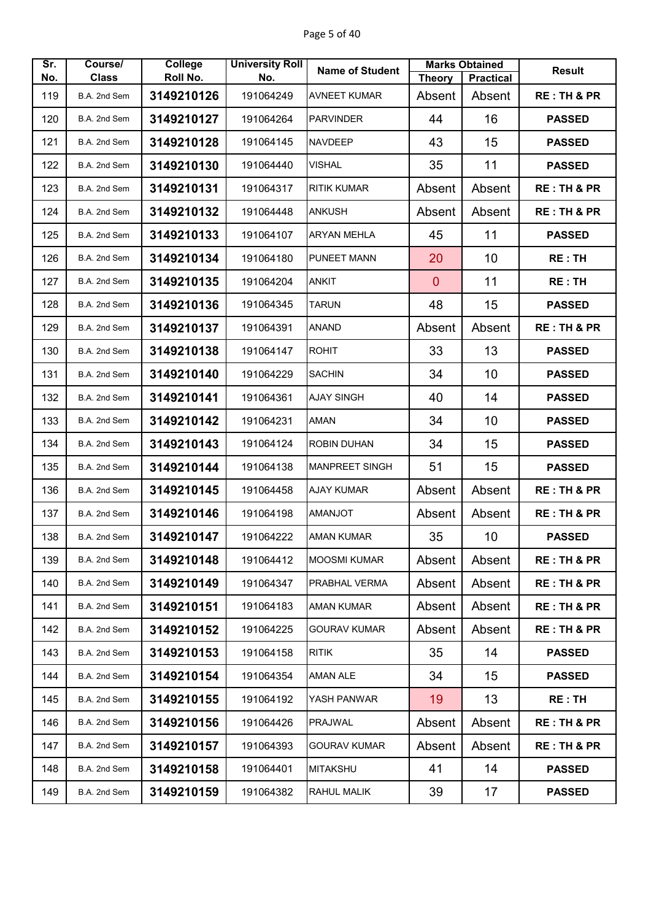| Sr.        | Course/                      | College                | <b>University Roll</b> | <b>Name of Student</b> |                         | <b>Marks Obtained</b>      | <b>Result</b>          |
|------------|------------------------------|------------------------|------------------------|------------------------|-------------------------|----------------------------|------------------------|
| No.<br>119 | <b>Class</b><br>B.A. 2nd Sem | Roll No.<br>3149210126 | No.<br>191064249       | <b>AVNEET KUMAR</b>    | <b>Theory</b><br>Absent | <b>Practical</b><br>Absent | <b>RE: TH &amp; PR</b> |
|            |                              |                        |                        |                        |                         |                            |                        |
| 120        | B.A. 2nd Sem                 | 3149210127             | 191064264              | <b>PARVINDER</b>       | 44                      | 16                         | <b>PASSED</b>          |
| 121        | B.A. 2nd Sem                 | 3149210128             | 191064145              | <b>NAVDEEP</b>         | 43                      | 15                         | <b>PASSED</b>          |
| 122        | B.A. 2nd Sem                 | 3149210130             | 191064440              | <b>VISHAL</b>          | 35                      | 11                         | <b>PASSED</b>          |
| 123        | B.A. 2nd Sem                 | 3149210131             | 191064317              | <b>RITIK KUMAR</b>     | Absent                  | Absent                     | <b>RE: TH &amp; PR</b> |
| 124        | B.A. 2nd Sem                 | 3149210132             | 191064448              | <b>ANKUSH</b>          | Absent                  | Absent                     | <b>RE: TH &amp; PR</b> |
| 125        | B.A. 2nd Sem                 | 3149210133             | 191064107              | <b>ARYAN MEHLA</b>     | 45                      | 11                         | <b>PASSED</b>          |
| 126        | B.A. 2nd Sem                 | 3149210134             | 191064180              | <b>PUNEET MANN</b>     | 20                      | 10                         | <b>RE: TH</b>          |
| 127        | B.A. 2nd Sem                 | 3149210135             | 191064204              | <b>ANKIT</b>           | $\mathbf{0}$            | 11                         | <b>RE: TH</b>          |
| 128        | B.A. 2nd Sem                 | 3149210136             | 191064345              | <b>TARUN</b>           | 48                      | 15                         | <b>PASSED</b>          |
| 129        | B.A. 2nd Sem                 | 3149210137             | 191064391              | <b>ANAND</b>           | Absent                  | Absent                     | <b>RE: TH &amp; PR</b> |
| 130        | B.A. 2nd Sem                 | 3149210138             | 191064147              | <b>ROHIT</b>           | 33                      | 13                         | <b>PASSED</b>          |
| 131        | B.A. 2nd Sem                 | 3149210140             | 191064229              | <b>SACHIN</b>          | 34                      | 10                         | <b>PASSED</b>          |
| 132        | B.A. 2nd Sem                 | 3149210141             | 191064361              | <b>AJAY SINGH</b>      | 40                      | 14                         | <b>PASSED</b>          |
| 133        | B.A. 2nd Sem                 | 3149210142             | 191064231              | <b>AMAN</b>            | 34                      | 10                         | <b>PASSED</b>          |
| 134        | B.A. 2nd Sem                 | 3149210143             | 191064124              | <b>ROBIN DUHAN</b>     | 34                      | 15                         | <b>PASSED</b>          |
| 135        | B.A. 2nd Sem                 | 3149210144             | 191064138              | <b>MANPREET SINGH</b>  | 51                      | 15                         | <b>PASSED</b>          |
| 136        | B.A. 2nd Sem                 | 3149210145             | 191064458              | <b>AJAY KUMAR</b>      | Absent                  | Absent                     | <b>RE: TH &amp; PR</b> |
| 137        | B.A. 2nd Sem                 | 3149210146             | 191064198              | <b>AMANJOT</b>         | Absent                  | Absent                     | <b>RE: TH &amp; PR</b> |
| 138        | B.A. 2nd Sem                 | 3149210147             | 191064222              | <b>AMAN KUMAR</b>      | 35                      | 10                         | <b>PASSED</b>          |
| 139        | B.A. 2nd Sem                 | 3149210148             | 191064412              | <b>MOOSMI KUMAR</b>    | Absent                  | Absent                     | <b>RE: TH &amp; PR</b> |
| 140        | B.A. 2nd Sem                 | 3149210149             | 191064347              | PRABHAL VERMA          | Absent                  | Absent                     | <b>RE: TH &amp; PR</b> |
| 141        | B.A. 2nd Sem                 | 3149210151             | 191064183              | <b>AMAN KUMAR</b>      | Absent                  | Absent                     | <b>RE: TH &amp; PR</b> |
| 142        | B.A. 2nd Sem                 | 3149210152             | 191064225              | <b>GOURAV KUMAR</b>    | Absent                  | Absent                     | <b>RE: TH &amp; PR</b> |
| 143        | B.A. 2nd Sem                 | 3149210153             | 191064158              | <b>RITIK</b>           | 35                      | 14                         | <b>PASSED</b>          |
| 144        | B.A. 2nd Sem                 | 3149210154             | 191064354              | <b>AMAN ALE</b>        | 34                      | 15                         | <b>PASSED</b>          |
| 145        | B.A. 2nd Sem                 | 3149210155             | 191064192              | YASH PANWAR            | 19                      | 13                         | <b>RE: TH</b>          |
| 146        | B.A. 2nd Sem                 | 3149210156             | 191064426              | <b>PRAJWAL</b>         | Absent                  | Absent                     | <b>RE: TH &amp; PR</b> |
| 147        | B.A. 2nd Sem                 | 3149210157             | 191064393              | GOURAV KUMAR           | Absent                  | Absent                     | <b>RE: TH &amp; PR</b> |
| 148        | B.A. 2nd Sem                 | 3149210158             | 191064401              | <b>MITAKSHU</b>        | 41                      | 14                         | <b>PASSED</b>          |
| 149        | B.A. 2nd Sem                 | 3149210159             | 191064382              | <b>RAHUL MALIK</b>     | 39                      | 17                         | <b>PASSED</b>          |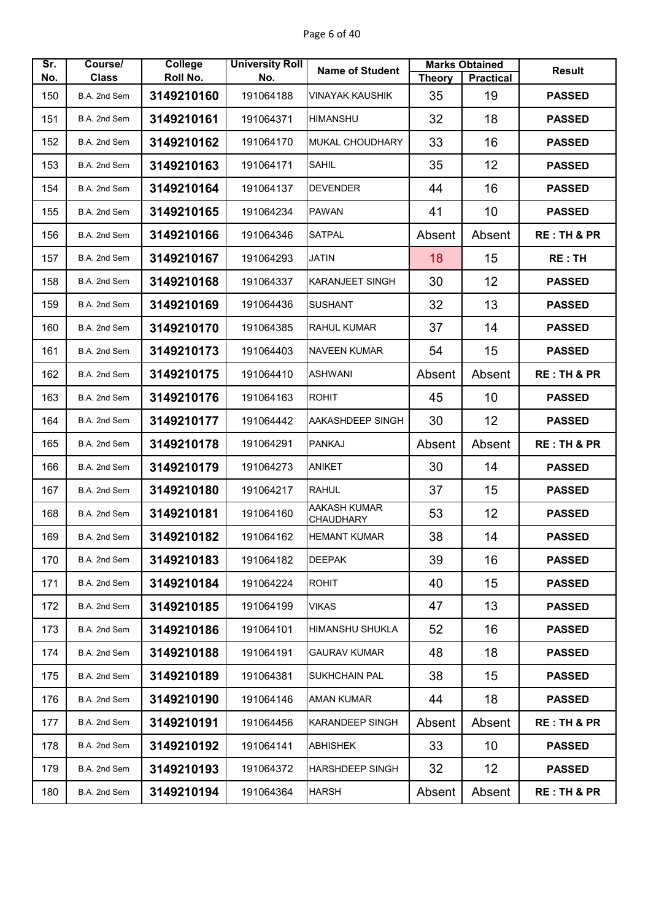| Sr. | Course/      | College    | <b>University Roll</b> | <b>Name of Student</b>                  |               | <b>Marks Obtained</b> | <b>Result</b>          |
|-----|--------------|------------|------------------------|-----------------------------------------|---------------|-----------------------|------------------------|
| No. | <b>Class</b> | Roll No.   | No.                    |                                         | <b>Theory</b> | <b>Practical</b>      |                        |
| 150 | B.A. 2nd Sem | 3149210160 | 191064188              | <b>VINAYAK KAUSHIK</b>                  | 35            | 19                    | <b>PASSED</b>          |
| 151 | B.A. 2nd Sem | 3149210161 | 191064371              | <b>HIMANSHU</b>                         | 32            | 18                    | <b>PASSED</b>          |
| 152 | B.A. 2nd Sem | 3149210162 | 191064170              | MUKAL CHOUDHARY                         | 33            | 16                    | <b>PASSED</b>          |
| 153 | B.A. 2nd Sem | 3149210163 | 191064171              | <b>SAHIL</b>                            | 35            | 12                    | <b>PASSED</b>          |
| 154 | B.A. 2nd Sem | 3149210164 | 191064137              | <b>DEVENDER</b>                         | 44            | 16                    | <b>PASSED</b>          |
| 155 | B.A. 2nd Sem | 3149210165 | 191064234              | <b>PAWAN</b>                            | 41            | 10                    | <b>PASSED</b>          |
| 156 | B.A. 2nd Sem | 3149210166 | 191064346              | <b>SATPAL</b>                           | Absent        | Absent                | <b>RE: TH &amp; PR</b> |
| 157 | B.A. 2nd Sem | 3149210167 | 191064293              | <b>JATIN</b>                            | 18            | 15                    | <b>RE: TH</b>          |
| 158 | B.A. 2nd Sem | 3149210168 | 191064337              | <b>KARANJEET SINGH</b>                  | 30            | 12                    | <b>PASSED</b>          |
| 159 | B.A. 2nd Sem | 3149210169 | 191064436              | <b>SUSHANT</b>                          | 32            | 13                    | <b>PASSED</b>          |
| 160 | B.A. 2nd Sem | 3149210170 | 191064385              | <b>RAHUL KUMAR</b>                      | 37            | 14                    | <b>PASSED</b>          |
| 161 | B.A. 2nd Sem | 3149210173 | 191064403              | <b>NAVEEN KUMAR</b>                     | 54            | 15                    | <b>PASSED</b>          |
| 162 | B.A. 2nd Sem | 3149210175 | 191064410              | <b>ASHWANI</b>                          | Absent        | Absent                | <b>RE: TH &amp; PR</b> |
| 163 | B.A. 2nd Sem | 3149210176 | 191064163              | <b>ROHIT</b>                            | 45            | 10                    | <b>PASSED</b>          |
| 164 | B.A. 2nd Sem | 3149210177 | 191064442              | AAKASHDEEP SINGH                        | 30            | 12                    | <b>PASSED</b>          |
| 165 | B.A. 2nd Sem | 3149210178 | 191064291              | <b>PANKAJ</b>                           | Absent        | Absent                | <b>RE: TH &amp; PR</b> |
| 166 | B.A. 2nd Sem | 3149210179 | 191064273              | <b>ANIKET</b>                           | 30            | 14                    | <b>PASSED</b>          |
| 167 | B.A. 2nd Sem | 3149210180 | 191064217              | <b>RAHUL</b>                            | 37            | 15                    | <b>PASSED</b>          |
| 168 | B.A. 2nd Sem | 3149210181 | 191064160              | <b>AAKASH KUMAR</b><br><b>CHAUDHARY</b> | 53            | 12                    | <b>PASSED</b>          |
| 169 | B.A. 2nd Sem | 3149210182 | 191064162              | <b>HEMANT KUMAR</b>                     | 38            | 14                    | <b>PASSED</b>          |
| 170 | B.A. 2nd Sem | 3149210183 | 191064182              | <b>DEEPAK</b>                           | 39            | 16                    | <b>PASSED</b>          |
| 171 | B.A. 2nd Sem | 3149210184 | 191064224              | <b>ROHIT</b>                            | 40            | 15                    | <b>PASSED</b>          |
| 172 | B.A. 2nd Sem | 3149210185 | 191064199              | <b>VIKAS</b>                            | 47            | 13                    | <b>PASSED</b>          |
| 173 | B.A. 2nd Sem | 3149210186 | 191064101              | <b>HIMANSHU SHUKLA</b>                  | 52            | 16                    | <b>PASSED</b>          |
| 174 | B.A. 2nd Sem | 3149210188 | 191064191              | <b>GAURAV KUMAR</b>                     | 48            | 18                    | <b>PASSED</b>          |
| 175 | B.A. 2nd Sem | 3149210189 | 191064381              | <b>SUKHCHAIN PAL</b>                    | 38            | 15                    | <b>PASSED</b>          |
| 176 | B.A. 2nd Sem | 3149210190 | 191064146              | AMAN KUMAR                              | 44            | 18                    | <b>PASSED</b>          |
| 177 | B.A. 2nd Sem | 3149210191 | 191064456              | <b>KARANDEEP SINGH</b>                  | Absent        | Absent                | <b>RE: TH &amp; PR</b> |
| 178 | B.A. 2nd Sem | 3149210192 | 191064141              | <b>ABHISHEK</b>                         | 33            | 10                    | <b>PASSED</b>          |
| 179 | B.A. 2nd Sem | 3149210193 | 191064372              | HARSHDEEP SINGH                         | 32            | 12                    | <b>PASSED</b>          |
| 180 | B.A. 2nd Sem | 3149210194 | 191064364              | <b>HARSH</b>                            | Absent        | Absent                | <b>RE: TH &amp; PR</b> |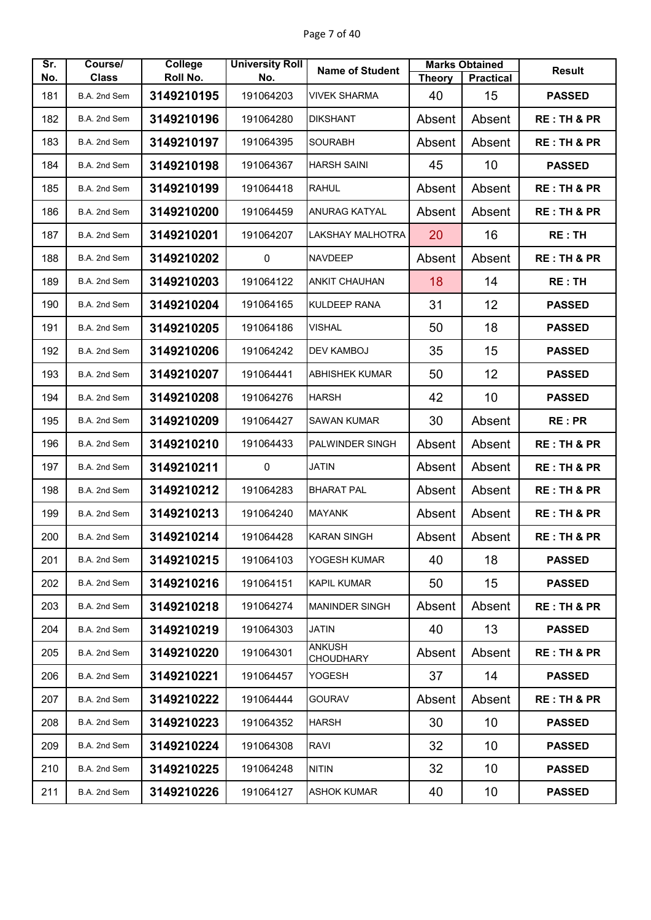| Sr. | Course/      | College    | <b>University Roll</b> | <b>Name of Student</b>            |               | <b>Marks Obtained</b> | <b>Result</b>          |
|-----|--------------|------------|------------------------|-----------------------------------|---------------|-----------------------|------------------------|
| No. | <b>Class</b> | Roll No.   | No.                    |                                   | <b>Theory</b> | <b>Practical</b>      |                        |
| 181 | B.A. 2nd Sem | 3149210195 | 191064203              | <b>VIVEK SHARMA</b>               | 40            | 15                    | <b>PASSED</b>          |
| 182 | B.A. 2nd Sem | 3149210196 | 191064280              | <b>DIKSHANT</b>                   | Absent        | Absent                | <b>RE: TH &amp; PR</b> |
| 183 | B.A. 2nd Sem | 3149210197 | 191064395              | <b>SOURABH</b>                    | Absent        | Absent                | <b>RE: TH &amp; PR</b> |
| 184 | B.A. 2nd Sem | 3149210198 | 191064367              | <b>HARSH SAINI</b>                | 45            | 10                    | <b>PASSED</b>          |
| 185 | B.A. 2nd Sem | 3149210199 | 191064418              | <b>RAHUL</b>                      | Absent        | Absent                | <b>RE: TH &amp; PR</b> |
| 186 | B.A. 2nd Sem | 3149210200 | 191064459              | <b>ANURAG KATYAL</b>              | Absent        | Absent                | <b>RE: TH &amp; PR</b> |
| 187 | B.A. 2nd Sem | 3149210201 | 191064207              | <b>LAKSHAY MALHOTRA</b>           | 20            | 16                    | <b>RE: TH</b>          |
| 188 | B.A. 2nd Sem | 3149210202 | 0                      | <b>NAVDEEP</b>                    | Absent        | Absent                | <b>RE: TH &amp; PR</b> |
| 189 | B.A. 2nd Sem | 3149210203 | 191064122              | <b>ANKIT CHAUHAN</b>              | 18            | 14                    | <b>RE: TH</b>          |
| 190 | B.A. 2nd Sem | 3149210204 | 191064165              | <b>KULDEEP RANA</b>               | 31            | 12                    | <b>PASSED</b>          |
| 191 | B.A. 2nd Sem | 3149210205 | 191064186              | <b>VISHAL</b>                     | 50            | 18                    | <b>PASSED</b>          |
| 192 | B.A. 2nd Sem | 3149210206 | 191064242              | <b>DEV KAMBOJ</b>                 | 35            | 15                    | <b>PASSED</b>          |
| 193 | B.A. 2nd Sem | 3149210207 | 191064441              | <b>ABHISHEK KUMAR</b>             | 50            | 12                    | <b>PASSED</b>          |
| 194 | B.A. 2nd Sem | 3149210208 | 191064276              | <b>HARSH</b>                      | 42            | 10                    | <b>PASSED</b>          |
| 195 | B.A. 2nd Sem | 3149210209 | 191064427              | <b>SAWAN KUMAR</b>                | 30            | Absent                | <b>RE:PR</b>           |
| 196 | B.A. 2nd Sem | 3149210210 | 191064433              | PALWINDER SINGH                   | Absent        | Absent                | <b>RE: TH &amp; PR</b> |
| 197 | B.A. 2nd Sem | 3149210211 | 0                      | <b>JATIN</b>                      | Absent        | Absent                | <b>RE: TH &amp; PR</b> |
| 198 | B.A. 2nd Sem | 3149210212 | 191064283              | <b>BHARAT PAL</b>                 | Absent        | Absent                | <b>RE: TH &amp; PR</b> |
| 199 | B.A. 2nd Sem | 3149210213 | 191064240              | <b>MAYANK</b>                     | Absent        | Absent                | <b>RE: TH &amp; PR</b> |
| 200 | B.A. 2nd Sem | 3149210214 | 191064428              | <b>KARAN SINGH</b>                | Absent        | Absent                | <b>RE: TH &amp; PR</b> |
| 201 | B.A. 2nd Sem | 3149210215 | 191064103              | YOGESH KUMAR                      | 40            | 18                    | <b>PASSED</b>          |
| 202 | B.A. 2nd Sem | 3149210216 | 191064151              | <b>KAPIL KUMAR</b>                | 50            | 15 <sub>2</sub>       | <b>PASSED</b>          |
| 203 | B.A. 2nd Sem | 3149210218 | 191064274              | <b>MANINDER SINGH</b>             | Absent        | Absent                | <b>RE: TH &amp; PR</b> |
| 204 | B.A. 2nd Sem | 3149210219 | 191064303              | JATIN                             | 40            | 13                    | <b>PASSED</b>          |
| 205 | B.A. 2nd Sem | 3149210220 | 191064301              | <b>ANKUSH</b><br><b>CHOUDHARY</b> | Absent        | Absent                | <b>RE: TH &amp; PR</b> |
| 206 | B.A. 2nd Sem | 3149210221 | 191064457              | YOGESH                            | 37            | 14                    | <b>PASSED</b>          |
| 207 | B.A. 2nd Sem | 3149210222 | 191064444              | <b>GOURAV</b>                     | Absent        | Absent                | <b>RE: TH &amp; PR</b> |
| 208 | B.A. 2nd Sem | 3149210223 | 191064352              | <b>HARSH</b>                      | 30            | 10                    | <b>PASSED</b>          |
| 209 | B.A. 2nd Sem | 3149210224 | 191064308              | <b>RAVI</b>                       | 32            | 10                    | <b>PASSED</b>          |
| 210 | B.A. 2nd Sem | 3149210225 | 191064248              | <b>NITIN</b>                      | 32            | 10                    | <b>PASSED</b>          |
| 211 | B.A. 2nd Sem | 3149210226 | 191064127              | <b>ASHOK KUMAR</b>                | 40            | 10                    | <b>PASSED</b>          |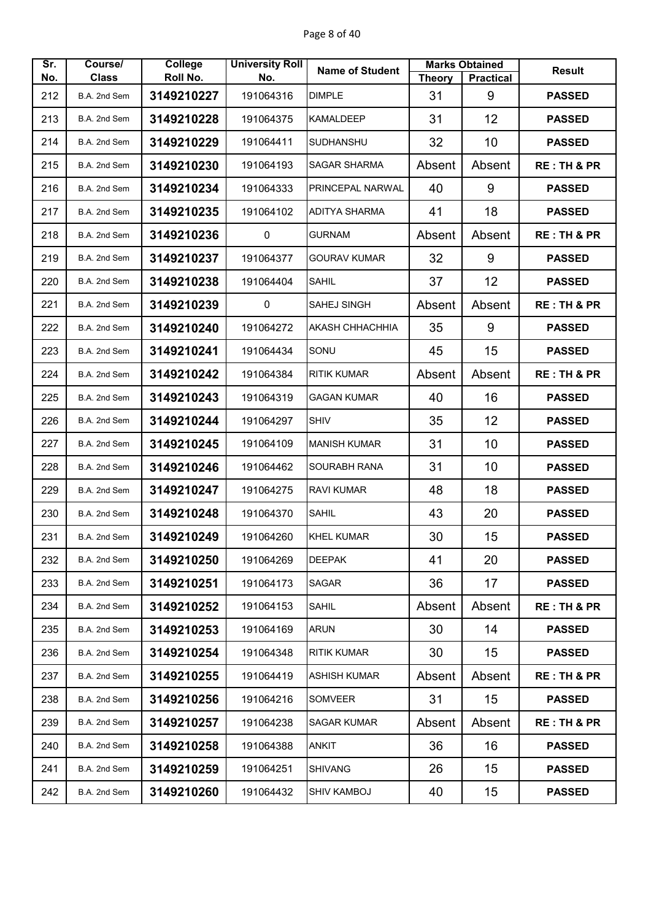| Sr. | Course/      | College    | <b>University Roll</b> | <b>Name of Student</b> |               | <b>Marks Obtained</b> | <b>Result</b>          |
|-----|--------------|------------|------------------------|------------------------|---------------|-----------------------|------------------------|
| No. | <b>Class</b> | Roll No.   | No.                    |                        | <b>Theory</b> | <b>Practical</b>      |                        |
| 212 | B.A. 2nd Sem | 3149210227 | 191064316              | <b>DIMPLE</b>          | 31            | 9                     | <b>PASSED</b>          |
| 213 | B.A. 2nd Sem | 3149210228 | 191064375              | <b>KAMALDEEP</b>       | 31            | 12                    | <b>PASSED</b>          |
| 214 | B.A. 2nd Sem | 3149210229 | 191064411              | <b>SUDHANSHU</b>       | 32            | 10                    | <b>PASSED</b>          |
| 215 | B.A. 2nd Sem | 3149210230 | 191064193              | SAGAR SHARMA           | Absent        | Absent                | <b>RE: TH &amp; PR</b> |
| 216 | B.A. 2nd Sem | 3149210234 | 191064333              | PRINCEPAL NARWAL       | 40            | 9                     | <b>PASSED</b>          |
| 217 | B.A. 2nd Sem | 3149210235 | 191064102              | <b>ADITYA SHARMA</b>   | 41            | 18                    | <b>PASSED</b>          |
| 218 | B.A. 2nd Sem | 3149210236 | 0                      | <b>GURNAM</b>          | Absent        | Absent                | <b>RE: TH &amp; PR</b> |
| 219 | B.A. 2nd Sem | 3149210237 | 191064377              | <b>GOURAV KUMAR</b>    | 32            | 9                     | <b>PASSED</b>          |
| 220 | B.A. 2nd Sem | 3149210238 | 191064404              | <b>SAHIL</b>           | 37            | 12                    | <b>PASSED</b>          |
| 221 | B.A. 2nd Sem | 3149210239 | $\pmb{0}$              | <b>SAHEJ SINGH</b>     | Absent        | Absent                | <b>RE: TH &amp; PR</b> |
| 222 | B.A. 2nd Sem | 3149210240 | 191064272              | AKASH CHHACHHIA        | 35            | 9                     | <b>PASSED</b>          |
| 223 | B.A. 2nd Sem | 3149210241 | 191064434              | SONU                   | 45            | 15                    | <b>PASSED</b>          |
| 224 | B.A. 2nd Sem | 3149210242 | 191064384              | <b>RITIK KUMAR</b>     | Absent        | Absent                | <b>RE: TH &amp; PR</b> |
| 225 | B.A. 2nd Sem | 3149210243 | 191064319              | <b>GAGAN KUMAR</b>     | 40            | 16                    | <b>PASSED</b>          |
| 226 | B.A. 2nd Sem | 3149210244 | 191064297              | <b>SHIV</b>            | 35            | 12                    | <b>PASSED</b>          |
| 227 | B.A. 2nd Sem | 3149210245 | 191064109              | <b>MANISH KUMAR</b>    | 31            | 10                    | <b>PASSED</b>          |
| 228 | B.A. 2nd Sem | 3149210246 | 191064462              | <b>SOURABH RANA</b>    | 31            | 10                    | <b>PASSED</b>          |
| 229 | B.A. 2nd Sem | 3149210247 | 191064275              | <b>RAVI KUMAR</b>      | 48            | 18                    | <b>PASSED</b>          |
| 230 | B.A. 2nd Sem | 3149210248 | 191064370              | <b>SAHIL</b>           | 43            | 20                    | <b>PASSED</b>          |
| 231 | B.A. 2nd Sem | 3149210249 | 191064260              | <b>KHEL KUMAR</b>      | 30            | 15                    | <b>PASSED</b>          |
| 232 | B.A. 2nd Sem | 3149210250 | 191064269              | <b>DEEPAK</b>          | 41            | 20                    | <b>PASSED</b>          |
| 233 | B.A. 2nd Sem | 3149210251 | 191064173              | SAGAR                  | 36            | 17                    | <b>PASSED</b>          |
| 234 | B.A. 2nd Sem | 3149210252 | 191064153              | <b>SAHIL</b>           | Absent        | Absent                | <b>RE: TH &amp; PR</b> |
| 235 | B.A. 2nd Sem | 3149210253 | 191064169              | <b>ARUN</b>            | 30            | 14                    | <b>PASSED</b>          |
| 236 | B.A. 2nd Sem | 3149210254 | 191064348              | <b>RITIK KUMAR</b>     | 30            | 15                    | <b>PASSED</b>          |
| 237 | B.A. 2nd Sem | 3149210255 | 191064419              | <b>ASHISH KUMAR</b>    | Absent        | Absent                | <b>RE: TH &amp; PR</b> |
| 238 | B.A. 2nd Sem | 3149210256 | 191064216              | <b>SOMVEER</b>         | 31            | 15                    | <b>PASSED</b>          |
| 239 | B.A. 2nd Sem | 3149210257 | 191064238              | <b>SAGAR KUMAR</b>     | Absent        | Absent                | <b>RE: TH &amp; PR</b> |
| 240 | B.A. 2nd Sem | 3149210258 | 191064388              | ANKIT                  | 36            | 16                    | <b>PASSED</b>          |
| 241 | B.A. 2nd Sem | 3149210259 | 191064251              | <b>SHIVANG</b>         | 26            | 15                    | <b>PASSED</b>          |
| 242 | B.A. 2nd Sem | 3149210260 | 191064432              | <b>SHIV KAMBOJ</b>     | 40            | 15                    | <b>PASSED</b>          |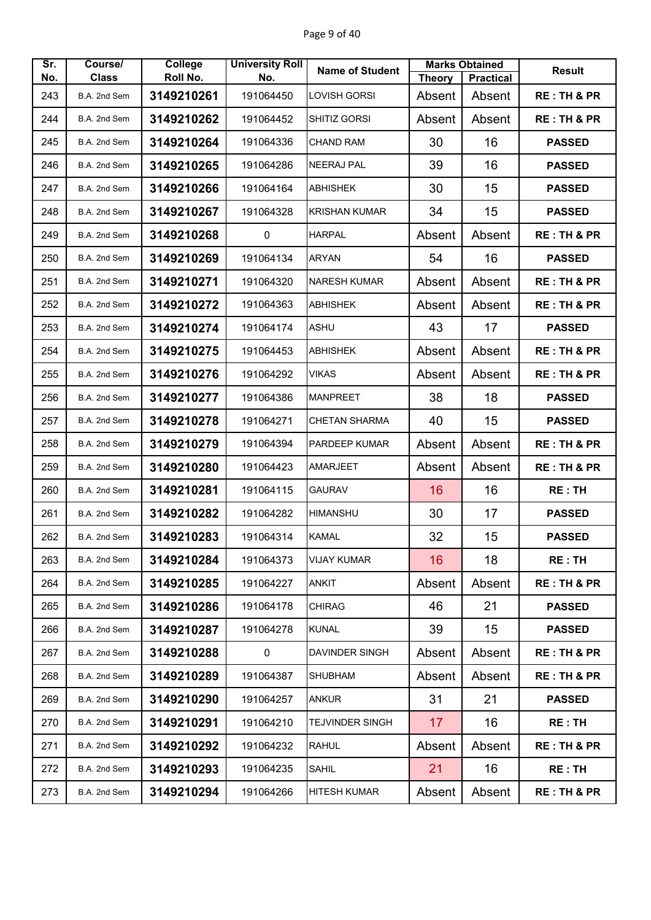| Sr. | Course/      | <b>College</b> | <b>University Roll</b> | <b>Name of Student</b> |                 | <b>Marks Obtained</b> | <b>Result</b>          |
|-----|--------------|----------------|------------------------|------------------------|-----------------|-----------------------|------------------------|
| No. | <b>Class</b> | Roll No.       | No.                    |                        | <b>Theory</b>   | <b>Practical</b>      |                        |
| 243 | B.A. 2nd Sem | 3149210261     | 191064450              | LOVISH GORSI           | Absent          | Absent                | <b>RE: TH &amp; PR</b> |
| 244 | B.A. 2nd Sem | 3149210262     | 191064452              | SHITIZ GORSI           | Absent          | Absent                | <b>RE: TH &amp; PR</b> |
| 245 | B.A. 2nd Sem | 3149210264     | 191064336              | <b>CHAND RAM</b>       | 30              | 16                    | <b>PASSED</b>          |
| 246 | B.A. 2nd Sem | 3149210265     | 191064286              | <b>NEERAJ PAL</b>      | 39              | 16                    | <b>PASSED</b>          |
| 247 | B.A. 2nd Sem | 3149210266     | 191064164              | <b>ABHISHEK</b>        | 30              | 15                    | <b>PASSED</b>          |
| 248 | B.A. 2nd Sem | 3149210267     | 191064328              | <b>KRISHAN KUMAR</b>   | 34              | 15                    | <b>PASSED</b>          |
| 249 | B.A. 2nd Sem | 3149210268     | $\mathbf 0$            | <b>HARPAL</b>          | Absent          | Absent                | <b>RE: TH &amp; PR</b> |
| 250 | B.A. 2nd Sem | 3149210269     | 191064134              | <b>ARYAN</b>           | 54              | 16                    | <b>PASSED</b>          |
| 251 | B.A. 2nd Sem | 3149210271     | 191064320              | <b>NARESH KUMAR</b>    | Absent          | Absent                | <b>RE: TH &amp; PR</b> |
| 252 | B.A. 2nd Sem | 3149210272     | 191064363              | <b>ABHISHEK</b>        | Absent          | Absent                | <b>RE: TH &amp; PR</b> |
| 253 | B.A. 2nd Sem | 3149210274     | 191064174              | <b>ASHU</b>            | 43              | 17                    | <b>PASSED</b>          |
| 254 | B.A. 2nd Sem | 3149210275     | 191064453              | <b>ABHISHEK</b>        | Absent          | Absent                | <b>RE: TH &amp; PR</b> |
| 255 | B.A. 2nd Sem | 3149210276     | 191064292              | <b>VIKAS</b>           | Absent          | Absent                | <b>RE: TH &amp; PR</b> |
| 256 | B.A. 2nd Sem | 3149210277     | 191064386              | <b>MANPREET</b>        | 38              | 18                    | <b>PASSED</b>          |
| 257 | B.A. 2nd Sem | 3149210278     | 191064271              | <b>CHETAN SHARMA</b>   | 40              | 15                    | <b>PASSED</b>          |
| 258 | B.A. 2nd Sem | 3149210279     | 191064394              | PARDEEP KUMAR          | Absent          | Absent                | <b>RE: TH &amp; PR</b> |
| 259 | B.A. 2nd Sem | 3149210280     | 191064423              | <b>AMARJEET</b>        | Absent          | Absent                | <b>RE: TH &amp; PR</b> |
| 260 | B.A. 2nd Sem | 3149210281     | 191064115              | <b>GAURAV</b>          | 16              | 16                    | <b>RE:TH</b>           |
| 261 | B.A. 2nd Sem | 3149210282     | 191064282              | <b>HIMANSHU</b>        | 30              | 17                    | <b>PASSED</b>          |
| 262 | B.A. 2nd Sem | 3149210283     | 191064314              | <b>KAMAL</b>           | 32              | 15                    | <b>PASSED</b>          |
| 263 | B.A. 2nd Sem | 3149210284     | 191064373              | <b>VIJAY KUMAR</b>     | 16              | 18                    | RE: TH                 |
| 264 | B.A. 2nd Sem | 3149210285     | 191064227              | <b>ANKIT</b>           | Absent          | Absent                | <b>RE: TH &amp; PR</b> |
| 265 | B.A. 2nd Sem | 3149210286     | 191064178              | <b>CHIRAG</b>          | 46              | 21                    | <b>PASSED</b>          |
| 266 | B.A. 2nd Sem | 3149210287     | 191064278              | <b>KUNAL</b>           | 39              | 15                    | <b>PASSED</b>          |
| 267 | B.A. 2nd Sem | 3149210288     | $\pmb{0}$              | <b>DAVINDER SINGH</b>  | Absent          | Absent                | <b>RE: TH &amp; PR</b> |
| 268 | B.A. 2nd Sem | 3149210289     | 191064387              | SHUBHAM                | Absent          | Absent                | <b>RE: TH &amp; PR</b> |
| 269 | B.A. 2nd Sem | 3149210290     | 191064257              | <b>ANKUR</b>           | 31              | 21                    | <b>PASSED</b>          |
| 270 | B.A. 2nd Sem | 3149210291     | 191064210              | TEJVINDER SINGH        | 17 <sub>2</sub> | 16                    | <b>RE:TH</b>           |
| 271 | B.A. 2nd Sem | 3149210292     | 191064232              | <b>RAHUL</b>           | Absent          | Absent                | <b>RE: TH &amp; PR</b> |
| 272 | B.A. 2nd Sem | 3149210293     | 191064235              | <b>SAHIL</b>           | 21              | 16                    | RE: TH                 |
| 273 | B.A. 2nd Sem | 3149210294     | 191064266              | HITESH KUMAR           | Absent          | Absent                | <b>RE: TH &amp; PR</b> |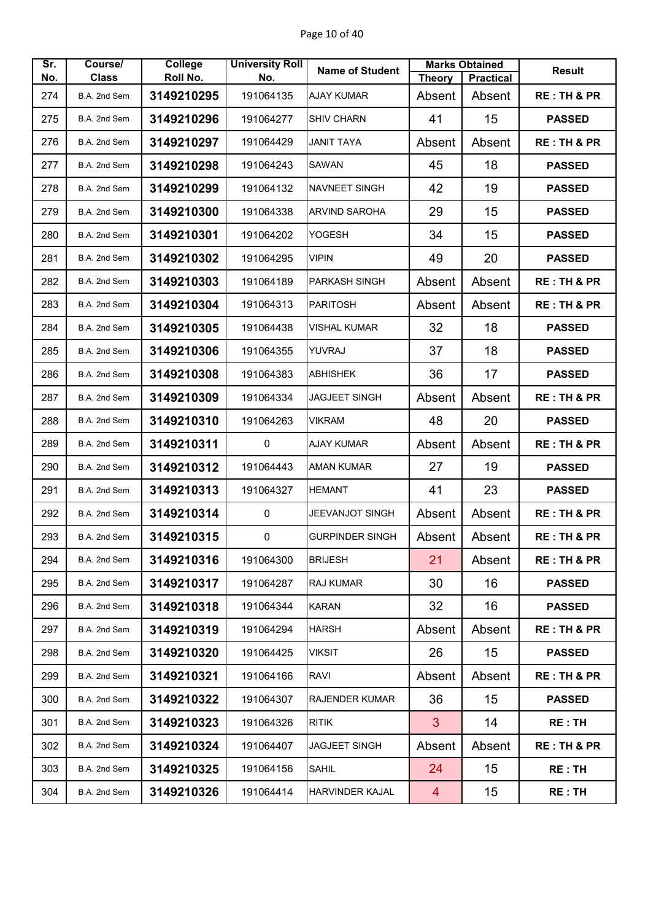| Sr. | Course/      | College    | <b>University Roll</b> | <b>Name of Student</b> |                | <b>Marks Obtained</b> | <b>Result</b>          |
|-----|--------------|------------|------------------------|------------------------|----------------|-----------------------|------------------------|
| No. | <b>Class</b> | Roll No.   | No.                    |                        | <b>Theory</b>  | <b>Practical</b>      |                        |
| 274 | B.A. 2nd Sem | 3149210295 | 191064135              | <b>AJAY KUMAR</b>      | Absent         | Absent                | <b>RE: TH &amp; PR</b> |
| 275 | B.A. 2nd Sem | 3149210296 | 191064277              | <b>SHIV CHARN</b>      | 41             | 15                    | <b>PASSED</b>          |
| 276 | B.A. 2nd Sem | 3149210297 | 191064429              | <b>JANIT TAYA</b>      | Absent         | Absent                | <b>RE: TH &amp; PR</b> |
| 277 | B.A. 2nd Sem | 3149210298 | 191064243              | <b>SAWAN</b>           | 45             | 18                    | <b>PASSED</b>          |
| 278 | B.A. 2nd Sem | 3149210299 | 191064132              | <b>NAVNEET SINGH</b>   | 42             | 19                    | <b>PASSED</b>          |
| 279 | B.A. 2nd Sem | 3149210300 | 191064338              | <b>ARVIND SAROHA</b>   | 29             | 15                    | <b>PASSED</b>          |
| 280 | B.A. 2nd Sem | 3149210301 | 191064202              | YOGESH                 | 34             | 15                    | <b>PASSED</b>          |
| 281 | B.A. 2nd Sem | 3149210302 | 191064295              | <b>VIPIN</b>           | 49             | 20                    | <b>PASSED</b>          |
| 282 | B.A. 2nd Sem | 3149210303 | 191064189              | <b>PARKASH SINGH</b>   | Absent         | Absent                | <b>RE: TH &amp; PR</b> |
| 283 | B.A. 2nd Sem | 3149210304 | 191064313              | <b>PARITOSH</b>        | Absent         | Absent                | <b>RE: TH &amp; PR</b> |
| 284 | B.A. 2nd Sem | 3149210305 | 191064438              | <b>VISHAL KUMAR</b>    | 32             | 18                    | <b>PASSED</b>          |
| 285 | B.A. 2nd Sem | 3149210306 | 191064355              | YUVRAJ                 | 37             | 18                    | <b>PASSED</b>          |
| 286 | B.A. 2nd Sem | 3149210308 | 191064383              | <b>ABHISHEK</b>        | 36             | 17                    | <b>PASSED</b>          |
| 287 | B.A. 2nd Sem | 3149210309 | 191064334              | <b>JAGJEET SINGH</b>   | Absent         | Absent                | <b>RE: TH &amp; PR</b> |
| 288 | B.A. 2nd Sem | 3149210310 | 191064263              | <b>VIKRAM</b>          | 48             | 20                    | <b>PASSED</b>          |
| 289 | B.A. 2nd Sem | 3149210311 | $\mathbf 0$            | <b>AJAY KUMAR</b>      | Absent         | Absent                | <b>RE: TH &amp; PR</b> |
| 290 | B.A. 2nd Sem | 3149210312 | 191064443              | <b>AMAN KUMAR</b>      | 27             | 19                    | <b>PASSED</b>          |
| 291 | B.A. 2nd Sem | 3149210313 | 191064327              | <b>HEMANT</b>          | 41             | 23                    | <b>PASSED</b>          |
| 292 | B.A. 2nd Sem | 3149210314 | $\pmb{0}$              | JEEVANJOT SINGH        | Absent         | Absent                | <b>RE: TH &amp; PR</b> |
| 293 | B.A. 2nd Sem | 3149210315 | $\pmb{0}$              | <b>GURPINDER SINGH</b> | Absent         | Absent                | <b>RE: TH &amp; PR</b> |
| 294 | B.A. 2nd Sem | 3149210316 | 191064300              | <b>BRIJESH</b>         | 21             | Absent                | <b>RE: TH &amp; PR</b> |
| 295 | B.A. 2nd Sem | 3149210317 | 191064287              | <b>RAJ KUMAR</b>       | 30             | 16                    | <b>PASSED</b>          |
| 296 | B.A. 2nd Sem | 3149210318 | 191064344              | <b>KARAN</b>           | 32             | 16                    | <b>PASSED</b>          |
| 297 | B.A. 2nd Sem | 3149210319 | 191064294              | <b>HARSH</b>           | Absent         | Absent                | <b>RE: TH &amp; PR</b> |
| 298 | B.A. 2nd Sem | 3149210320 | 191064425              | <b>VIKSIT</b>          | 26             | 15                    | <b>PASSED</b>          |
| 299 | B.A. 2nd Sem | 3149210321 | 191064166              | RAVI                   | Absent         | Absent                | <b>RE: TH &amp; PR</b> |
| 300 | B.A. 2nd Sem | 3149210322 | 191064307              | RAJENDER KUMAR         | 36             | 15                    | <b>PASSED</b>          |
| 301 | B.A. 2nd Sem | 3149210323 | 191064326              | <b>RITIK</b>           | 3              | 14                    | <b>RE:TH</b>           |
| 302 | B.A. 2nd Sem | 3149210324 | 191064407              | JAGJEET SINGH          | Absent         | Absent                | <b>RE: TH &amp; PR</b> |
| 303 | B.A. 2nd Sem | 3149210325 | 191064156              | <b>SAHIL</b>           | 24             | 15                    | RE: TH                 |
| 304 | B.A. 2nd Sem | 3149210326 | 191064414              | HARVINDER KAJAL        | $\overline{4}$ | 15 <sub>2</sub>       | RE: TH                 |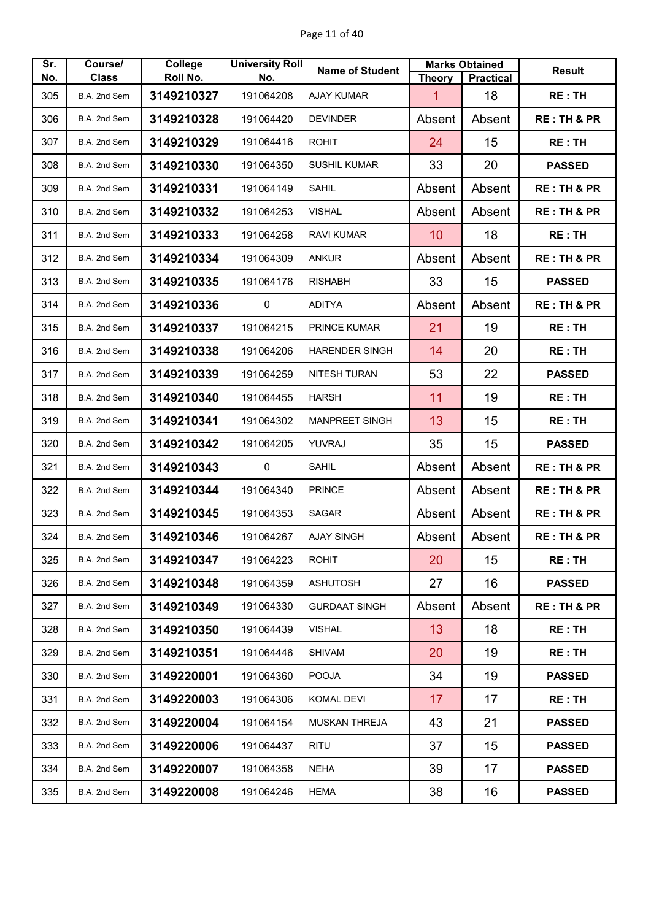| Sr.<br>No. | Course/<br><b>Class</b> | College<br>Roll No. | <b>University Roll</b><br>No. | <b>Name of Student</b> | <b>Theory</b> | <b>Marks Obtained</b><br><b>Practical</b> | <b>Result</b>          |
|------------|-------------------------|---------------------|-------------------------------|------------------------|---------------|-------------------------------------------|------------------------|
| 305        | B.A. 2nd Sem            | 3149210327          | 191064208                     | <b>AJAY KUMAR</b>      | 1             | 18                                        | <b>RE: TH</b>          |
| 306        | B.A. 2nd Sem            | 3149210328          | 191064420                     | <b>DEVINDER</b>        | Absent        | Absent                                    | <b>RE: TH &amp; PR</b> |
| 307        | B.A. 2nd Sem            | 3149210329          | 191064416                     | <b>ROHIT</b>           | 24            | 15                                        | <b>RE: TH</b>          |
| 308        | B.A. 2nd Sem            | 3149210330          | 191064350                     | <b>SUSHIL KUMAR</b>    | 33            | 20                                        | <b>PASSED</b>          |
| 309        | B.A. 2nd Sem            | 3149210331          | 191064149                     | <b>SAHIL</b>           | Absent        | Absent                                    | <b>RE: TH &amp; PR</b> |
| 310        | B.A. 2nd Sem            | 3149210332          | 191064253                     | <b>VISHAL</b>          | Absent        | Absent                                    | <b>RE: TH &amp; PR</b> |
| 311        | B.A. 2nd Sem            | 3149210333          | 191064258                     | <b>RAVI KUMAR</b>      | 10            | 18                                        | <b>RE: TH</b>          |
| 312        | B.A. 2nd Sem            | 3149210334          | 191064309                     | <b>ANKUR</b>           | Absent        | Absent                                    | <b>RE: TH &amp; PR</b> |
| 313        | B.A. 2nd Sem            | 3149210335          | 191064176                     | <b>RISHABH</b>         | 33            | 15                                        | <b>PASSED</b>          |
| 314        | B.A. 2nd Sem            | 3149210336          | 0                             | <b>ADITYA</b>          | Absent        | Absent                                    | <b>RE: TH &amp; PR</b> |
| 315        | B.A. 2nd Sem            | 3149210337          | 191064215                     | PRINCE KUMAR           | 21            | 19                                        | <b>RE: TH</b>          |
| 316        | B.A. 2nd Sem            | 3149210338          | 191064206                     | <b>HARENDER SINGH</b>  | 14            | 20                                        | <b>RE: TH</b>          |
| 317        | B.A. 2nd Sem            | 3149210339          | 191064259                     | <b>NITESH TURAN</b>    | 53            | 22                                        | <b>PASSED</b>          |
| 318        | B.A. 2nd Sem            | 3149210340          | 191064455                     | <b>HARSH</b>           | 11            | 19                                        | <b>RE: TH</b>          |
| 319        | B.A. 2nd Sem            | 3149210341          | 191064302                     | <b>MANPREET SINGH</b>  | 13            | 15                                        | <b>RE: TH</b>          |
| 320        | B.A. 2nd Sem            | 3149210342          | 191064205                     | YUVRAJ                 | 35            | 15                                        | <b>PASSED</b>          |
| 321        | B.A. 2nd Sem            | 3149210343          | $\mathbf 0$                   | <b>SAHIL</b>           | Absent        | Absent                                    | <b>RE: TH &amp; PR</b> |
| 322        | B.A. 2nd Sem            | 3149210344          | 191064340                     | <b>PRINCE</b>          | Absent        | Absent                                    | <b>RE: TH &amp; PR</b> |
| 323        | B.A. 2nd Sem            | 3149210345          | 191064353                     | <b>SAGAR</b>           | Absent        | Absent                                    | <b>RE: TH &amp; PR</b> |
| 324        | B.A. 2nd Sem            | 3149210346          | 191064267                     | <b>AJAY SINGH</b>      | Absent        | Absent                                    | <b>RE: TH &amp; PR</b> |
| 325        | B.A. 2nd Sem            | 3149210347          | 191064223                     | <b>ROHIT</b>           | 20            | 15                                        | RE: TH                 |
| 326        | B.A. 2nd Sem            | 3149210348          | 191064359                     | <b>ASHUTOSH</b>        | 27            | 16                                        | <b>PASSED</b>          |
| 327        | B.A. 2nd Sem            | 3149210349          | 191064330                     | <b>GURDAAT SINGH</b>   | Absent        | Absent                                    | <b>RE: TH &amp; PR</b> |
| 328        | B.A. 2nd Sem            | 3149210350          | 191064439                     | VISHAL                 | 13            | 18                                        | <b>RE:TH</b>           |
| 329        | B.A. 2nd Sem            | 3149210351          | 191064446                     | SHIVAM                 | 20            | 19                                        | RE: TH                 |
| 330        | B.A. 2nd Sem            | 3149220001          | 191064360                     | <b>POOJA</b>           | 34            | 19                                        | <b>PASSED</b>          |
| 331        | B.A. 2nd Sem            | 3149220003          | 191064306                     | <b>KOMAL DEVI</b>      | 17            | 17                                        | RE:TH                  |
| 332        | B.A. 2nd Sem            | 3149220004          | 191064154                     | <b>MUSKAN THREJA</b>   | 43            | 21                                        | <b>PASSED</b>          |
| 333        | B.A. 2nd Sem            | 3149220006          | 191064437                     | <b>RITU</b>            | 37            | 15                                        | <b>PASSED</b>          |
| 334        | B.A. 2nd Sem            | 3149220007          | 191064358                     | <b>NEHA</b>            | 39            | 17                                        | <b>PASSED</b>          |
| 335        | B.A. 2nd Sem            | 3149220008          | 191064246                     | HEMA                   | 38            | 16                                        | <b>PASSED</b>          |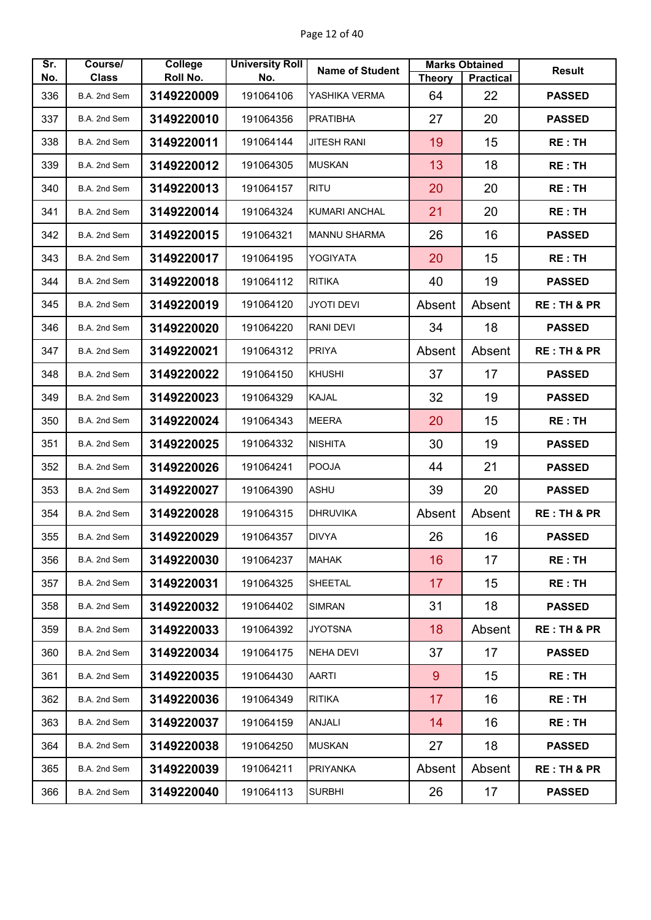| Sr. | Course/      | College    | <b>University Roll</b> | <b>Name of Student</b> |               | <b>Marks Obtained</b> | <b>Result</b>          |
|-----|--------------|------------|------------------------|------------------------|---------------|-----------------------|------------------------|
| No. | <b>Class</b> | Roll No.   | No.                    |                        | <b>Theory</b> | <b>Practical</b>      |                        |
| 336 | B.A. 2nd Sem | 3149220009 | 191064106              | YASHIKA VERMA          | 64            | 22                    | <b>PASSED</b>          |
| 337 | B.A. 2nd Sem | 3149220010 | 191064356              | <b>PRATIBHA</b>        | 27            | 20                    | <b>PASSED</b>          |
| 338 | B.A. 2nd Sem | 3149220011 | 191064144              | <b>JITESH RANI</b>     | 19            | 15                    | <b>RE: TH</b>          |
| 339 | B.A. 2nd Sem | 3149220012 | 191064305              | <b>MUSKAN</b>          | 13            | 18                    | <b>RE: TH</b>          |
| 340 | B.A. 2nd Sem | 3149220013 | 191064157              | <b>RITU</b>            | 20            | 20                    | <b>RE: TH</b>          |
| 341 | B.A. 2nd Sem | 3149220014 | 191064324              | KUMARI ANCHAL          | 21            | 20                    | <b>RE: TH</b>          |
| 342 | B.A. 2nd Sem | 3149220015 | 191064321              | <b>MANNU SHARMA</b>    | 26            | 16                    | <b>PASSED</b>          |
| 343 | B.A. 2nd Sem | 3149220017 | 191064195              | YOGIYATA               | 20            | 15                    | <b>RE: TH</b>          |
| 344 | B.A. 2nd Sem | 3149220018 | 191064112              | <b>RITIKA</b>          | 40            | 19                    | <b>PASSED</b>          |
| 345 | B.A. 2nd Sem | 3149220019 | 191064120              | <b>JYOTI DEVI</b>      | Absent        | Absent                | <b>RE: TH &amp; PR</b> |
| 346 | B.A. 2nd Sem | 3149220020 | 191064220              | <b>RANI DEVI</b>       | 34            | 18                    | <b>PASSED</b>          |
| 347 | B.A. 2nd Sem | 3149220021 | 191064312              | <b>PRIYA</b>           | Absent        | Absent                | <b>RE: TH &amp; PR</b> |
| 348 | B.A. 2nd Sem | 3149220022 | 191064150              | <b>KHUSHI</b>          | 37            | 17                    | <b>PASSED</b>          |
| 349 | B.A. 2nd Sem | 3149220023 | 191064329              | <b>KAJAL</b>           | 32            | 19                    | <b>PASSED</b>          |
| 350 | B.A. 2nd Sem | 3149220024 | 191064343              | <b>MEERA</b>           | 20            | 15                    | <b>RE: TH</b>          |
| 351 | B.A. 2nd Sem | 3149220025 | 191064332              | <b>NISHITA</b>         | 30            | 19                    | <b>PASSED</b>          |
| 352 | B.A. 2nd Sem | 3149220026 | 191064241              | <b>POOJA</b>           | 44            | 21                    | <b>PASSED</b>          |
| 353 | B.A. 2nd Sem | 3149220027 | 191064390              | <b>ASHU</b>            | 39            | 20                    | <b>PASSED</b>          |
| 354 | B.A. 2nd Sem | 3149220028 | 191064315              | <b>DHRUVIKA</b>        | Absent        | Absent                | <b>RE: TH &amp; PR</b> |
| 355 | B.A. 2nd Sem | 3149220029 | 191064357              | <b>DIVYA</b>           | 26            | 16                    | <b>PASSED</b>          |
| 356 | B.A. 2nd Sem | 3149220030 | 191064237              | <b>MAHAK</b>           | 16            | 17                    | RE:TH                  |
| 357 | B.A. 2nd Sem | 3149220031 | 191064325              | SHEETAL                | 17            | 15                    | <b>RE: TH</b>          |
| 358 | B.A. 2nd Sem | 3149220032 | 191064402              | <b>SIMRAN</b>          | 31            | 18                    | <b>PASSED</b>          |
| 359 | B.A. 2nd Sem | 3149220033 | 191064392              | <b>JYOTSNA</b>         | 18            | Absent                | <b>RE: TH &amp; PR</b> |
| 360 | B.A. 2nd Sem | 3149220034 | 191064175              | <b>NEHA DEVI</b>       | 37            | 17                    | <b>PASSED</b>          |
| 361 | B.A. 2nd Sem | 3149220035 | 191064430              | <b>AARTI</b>           | 9             | 15                    | <b>RE:TH</b>           |
| 362 | B.A. 2nd Sem | 3149220036 | 191064349              | <b>RITIKA</b>          | 17            | 16                    | <b>RE: TH</b>          |
| 363 | B.A. 2nd Sem | 3149220037 | 191064159              | <b>ANJALI</b>          | 14            | 16                    | <b>RE: TH</b>          |
| 364 | B.A. 2nd Sem | 3149220038 | 191064250              | <b>MUSKAN</b>          | 27            | 18                    | <b>PASSED</b>          |
| 365 | B.A. 2nd Sem | 3149220039 | 191064211              | <b>PRIYANKA</b>        | Absent        | Absent                | <b>RE: TH &amp; PR</b> |
| 366 | B.A. 2nd Sem | 3149220040 | 191064113              | <b>SURBHI</b>          | 26            | 17                    | <b>PASSED</b>          |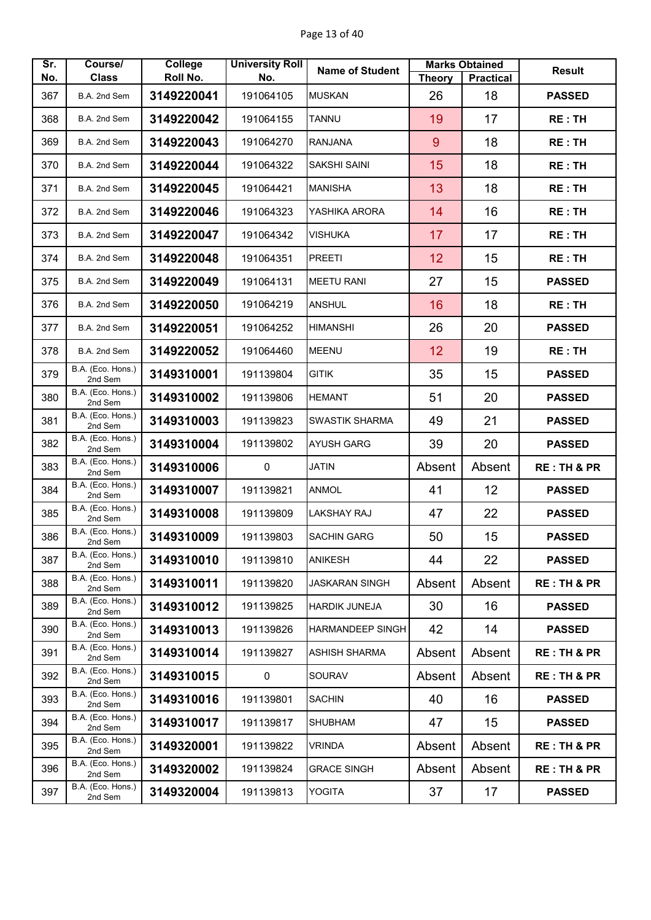| Sr.<br>No. | Course/<br><b>Class</b>      | <b>College</b><br>Roll No. | <b>University Roll</b><br>No. | <b>Name of Student</b>  | <b>Theory</b> | <b>Marks Obtained</b><br><b>Practical</b> | <b>Result</b>          |
|------------|------------------------------|----------------------------|-------------------------------|-------------------------|---------------|-------------------------------------------|------------------------|
| 367        | B.A. 2nd Sem                 | 3149220041                 | 191064105                     | <b>MUSKAN</b>           | 26            | 18                                        | <b>PASSED</b>          |
| 368        | B.A. 2nd Sem                 | 3149220042                 | 191064155                     | <b>TANNU</b>            | 19            | 17                                        | <b>RE:TH</b>           |
| 369        | B.A. 2nd Sem                 | 3149220043                 | 191064270                     | <b>RANJANA</b>          | 9             | 18                                        | <b>RE:TH</b>           |
| 370        | B.A. 2nd Sem                 | 3149220044                 | 191064322                     | <b>SAKSHI SAINI</b>     | 15            | 18                                        | <b>RE: TH</b>          |
| 371        | B.A. 2nd Sem                 | 3149220045                 | 191064421                     | <b>MANISHA</b>          | 13            | 18                                        | <b>RE:TH</b>           |
| 372        | B.A. 2nd Sem                 | 3149220046                 | 191064323                     | YASHIKA ARORA           | 14            | 16                                        | <b>RE:TH</b>           |
| 373        | B.A. 2nd Sem                 | 3149220047                 | 191064342                     | <b>VISHUKA</b>          | 17            | 17                                        | <b>RE:TH</b>           |
|            |                              |                            |                               |                         |               |                                           |                        |
| 374        | B.A. 2nd Sem                 | 3149220048                 | 191064351                     | <b>PREETI</b>           | 12            | 15                                        | RE:TH                  |
| 375        | B.A. 2nd Sem                 | 3149220049                 | 191064131                     | <b>MEETU RANI</b>       | 27            | 15                                        | <b>PASSED</b>          |
| 376        | B.A. 2nd Sem                 | 3149220050                 | 191064219                     | <b>ANSHUL</b>           | 16            | 18                                        | <b>RE:TH</b>           |
| 377        | B.A. 2nd Sem                 | 3149220051                 | 191064252                     | <b>HIMANSHI</b>         | 26            | 20                                        | <b>PASSED</b>          |
| 378        | B.A. 2nd Sem                 | 3149220052                 | 191064460                     | <b>MEENU</b>            | 12            | 19                                        | <b>RE:TH</b>           |
| 379        | B.A. (Eco. Hons.)<br>2nd Sem | 3149310001                 | 191139804                     | <b>GITIK</b>            | 35            | 15                                        | <b>PASSED</b>          |
| 380        | B.A. (Eco. Hons.)<br>2nd Sem | 3149310002                 | 191139806                     | <b>HEMANT</b>           | 51            | 20                                        | <b>PASSED</b>          |
| 381        | B.A. (Eco. Hons.)<br>2nd Sem | 3149310003                 | 191139823                     | <b>SWASTIK SHARMA</b>   | 49            | 21                                        | <b>PASSED</b>          |
| 382        | B.A. (Eco. Hons.)<br>2nd Sem | 3149310004                 | 191139802                     | <b>AYUSH GARG</b>       | 39            | 20                                        | <b>PASSED</b>          |
| 383        | B.A. (Eco. Hons.)<br>2nd Sem | 3149310006                 | $\mathbf 0$                   | <b>JATIN</b>            | Absent        | Absent                                    | <b>RE: TH &amp; PR</b> |
| 384        | B.A. (Eco. Hons.)<br>2nd Sem | 3149310007                 | 191139821                     | <b>ANMOL</b>            | 41            | 12                                        | <b>PASSED</b>          |
| 385        | B.A. (Eco. Hons.)<br>2nd Sem | 3149310008                 | 191139809                     | <b>LAKSHAY RAJ</b>      | 47            | 22                                        | <b>PASSED</b>          |
| 386        | B.A. (Eco. Hons.)<br>2nd Sem | 3149310009                 | 191139803                     | <b>SACHIN GARG</b>      | 50            | 15                                        | <b>PASSED</b>          |
| 387        | B.A. (Eco. Hons.)<br>2nd Sem | 3149310010                 | 191139810                     | <b>ANIKESH</b>          | 44            | 22                                        | <b>PASSED</b>          |
| 388        | B.A. (Eco. Hons.)<br>2nd Sem | 3149310011                 | 191139820                     | <b>JASKARAN SINGH</b>   | Absent        | Absent                                    | <b>RE: TH &amp; PR</b> |
| 389        | B.A. (Eco. Hons.)<br>2nd Sem | 3149310012                 | 191139825                     | <b>HARDIK JUNEJA</b>    | 30            | 16                                        | <b>PASSED</b>          |
| 390        | B.A. (Eco. Hons.)<br>2nd Sem | 3149310013                 | 191139826                     | <b>HARMANDEEP SINGH</b> | 42            | 14                                        | <b>PASSED</b>          |
| 391        | B.A. (Eco. Hons.)<br>2nd Sem | 3149310014                 | 191139827                     | <b>ASHISH SHARMA</b>    | Absent        | Absent                                    | <b>RE: TH &amp; PR</b> |
| 392        | B.A. (Eco. Hons.)<br>2nd Sem | 3149310015                 | $\mathbf 0$                   | SOURAV                  | Absent        | Absent                                    | <b>RE: TH &amp; PR</b> |
| 393        | B.A. (Eco. Hons.)<br>2nd Sem | 3149310016                 | 191139801                     | <b>SACHIN</b>           | 40            | 16                                        | <b>PASSED</b>          |
| 394        | B.A. (Eco. Hons.)<br>2nd Sem | 3149310017                 | 191139817                     | <b>SHUBHAM</b>          | 47            | 15                                        | <b>PASSED</b>          |
| 395        | B.A. (Eco. Hons.)<br>2nd Sem | 3149320001                 | 191139822                     | <b>VRINDA</b>           | Absent        | Absent                                    | <b>RE: TH &amp; PR</b> |
| 396        | B.A. (Eco. Hons.)<br>2nd Sem | 3149320002                 | 191139824                     | <b>GRACE SINGH</b>      | Absent        | Absent                                    | <b>RE: TH &amp; PR</b> |
| 397        | B.A. (Eco. Hons.)<br>2nd Sem | 3149320004                 | 191139813                     | YOGITA                  | 37            | 17                                        | <b>PASSED</b>          |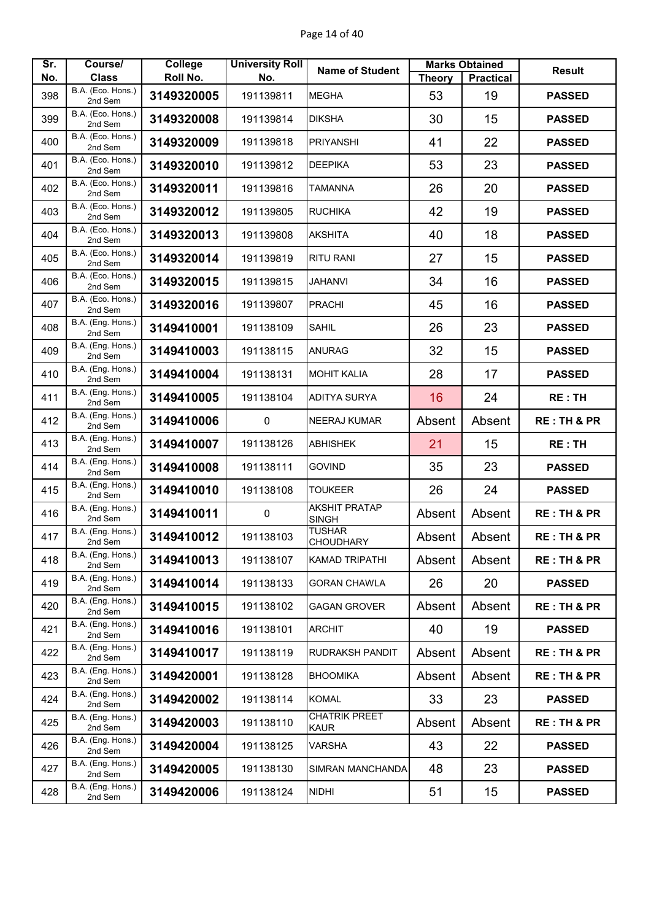| Sr. | Course/                           | <b>College</b> | <b>University Roll</b> | <b>Name of Student</b>               |               | <b>Marks Obtained</b> | <b>Result</b>          |
|-----|-----------------------------------|----------------|------------------------|--------------------------------------|---------------|-----------------------|------------------------|
| No. | <b>Class</b><br>B.A. (Eco. Hons.) | Roll No.       | No.                    |                                      | <b>Theory</b> | <b>Practical</b>      |                        |
| 398 | 2nd Sem                           | 3149320005     | 191139811              | <b>MEGHA</b>                         | 53            | 19                    | <b>PASSED</b>          |
| 399 | B.A. (Eco. Hons.)<br>2nd Sem      | 3149320008     | 191139814              | <b>DIKSHA</b>                        | 30            | 15                    | <b>PASSED</b>          |
| 400 | B.A. (Eco. Hons.)<br>2nd Sem      | 3149320009     | 191139818              | <b>PRIYANSHI</b>                     | 41            | 22                    | <b>PASSED</b>          |
| 401 | B.A. (Eco. Hons.)<br>2nd Sem      | 3149320010     | 191139812              | <b>DEEPIKA</b>                       | 53            | 23                    | <b>PASSED</b>          |
| 402 | B.A. (Eco. Hons.)<br>2nd Sem      | 3149320011     | 191139816              | <b>TAMANNA</b>                       | 26            | 20                    | <b>PASSED</b>          |
| 403 | B.A. (Eco. Hons.)<br>2nd Sem      | 3149320012     | 191139805              | <b>RUCHIKA</b>                       | 42            | 19                    | <b>PASSED</b>          |
| 404 | B.A. (Eco. Hons.)<br>2nd Sem      | 3149320013     | 191139808              | <b>AKSHITA</b>                       | 40            | 18                    | <b>PASSED</b>          |
| 405 | B.A. (Eco. Hons.)<br>2nd Sem      | 3149320014     | 191139819              | <b>RITU RANI</b>                     | 27            | 15                    | <b>PASSED</b>          |
| 406 | B.A. (Eco. Hons.)<br>2nd Sem      | 3149320015     | 191139815              | <b>JAHANVI</b>                       | 34            | 16                    | <b>PASSED</b>          |
| 407 | B.A. (Eco. Hons.)<br>2nd Sem      | 3149320016     | 191139807              | <b>PRACHI</b>                        | 45            | 16                    | <b>PASSED</b>          |
| 408 | B.A. (Eng. Hons.)<br>2nd Sem      | 3149410001     | 191138109              | <b>SAHIL</b>                         | 26            | 23                    | <b>PASSED</b>          |
| 409 | B.A. (Eng. Hons.)<br>2nd Sem      | 3149410003     | 191138115              | <b>ANURAG</b>                        | 32            | 15                    | <b>PASSED</b>          |
| 410 | B.A. (Eng. Hons.)<br>2nd Sem      | 3149410004     | 191138131              | <b>MOHIT KALIA</b>                   | 28            | 17                    | <b>PASSED</b>          |
| 411 | B.A. (Eng. Hons.)<br>2nd Sem      | 3149410005     | 191138104              | <b>ADITYA SURYA</b>                  | 16            | 24                    | <b>RE:TH</b>           |
| 412 | B.A. (Eng. Hons.)<br>2nd Sem      | 3149410006     | $\pmb{0}$              | <b>NEERAJ KUMAR</b>                  | Absent        | Absent                | <b>RE: TH &amp; PR</b> |
| 413 | B.A. (Eng. Hons.)<br>2nd Sem      | 3149410007     | 191138126              | <b>ABHISHEK</b>                      | 21            | 15                    | <b>RE:TH</b>           |
| 414 | B.A. (Eng. Hons.)<br>2nd Sem      | 3149410008     | 191138111              | <b>GOVIND</b>                        | 35            | 23                    | <b>PASSED</b>          |
| 415 | B.A. (Eng. Hons.)<br>2nd Sem      | 3149410010     | 191138108              | <b>TOUKEER</b>                       | 26            | 24                    | <b>PASSED</b>          |
| 416 | B.A. (Eng. Hons.)<br>2nd Sem      | 3149410011     | $\pmb{0}$              | <b>AKSHIT PRATAP</b><br><b>SINGH</b> | Absent        | Absent                | <b>RE: TH &amp; PR</b> |
| 417 | B.A. (Eng. Hons.)<br>2nd Sem      | 3149410012     | 191138103              | <b>TUSHAR</b><br><b>CHOUDHARY</b>    | Absent        | Absent                | <b>RE: TH &amp; PR</b> |
| 418 | B.A. (Eng. Hons.)<br>2nd Sem      | 3149410013     | 191138107              | <b>KAMAD TRIPATHI</b>                | Absent        | Absent                | <b>RE: TH &amp; PR</b> |
| 419 | B.A. (Eng. Hons.)<br>2nd Sem      | 3149410014     | 191138133              | <b>GORAN CHAWLA</b>                  | 26            | 20                    | <b>PASSED</b>          |
| 420 | B.A. (Eng. Hons.)<br>2nd Sem      | 3149410015     | 191138102              | <b>GAGAN GROVER</b>                  | Absent        | Absent                | <b>RE: TH &amp; PR</b> |
| 421 | B.A. (Eng. Hons.)<br>2nd Sem      | 3149410016     | 191138101              | <b>ARCHIT</b>                        | 40            | 19                    | <b>PASSED</b>          |
| 422 | B.A. (Eng. Hons.)<br>2nd Sem      | 3149410017     | 191138119              | RUDRAKSH PANDIT                      | Absent        | Absent                | <b>RE: TH &amp; PR</b> |
| 423 | B.A. (Eng. Hons.)<br>2nd Sem      | 3149420001     | 191138128              | <b>BHOOMIKA</b>                      | Absent        | Absent                | <b>RE: TH &amp; PR</b> |
| 424 | B.A. (Eng. Hons.)<br>2nd Sem      | 3149420002     | 191138114              | <b>KOMAL</b>                         | 33            | 23                    | <b>PASSED</b>          |
| 425 | B.A. (Eng. Hons.)<br>2nd Sem      | 3149420003     | 191138110              | <b>CHATRIK PREET</b><br><b>KAUR</b>  | Absent        | Absent                | <b>RE: TH &amp; PR</b> |
| 426 | B.A. (Eng. Hons.)<br>2nd Sem      | 3149420004     | 191138125              | VARSHA                               | 43            | 22                    | <b>PASSED</b>          |
| 427 | B.A. (Eng. Hons.)<br>2nd Sem      | 3149420005     | 191138130              | SIMRAN MANCHANDA                     | 48            | 23                    | <b>PASSED</b>          |
| 428 | B.A. (Eng. Hons.)<br>2nd Sem      | 3149420006     | 191138124              | <b>NIDHI</b>                         | 51            | 15                    | <b>PASSED</b>          |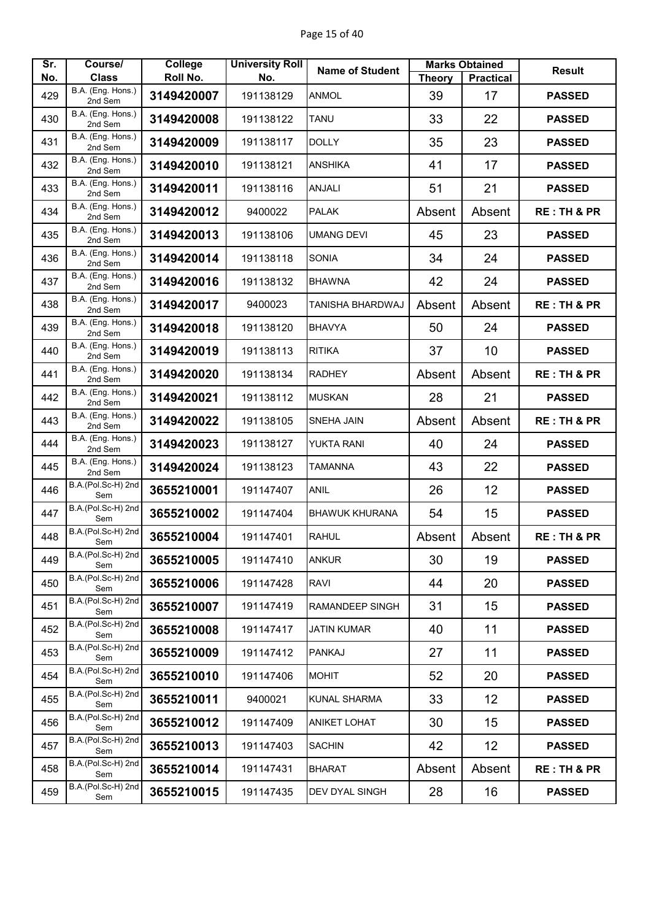| Sr. | Course/                      | College    | <b>University Roll</b> | <b>Name of Student</b>  |        | <b>Marks Obtained</b> | <b>Result</b>          |
|-----|------------------------------|------------|------------------------|-------------------------|--------|-----------------------|------------------------|
| No. | <b>Class</b>                 | Roll No.   | No.                    |                         | Theory | <b>Practical</b>      |                        |
| 429 | B.A. (Eng. Hons.)<br>2nd Sem | 3149420007 | 191138129              | <b>ANMOL</b>            | 39     | 17                    | <b>PASSED</b>          |
| 430 | B.A. (Eng. Hons.)<br>2nd Sem | 3149420008 | 191138122              | <b>TANU</b>             | 33     | 22                    | <b>PASSED</b>          |
| 431 | B.A. (Eng. Hons.)<br>2nd Sem | 3149420009 | 191138117              | <b>DOLLY</b>            | 35     | 23                    | <b>PASSED</b>          |
| 432 | B.A. (Eng. Hons.)<br>2nd Sem | 3149420010 | 191138121              | <b>ANSHIKA</b>          | 41     | 17                    | <b>PASSED</b>          |
| 433 | B.A. (Eng. Hons.)<br>2nd Sem | 3149420011 | 191138116              | <b>ANJALI</b>           | 51     | 21                    | <b>PASSED</b>          |
| 434 | B.A. (Eng. Hons.)<br>2nd Sem | 3149420012 | 9400022                | <b>PALAK</b>            | Absent | Absent                | <b>RE: TH &amp; PR</b> |
| 435 | B.A. (Eng. Hons.)<br>2nd Sem | 3149420013 | 191138106              | <b>UMANG DEVI</b>       | 45     | 23                    | <b>PASSED</b>          |
| 436 | B.A. (Eng. Hons.)<br>2nd Sem | 3149420014 | 191138118              | <b>SONIA</b>            | 34     | 24                    | <b>PASSED</b>          |
| 437 | B.A. (Eng. Hons.)<br>2nd Sem | 3149420016 | 191138132              | <b>BHAWNA</b>           | 42     | 24                    | <b>PASSED</b>          |
| 438 | B.A. (Eng. Hons.)<br>2nd Sem | 3149420017 | 9400023                | <b>TANISHA BHARDWAJ</b> | Absent | Absent                | <b>RE: TH &amp; PR</b> |
| 439 | B.A. (Eng. Hons.)<br>2nd Sem | 3149420018 | 191138120              | <b>BHAVYA</b>           | 50     | 24                    | <b>PASSED</b>          |
| 440 | B.A. (Eng. Hons.)<br>2nd Sem | 3149420019 | 191138113              | <b>RITIKA</b>           | 37     | 10                    | <b>PASSED</b>          |
| 441 | B.A. (Eng. Hons.)<br>2nd Sem | 3149420020 | 191138134              | <b>RADHEY</b>           | Absent | Absent                | <b>RE: TH &amp; PR</b> |
| 442 | B.A. (Eng. Hons.)<br>2nd Sem | 3149420021 | 191138112              | <b>MUSKAN</b>           | 28     | 21                    | <b>PASSED</b>          |
| 443 | B.A. (Eng. Hons.)<br>2nd Sem | 3149420022 | 191138105              | <b>SNEHA JAIN</b>       | Absent | Absent                | <b>RE: TH &amp; PR</b> |
| 444 | B.A. (Eng. Hons.)<br>2nd Sem | 3149420023 | 191138127              | YUKTA RANI              | 40     | 24                    | <b>PASSED</b>          |
| 445 | B.A. (Eng. Hons.)<br>2nd Sem | 3149420024 | 191138123              | <b>TAMANNA</b>          | 43     | 22                    | <b>PASSED</b>          |
| 446 | B.A.(Pol.Sc-H) 2nd<br>Sem    | 3655210001 | 191147407              | <b>ANIL</b>             | 26     | 12                    | <b>PASSED</b>          |
| 447 | B.A.(Pol.Sc-H) 2nd<br>Sem    | 3655210002 | 191147404              | <b>BHAWUK KHURANA</b>   | 54     | 15                    | <b>PASSED</b>          |
| 448 | B.A.(Pol.Sc-H) 2nd<br>Sem    | 3655210004 | 191147401              | <b>RAHUL</b>            | Absent | Absent                | <b>RE: TH &amp; PR</b> |
| 449 | B.A.(Pol.Sc-H) 2nd<br>Sem    | 3655210005 | 191147410              | <b>ANKUR</b>            | 30     | 19                    | <b>PASSED</b>          |
| 450 | B.A.(Pol.Sc-H) 2nd<br>Sem    | 3655210006 | 191147428              | <b>RAVI</b>             | 44     | 20                    | <b>PASSED</b>          |
| 451 | B.A.(Pol.Sc-H) 2nd<br>Sem    | 3655210007 | 191147419              | <b>RAMANDEEP SINGH</b>  | 31     | 15                    | <b>PASSED</b>          |
| 452 | B.A.(Pol.Sc-H) 2nd<br>Sem    | 3655210008 | 191147417              | <b>JATIN KUMAR</b>      | 40     | 11                    | <b>PASSED</b>          |
| 453 | B.A.(Pol.Sc-H) 2nd<br>Sem    | 3655210009 | 191147412              | <b>PANKAJ</b>           | 27     | 11                    | <b>PASSED</b>          |
| 454 | B.A.(Pol.Sc-H) 2nd<br>Sem    | 3655210010 | 191147406              | <b>MOHIT</b>            | 52     | 20                    | <b>PASSED</b>          |
| 455 | B.A.(Pol.Sc-H) 2nd<br>Sem    | 3655210011 | 9400021                | <b>KUNAL SHARMA</b>     | 33     | 12                    | <b>PASSED</b>          |
| 456 | B.A.(Pol.Sc-H) 2nd<br>Sem    | 3655210012 | 191147409              | <b>ANIKET LOHAT</b>     | 30     | 15                    | <b>PASSED</b>          |
| 457 | B.A.(Pol.Sc-H) 2nd<br>Sem    | 3655210013 | 191147403              | <b>SACHIN</b>           | 42     | 12                    | <b>PASSED</b>          |
| 458 | B.A.(Pol.Sc-H) 2nd<br>Sem    | 3655210014 | 191147431              | <b>BHARAT</b>           | Absent | Absent                | <b>RE: TH &amp; PR</b> |
| 459 | B.A.(Pol.Sc-H) 2nd<br>Sem    | 3655210015 | 191147435              | DEV DYAL SINGH          | 28     | 16                    | <b>PASSED</b>          |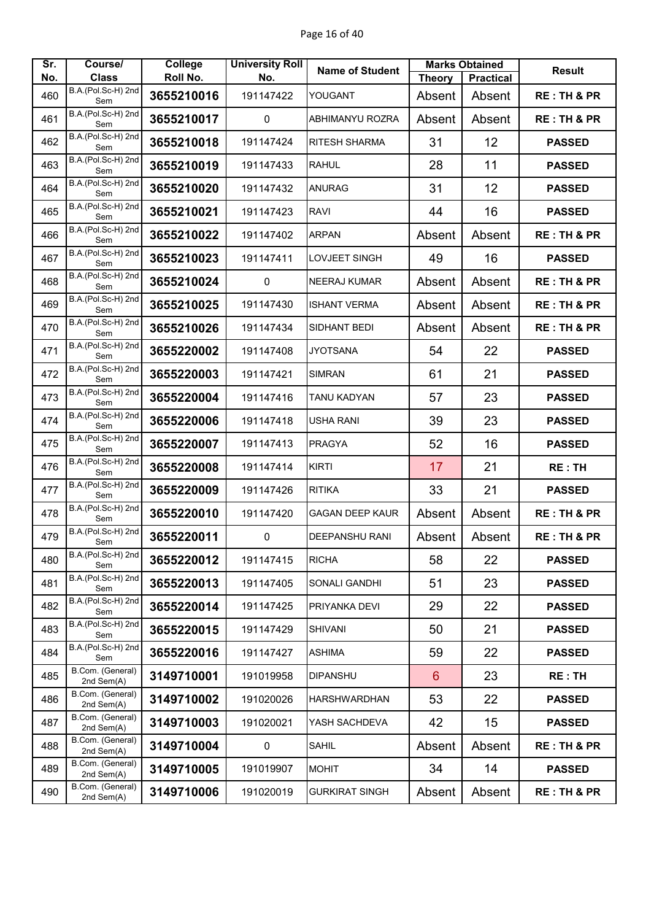| Sr. | Course/                            | College    | <b>University Roll</b> | <b>Name of Student</b> |                 | <b>Marks Obtained</b> | <b>Result</b>          |
|-----|------------------------------------|------------|------------------------|------------------------|-----------------|-----------------------|------------------------|
| No. | <b>Class</b><br>B.A.(Pol.Sc-H) 2nd | Roll No.   | No.                    |                        | <b>Theory</b>   | <b>Practical</b>      |                        |
| 460 | Sem                                | 3655210016 | 191147422              | YOUGANT                | Absent          | Absent                | <b>RE: TH &amp; PR</b> |
| 461 | B.A.(Pol.Sc-H) 2nd<br>Sem          | 3655210017 | $\mathbf 0$            | <b>ABHIMANYU ROZRA</b> | Absent          | Absent                | <b>RE: TH &amp; PR</b> |
| 462 | B.A.(Pol.Sc-H) 2nd<br>Sem          | 3655210018 | 191147424              | <b>RITESH SHARMA</b>   | 31              | 12                    | <b>PASSED</b>          |
| 463 | B.A.(Pol.Sc-H) 2nd<br>Sem          | 3655210019 | 191147433              | <b>RAHUL</b>           | 28              | 11                    | <b>PASSED</b>          |
| 464 | B.A.(Pol.Sc-H) 2nd<br>Sem          | 3655210020 | 191147432              | <b>ANURAG</b>          | 31              | 12                    | <b>PASSED</b>          |
| 465 | B.A.(Pol.Sc-H) 2nd<br>Sem          | 3655210021 | 191147423              | <b>RAVI</b>            | 44              | 16                    | <b>PASSED</b>          |
| 466 | B.A.(Pol.Sc-H) 2nd<br>Sem          | 3655210022 | 191147402              | <b>ARPAN</b>           | Absent          | Absent                | <b>RE: TH &amp; PR</b> |
| 467 | B.A.(Pol.Sc-H) 2nd<br>Sem          | 3655210023 | 191147411              | LOVJEET SINGH          | 49              | 16                    | <b>PASSED</b>          |
| 468 | B.A.(Pol.Sc-H) 2nd<br>Sem          | 3655210024 | $\mathbf{0}$           | <b>NEERAJ KUMAR</b>    | Absent          | Absent                | <b>RE: TH &amp; PR</b> |
| 469 | B.A.(Pol.Sc-H) 2nd<br>Sem          | 3655210025 | 191147430              | <b>ISHANT VERMA</b>    | Absent          | Absent                | <b>RE: TH &amp; PR</b> |
| 470 | B.A.(Pol.Sc-H) 2nd<br>Sem          | 3655210026 | 191147434              | SIDHANT BEDI           | Absent          | Absent                | <b>RE: TH &amp; PR</b> |
| 471 | B.A.(Pol.Sc-H) 2nd<br>Sem          | 3655220002 | 191147408              | <b>JYOTSANA</b>        | 54              | 22                    | <b>PASSED</b>          |
| 472 | B.A.(Pol.Sc-H) 2nd<br>Sem          | 3655220003 | 191147421              | <b>SIMRAN</b>          | 61              | 21                    | <b>PASSED</b>          |
| 473 | B.A.(Pol.Sc-H) 2nd<br>Sem          | 3655220004 | 191147416              | TANU KADYAN            | 57              | 23                    | <b>PASSED</b>          |
| 474 | B.A.(Pol.Sc-H) 2nd<br>Sem          | 3655220006 | 191147418              | <b>USHA RANI</b>       | 39              | 23                    | <b>PASSED</b>          |
| 475 | B.A.(Pol.Sc-H) 2nd<br>Sem          | 3655220007 | 191147413              | <b>PRAGYA</b>          | 52              | 16                    | <b>PASSED</b>          |
| 476 | B.A.(Pol.Sc-H) 2nd<br>Sem          | 3655220008 | 191147414              | <b>KIRTI</b>           | 17              | 21                    | <b>RE: TH</b>          |
| 477 | B.A.(Pol.Sc-H) 2nd<br>Sem          | 3655220009 | 191147426              | <b>RITIKA</b>          | 33              | 21                    | <b>PASSED</b>          |
| 478 | B.A.(Pol.Sc-H) 2nd<br>Sem          | 3655220010 | 191147420              | <b>GAGAN DEEP KAUR</b> | Absent          | Absent                | <b>RE: TH &amp; PR</b> |
| 479 | B.A.(Pol.Sc-H) 2nd<br>Sem          | 3655220011 | $\pmb{0}$              | <b>DEEPANSHU RANI</b>  | Absent          | Absent                | <b>RE: TH &amp; PR</b> |
| 480 | B.A.(Pol.Sc-H) 2nd<br>Sem          | 3655220012 | 191147415              | <b>RICHA</b>           | 58              | 22                    | <b>PASSED</b>          |
| 481 | B.A.(Pol.Sc-H) 2nd<br>Sem          | 3655220013 | 191147405              | SONALI GANDHI          | 51              | 23                    | <b>PASSED</b>          |
| 482 | B.A.(Pol.Sc-H) 2nd<br>Sem          | 3655220014 | 191147425              | PRIYANKA DEVI          | 29              | 22                    | <b>PASSED</b>          |
| 483 | B.A.(Pol.Sc-H) 2nd<br>Sem          | 3655220015 | 191147429              | <b>SHIVANI</b>         | 50              | 21                    | <b>PASSED</b>          |
| 484 | B.A.(Pol.Sc-H) 2nd<br>Sem          | 3655220016 | 191147427              | <b>ASHIMA</b>          | 59              | 22                    | <b>PASSED</b>          |
| 485 | B.Com. (General)<br>2nd Sem(A)     | 3149710001 | 191019958              | <b>DIPANSHU</b>        | $6\phantom{1}6$ | 23                    | <b>RE: TH</b>          |
| 486 | B.Com. (General)<br>2nd Sem(A)     | 3149710002 | 191020026              | <b>HARSHWARDHAN</b>    | 53              | 22                    | <b>PASSED</b>          |
| 487 | B.Com. (General)<br>2nd Sem(A)     | 3149710003 | 191020021              | YASH SACHDEVA          | 42              | 15                    | <b>PASSED</b>          |
| 488 | B.Com. (General)<br>2nd Sem(A)     | 3149710004 | 0                      | <b>SAHIL</b>           | Absent          | Absent                | <b>RE: TH &amp; PR</b> |
| 489 | B.Com. (General)<br>2nd Sem(A)     | 3149710005 | 191019907              | <b>MOHIT</b>           | 34              | 14                    | <b>PASSED</b>          |
| 490 | B.Com. (General)<br>2nd Sem(A)     | 3149710006 | 191020019              | <b>GURKIRAT SINGH</b>  | Absent          | Absent                | <b>RE: TH &amp; PR</b> |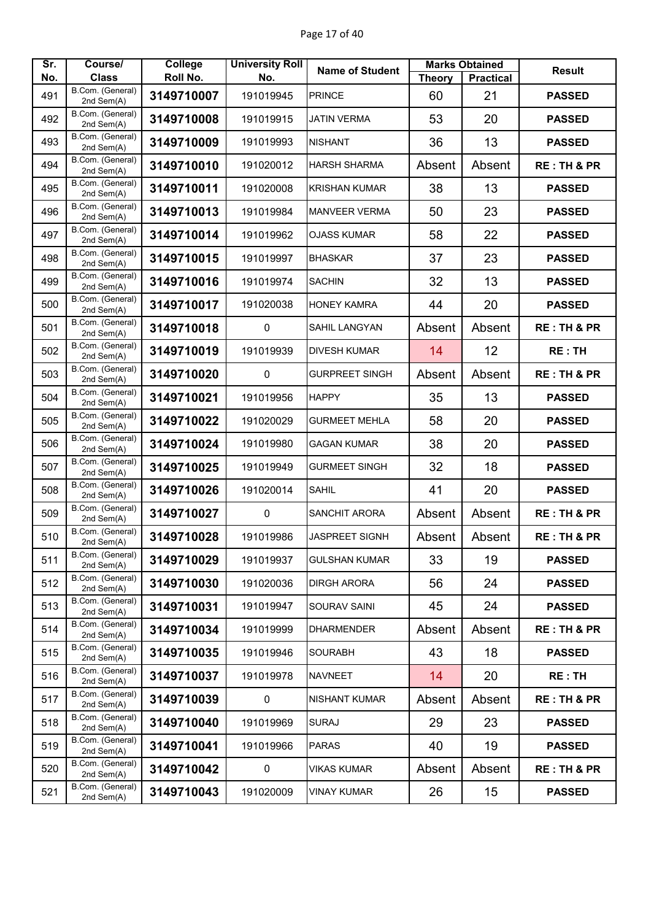| Sr. | Course/                        | College    | <b>University Roll</b> | <b>Name of Student</b> |               | <b>Marks Obtained</b> | <b>Result</b>          |
|-----|--------------------------------|------------|------------------------|------------------------|---------------|-----------------------|------------------------|
| No. | <b>Class</b>                   | Roll No.   | No.                    |                        | <b>Theory</b> | <b>Practical</b>      |                        |
| 491 | B.Com. (General)<br>2nd Sem(A) | 3149710007 | 191019945              | <b>PRINCE</b>          | 60            | 21                    | <b>PASSED</b>          |
| 492 | B.Com. (General)<br>2nd Sem(A) | 3149710008 | 191019915              | <b>JATIN VERMA</b>     | 53            | 20                    | <b>PASSED</b>          |
| 493 | B.Com. (General)<br>2nd Sem(A) | 3149710009 | 191019993              | <b>NISHANT</b>         | 36            | 13                    | <b>PASSED</b>          |
| 494 | B.Com. (General)<br>2nd Sem(A) | 3149710010 | 191020012              | <b>HARSH SHARMA</b>    | Absent        | Absent                | <b>RE: TH &amp; PR</b> |
| 495 | B.Com. (General)<br>2nd Sem(A) | 3149710011 | 191020008              | <b>KRISHAN KUMAR</b>   | 38            | 13                    | <b>PASSED</b>          |
| 496 | B.Com. (General)<br>2nd Sem(A) | 3149710013 | 191019984              | <b>MANVEER VERMA</b>   | 50            | 23                    | <b>PASSED</b>          |
| 497 | B.Com. (General)<br>2nd Sem(A) | 3149710014 | 191019962              | <b>OJASS KUMAR</b>     | 58            | 22                    | <b>PASSED</b>          |
| 498 | B.Com. (General)<br>2nd Sem(A) | 3149710015 | 191019997              | <b>BHASKAR</b>         | 37            | 23                    | <b>PASSED</b>          |
| 499 | B.Com. (General)<br>2nd Sem(A) | 3149710016 | 191019974              | <b>SACHIN</b>          | 32            | 13                    | <b>PASSED</b>          |
| 500 | B.Com. (General)<br>2nd Sem(A) | 3149710017 | 191020038              | <b>HONEY KAMRA</b>     | 44            | 20                    | <b>PASSED</b>          |
| 501 | B.Com. (General)<br>2nd Sem(A) | 3149710018 | 0                      | <b>SAHIL LANGYAN</b>   | Absent        | Absent                | <b>RE: TH &amp; PR</b> |
| 502 | B.Com. (General)<br>2nd Sem(A) | 3149710019 | 191019939              | <b>DIVESH KUMAR</b>    | 14            | 12                    | <b>RE: TH</b>          |
| 503 | B.Com. (General)<br>2nd Sem(A) | 3149710020 | 0                      | <b>GURPREET SINGH</b>  | Absent        | Absent                | <b>RE: TH &amp; PR</b> |
| 504 | B.Com. (General)<br>2nd Sem(A) | 3149710021 | 191019956              | <b>HAPPY</b>           | 35            | 13                    | <b>PASSED</b>          |
| 505 | B.Com. (General)<br>2nd Sem(A) | 3149710022 | 191020029              | <b>GURMEET MEHLA</b>   | 58            | 20                    | <b>PASSED</b>          |
| 506 | B.Com. (General)<br>2nd Sem(A) | 3149710024 | 191019980              | <b>GAGAN KUMAR</b>     | 38            | 20                    | <b>PASSED</b>          |
| 507 | B.Com. (General)<br>2nd Sem(A) | 3149710025 | 191019949              | <b>GURMEET SINGH</b>   | 32            | 18                    | <b>PASSED</b>          |
| 508 | B.Com. (General)<br>2nd Sem(A) | 3149710026 | 191020014              | <b>SAHIL</b>           | 41            | 20                    | <b>PASSED</b>          |
| 509 | B.Com. (General)<br>2nd Sem(A) | 3149710027 | $\pmb{0}$              | <b>SANCHIT ARORA</b>   | Absent        | Absent                | <b>RE: TH &amp; PR</b> |
| 510 | B.Com. (General)<br>2nd Sem(A) | 3149710028 | 191019986              | JASPREET SIGNH         | Absent        | Absent                | <b>RE: TH &amp; PR</b> |
| 511 | B.Com. (General)<br>2nd Sem(A) | 3149710029 | 191019937              | <b>GULSHAN KUMAR</b>   | 33            | 19                    | <b>PASSED</b>          |
| 512 | B.Com. (General)<br>2nd Sem(A) | 3149710030 | 191020036              | <b>DIRGH ARORA</b>     | 56            | 24                    | <b>PASSED</b>          |
| 513 | B.Com. (General)<br>2nd Sem(A) | 3149710031 | 191019947              | SOURAV SAINI           | 45            | 24                    | <b>PASSED</b>          |
| 514 | B.Com. (General)<br>2nd Sem(A) | 3149710034 | 191019999              | <b>DHARMENDER</b>      | Absent        | Absent                | <b>RE: TH &amp; PR</b> |
| 515 | B.Com. (General)<br>2nd Sem(A) | 3149710035 | 191019946              | <b>SOURABH</b>         | 43            | 18                    | <b>PASSED</b>          |
| 516 | B.Com. (General)<br>2nd Sem(A) | 3149710037 | 191019978              | <b>NAVNEET</b>         | 14            | 20                    | RE:TH                  |
| 517 | B.Com. (General)<br>2nd Sem(A) | 3149710039 | 0                      | <b>NISHANT KUMAR</b>   | Absent        | Absent                | <b>RE: TH &amp; PR</b> |
| 518 | B.Com. (General)<br>2nd Sem(A) | 3149710040 | 191019969              | <b>SURAJ</b>           | 29            | 23                    | <b>PASSED</b>          |
| 519 | B.Com. (General)<br>2nd Sem(A) | 3149710041 | 191019966              | <b>PARAS</b>           | 40            | 19                    | <b>PASSED</b>          |
| 520 | B.Com. (General)<br>2nd Sem(A) | 3149710042 | $\pmb{0}$              | <b>VIKAS KUMAR</b>     | Absent        | Absent                | <b>RE: TH &amp; PR</b> |
| 521 | B.Com. (General)<br>2nd Sem(A) | 3149710043 | 191020009              | VINAY KUMAR            | 26            | 15                    | <b>PASSED</b>          |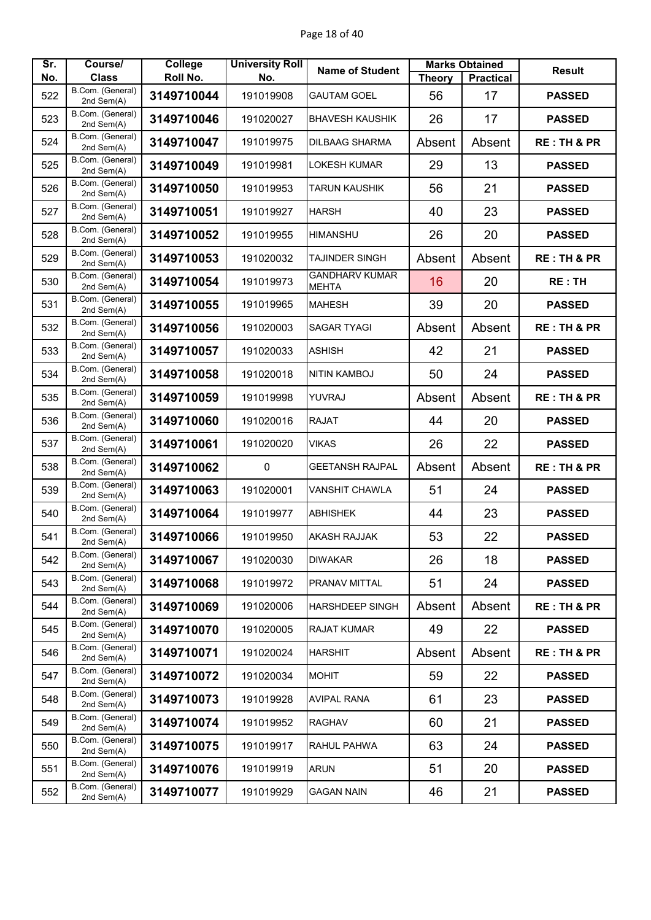| Sr. | Course/                        | College    | <b>University Roll</b> | <b>Name of Student</b>                |               | <b>Marks Obtained</b> | <b>Result</b>          |
|-----|--------------------------------|------------|------------------------|---------------------------------------|---------------|-----------------------|------------------------|
| No. | <b>Class</b>                   | Roll No.   | No.                    |                                       | <b>Theory</b> | <b>Practical</b>      |                        |
| 522 | B.Com. (General)<br>2nd Sem(A) | 3149710044 | 191019908              | <b>GAUTAM GOEL</b>                    | 56            | 17                    | <b>PASSED</b>          |
| 523 | B.Com. (General)<br>2nd Sem(A) | 3149710046 | 191020027              | <b>BHAVESH KAUSHIK</b>                | 26            | 17                    | <b>PASSED</b>          |
| 524 | B.Com. (General)<br>2nd Sem(A) | 3149710047 | 191019975              | <b>DILBAAG SHARMA</b>                 | Absent        | Absent                | <b>RE: TH &amp; PR</b> |
| 525 | B.Com. (General)<br>2nd Sem(A) | 3149710049 | 191019981              | <b>LOKESH KUMAR</b>                   | 29            | 13                    | <b>PASSED</b>          |
| 526 | B.Com. (General)<br>2nd Sem(A) | 3149710050 | 191019953              | TARUN KAUSHIK                         | 56            | 21                    | <b>PASSED</b>          |
| 527 | B.Com. (General)<br>2nd Sem(A) | 3149710051 | 191019927              | <b>HARSH</b>                          | 40            | 23                    | <b>PASSED</b>          |
| 528 | B.Com. (General)<br>2nd Sem(A) | 3149710052 | 191019955              | <b>HIMANSHU</b>                       | 26            | 20                    | <b>PASSED</b>          |
| 529 | B.Com. (General)<br>2nd Sem(A) | 3149710053 | 191020032              | <b>TAJINDER SINGH</b>                 | Absent        | Absent                | <b>RE: TH &amp; PR</b> |
| 530 | B.Com. (General)<br>2nd Sem(A) | 3149710054 | 191019973              | <b>GANDHARV KUMAR</b><br><b>MEHTA</b> | 16            | 20                    | <b>RE: TH</b>          |
| 531 | B.Com. (General)<br>2nd Sem(A) | 3149710055 | 191019965              | <b>MAHESH</b>                         | 39            | 20                    | <b>PASSED</b>          |
| 532 | B.Com. (General)<br>2nd Sem(A) | 3149710056 | 191020003              | <b>SAGAR TYAGI</b>                    | Absent        | Absent                | <b>RE: TH &amp; PR</b> |
| 533 | B.Com. (General)<br>2nd Sem(A) | 3149710057 | 191020033              | <b>ASHISH</b>                         | 42            | 21                    | <b>PASSED</b>          |
| 534 | B.Com. (General)<br>2nd Sem(A) | 3149710058 | 191020018              | <b>NITIN KAMBOJ</b>                   | 50            | 24                    | <b>PASSED</b>          |
| 535 | B.Com. (General)<br>2nd Sem(A) | 3149710059 | 191019998              | YUVRAJ                                | Absent        | Absent                | <b>RE: TH &amp; PR</b> |
| 536 | B.Com. (General)<br>2nd Sem(A) | 3149710060 | 191020016              | <b>RAJAT</b>                          | 44            | 20                    | <b>PASSED</b>          |
| 537 | B.Com. (General)<br>2nd Sem(A) | 3149710061 | 191020020              | <b>VIKAS</b>                          | 26            | 22                    | <b>PASSED</b>          |
| 538 | B.Com. (General)<br>2nd Sem(A) | 3149710062 | $\mathbf 0$            | <b>GEETANSH RAJPAL</b>                | Absent        | Absent                | <b>RE: TH &amp; PR</b> |
| 539 | B.Com. (General)<br>2nd Sem(A) | 3149710063 | 191020001              | <b>VANSHIT CHAWLA</b>                 | 51            | 24                    | <b>PASSED</b>          |
| 540 | B.Com. (General)<br>2nd Sem(A) | 3149710064 | 191019977              | <b>ABHISHEK</b>                       | 44            | 23                    | <b>PASSED</b>          |
| 541 | B.Com. (General)<br>2nd Sem(A) | 3149710066 | 191019950              | <b>AKASH RAJJAK</b>                   | 53            | 22                    | <b>PASSED</b>          |
| 542 | B.Com. (General)<br>2nd Sem(A) | 3149710067 | 191020030              | <b>DIWAKAR</b>                        | 26            | 18                    | <b>PASSED</b>          |
| 543 | B.Com. (General)<br>2nd Sem(A) | 3149710068 | 191019972              | PRANAV MITTAL                         | 51            | 24                    | <b>PASSED</b>          |
| 544 | B.Com. (General)<br>2nd Sem(A) | 3149710069 | 191020006              | <b>HARSHDEEP SINGH</b>                | Absent        | Absent                | <b>RE: TH &amp; PR</b> |
| 545 | B.Com. (General)<br>2nd Sem(A) | 3149710070 | 191020005              | <b>RAJAT KUMAR</b>                    | 49            | 22                    | <b>PASSED</b>          |
| 546 | B.Com. (General)<br>2nd Sem(A) | 3149710071 | 191020024              | <b>HARSHIT</b>                        | Absent        | Absent                | <b>RE: TH &amp; PR</b> |
| 547 | B.Com. (General)<br>2nd Sem(A) | 3149710072 | 191020034              | <b>MOHIT</b>                          | 59            | 22                    | <b>PASSED</b>          |
| 548 | B.Com. (General)<br>2nd Sem(A) | 3149710073 | 191019928              | <b>AVIPAL RANA</b>                    | 61            | 23                    | <b>PASSED</b>          |
| 549 | B.Com. (General)<br>2nd Sem(A) | 3149710074 | 191019952              | <b>RAGHAV</b>                         | 60            | 21                    | <b>PASSED</b>          |
| 550 | B.Com. (General)<br>2nd Sem(A) | 3149710075 | 191019917              | RAHUL PAHWA                           | 63            | 24                    | <b>PASSED</b>          |
| 551 | B.Com. (General)<br>2nd Sem(A) | 3149710076 | 191019919              | <b>ARUN</b>                           | 51            | 20                    | <b>PASSED</b>          |
| 552 | B.Com. (General)<br>2nd Sem(A) | 3149710077 | 191019929              | <b>GAGAN NAIN</b>                     | 46            | 21                    | <b>PASSED</b>          |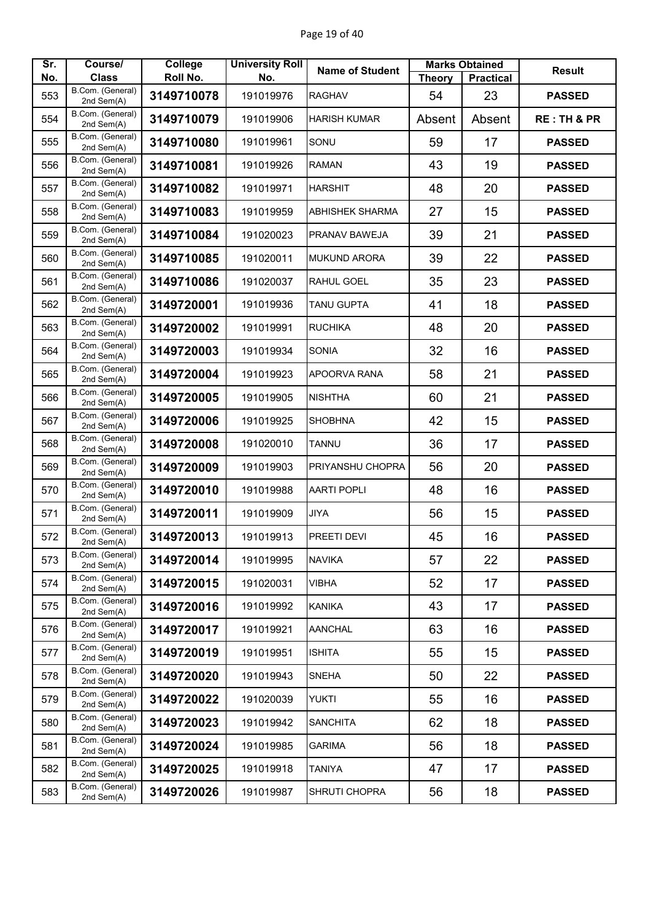| Sr. | Course/                          | <b>College</b><br>Roll No. | <b>University Roll</b> | <b>Name of Student</b> |               | <b>Marks Obtained</b> | <b>Result</b>          |
|-----|----------------------------------|----------------------------|------------------------|------------------------|---------------|-----------------------|------------------------|
| No. | <b>Class</b><br>B.Com. (General) |                            | No.                    |                        | <b>Theory</b> | <b>Practical</b>      |                        |
| 553 | 2nd Sem(A)                       | 3149710078                 | 191019976              | <b>RAGHAV</b>          | 54            | 23                    | <b>PASSED</b>          |
| 554 | B.Com. (General)<br>2nd Sem(A)   | 3149710079                 | 191019906              | <b>HARISH KUMAR</b>    | Absent        | Absent                | <b>RE: TH &amp; PR</b> |
| 555 | B.Com. (General)<br>2nd Sem(A)   | 3149710080                 | 191019961              | SONU                   | 59            | 17                    | <b>PASSED</b>          |
| 556 | B.Com. (General)<br>2nd Sem(A)   | 3149710081                 | 191019926              | <b>RAMAN</b>           | 43            | 19                    | <b>PASSED</b>          |
| 557 | B.Com. (General)<br>2nd Sem(A)   | 3149710082                 | 191019971              | <b>HARSHIT</b>         | 48            | 20                    | <b>PASSED</b>          |
| 558 | B.Com. (General)<br>2nd Sem(A)   | 3149710083                 | 191019959              | <b>ABHISHEK SHARMA</b> | 27            | 15                    | <b>PASSED</b>          |
| 559 | B.Com. (General)<br>2nd Sem(A)   | 3149710084                 | 191020023              | PRANAV BAWEJA          | 39            | 21                    | <b>PASSED</b>          |
| 560 | B.Com. (General)<br>2nd Sem(A)   | 3149710085                 | 191020011              | <b>MUKUND ARORA</b>    | 39            | 22                    | <b>PASSED</b>          |
| 561 | B.Com. (General)<br>2nd Sem(A)   | 3149710086                 | 191020037              | <b>RAHUL GOEL</b>      | 35            | 23                    | <b>PASSED</b>          |
| 562 | B.Com. (General)<br>2nd Sem(A)   | 3149720001                 | 191019936              | <b>TANU GUPTA</b>      | 41            | 18                    | <b>PASSED</b>          |
| 563 | B.Com. (General)<br>2nd Sem(A)   | 3149720002                 | 191019991              | <b>RUCHIKA</b>         | 48            | 20                    | <b>PASSED</b>          |
| 564 | B.Com. (General)<br>2nd Sem(A)   | 3149720003                 | 191019934              | <b>SONIA</b>           | 32            | 16                    | <b>PASSED</b>          |
| 565 | B.Com. (General)<br>2nd Sem(A)   | 3149720004                 | 191019923              | <b>APOORVA RANA</b>    | 58            | 21                    | <b>PASSED</b>          |
| 566 | B.Com. (General)<br>2nd Sem(A)   | 3149720005                 | 191019905              | <b>NISHTHA</b>         | 60            | 21                    | <b>PASSED</b>          |
| 567 | B.Com. (General)<br>2nd Sem(A)   | 3149720006                 | 191019925              | <b>SHOBHNA</b>         | 42            | 15                    | <b>PASSED</b>          |
| 568 | B.Com. (General)<br>2nd Sem(A)   | 3149720008                 | 191020010              | <b>TANNU</b>           | 36            | 17                    | <b>PASSED</b>          |
| 569 | B.Com. (General)<br>2nd Sem(A)   | 3149720009                 | 191019903              | PRIYANSHU CHOPRA       | 56            | 20                    | <b>PASSED</b>          |
| 570 | B.Com. (General)<br>2nd Sem(A)   | 3149720010                 | 191019988              | <b>AARTI POPLI</b>     | 48            | 16                    | <b>PASSED</b>          |
| 571 | B.Com. (General)<br>2nd Sem(A)   | 3149720011                 | 191019909              | <b>JIYA</b>            | 56            | 15                    | <b>PASSED</b>          |
| 572 | B.Com. (General)<br>2nd Sem(A)   | 3149720013                 | 191019913              | PREETI DEVI            | 45            | 16                    | <b>PASSED</b>          |
| 573 | B.Com. (General)<br>2nd Sem(A)   | 3149720014                 | 191019995              | <b>NAVIKA</b>          | 57            | 22                    | <b>PASSED</b>          |
| 574 | B.Com. (General)<br>2nd Sem(A)   | 3149720015                 | 191020031              | VIBHA                  | 52            | 17                    | <b>PASSED</b>          |
| 575 | B.Com. (General)<br>2nd Sem(A)   | 3149720016                 | 191019992              | <b>KANIKA</b>          | 43            | 17                    | <b>PASSED</b>          |
| 576 | B.Com. (General)<br>2nd Sem(A)   | 3149720017                 | 191019921              | <b>AANCHAL</b>         | 63            | 16                    | <b>PASSED</b>          |
| 577 | B.Com. (General)<br>2nd Sem(A)   | 3149720019                 | 191019951              | <b>ISHITA</b>          | 55            | 15                    | <b>PASSED</b>          |
| 578 | B.Com. (General)<br>2nd Sem(A)   | 3149720020                 | 191019943              | <b>SNEHA</b>           | 50            | 22                    | <b>PASSED</b>          |
| 579 | B.Com. (General)<br>2nd Sem(A)   | 3149720022                 | 191020039              | YUKTI                  | 55            | 16                    | <b>PASSED</b>          |
| 580 | B.Com. (General)<br>2nd Sem(A)   | 3149720023                 | 191019942              | <b>SANCHITA</b>        | 62            | 18                    | <b>PASSED</b>          |
| 581 | B.Com. (General)<br>2nd Sem(A)   | 3149720024                 | 191019985              | <b>GARIMA</b>          | 56            | 18                    | <b>PASSED</b>          |
| 582 | B.Com. (General)<br>2nd Sem(A)   | 3149720025                 | 191019918              | <b>TANIYA</b>          | 47            | 17                    | <b>PASSED</b>          |
| 583 | B.Com. (General)<br>2nd Sem(A)   | 3149720026                 | 191019987              | <b>SHRUTI CHOPRA</b>   | 56            | 18                    | <b>PASSED</b>          |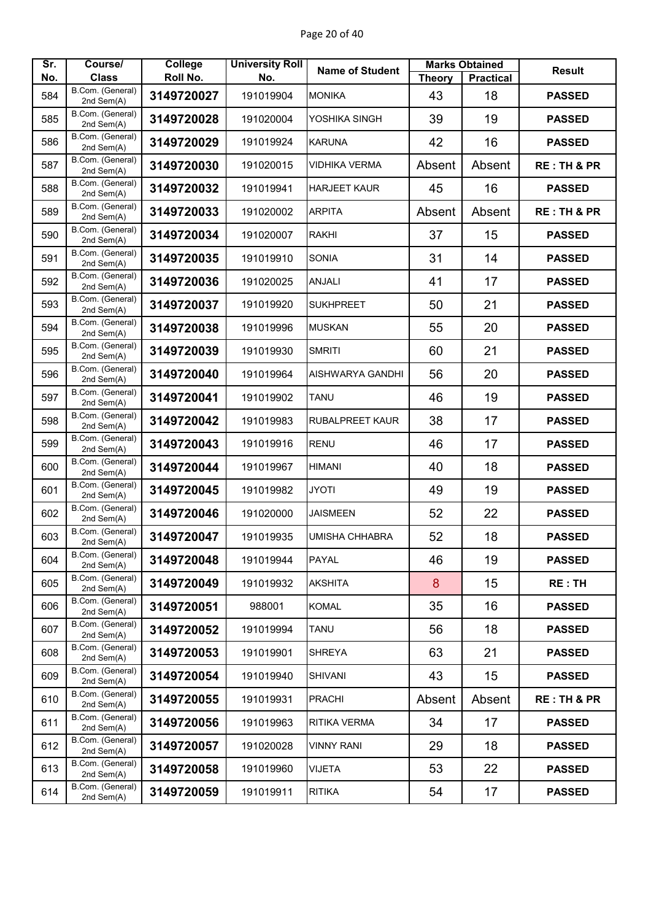| Sr. | Course/                        | College    | <b>University Roll</b> | <b>Name of Student</b> |               | <b>Marks Obtained</b> | <b>Result</b>          |
|-----|--------------------------------|------------|------------------------|------------------------|---------------|-----------------------|------------------------|
| No. | <b>Class</b>                   | Roll No.   | No.                    |                        | <b>Theory</b> | <b>Practical</b>      |                        |
| 584 | B.Com. (General)<br>2nd Sem(A) | 3149720027 | 191019904              | <b>MONIKA</b>          | 43            | 18                    | <b>PASSED</b>          |
| 585 | B.Com. (General)<br>2nd Sem(A) | 3149720028 | 191020004              | YOSHIKA SINGH          | 39            | 19                    | <b>PASSED</b>          |
| 586 | B.Com. (General)<br>2nd Sem(A) | 3149720029 | 191019924              | <b>KARUNA</b>          | 42            | 16                    | <b>PASSED</b>          |
| 587 | B.Com. (General)<br>2nd Sem(A) | 3149720030 | 191020015              | <b>VIDHIKA VERMA</b>   | Absent        | Absent                | <b>RE: TH &amp; PR</b> |
| 588 | B.Com. (General)<br>2nd Sem(A) | 3149720032 | 191019941              | <b>HARJEET KAUR</b>    | 45            | 16                    | <b>PASSED</b>          |
| 589 | B.Com. (General)<br>2nd Sem(A) | 3149720033 | 191020002              | <b>ARPITA</b>          | Absent        | Absent                | <b>RE: TH &amp; PR</b> |
| 590 | B.Com. (General)<br>2nd Sem(A) | 3149720034 | 191020007              | <b>RAKHI</b>           | 37            | 15                    | <b>PASSED</b>          |
| 591 | B.Com. (General)<br>2nd Sem(A) | 3149720035 | 191019910              | <b>SONIA</b>           | 31            | 14                    | <b>PASSED</b>          |
| 592 | B.Com. (General)<br>2nd Sem(A) | 3149720036 | 191020025              | <b>ANJALI</b>          | 41            | 17                    | <b>PASSED</b>          |
| 593 | B.Com. (General)<br>2nd Sem(A) | 3149720037 | 191019920              | <b>SUKHPREET</b>       | 50            | 21                    | <b>PASSED</b>          |
| 594 | B.Com. (General)<br>2nd Sem(A) | 3149720038 | 191019996              | <b>MUSKAN</b>          | 55            | 20                    | <b>PASSED</b>          |
| 595 | B.Com. (General)<br>2nd Sem(A) | 3149720039 | 191019930              | <b>SMRITI</b>          | 60            | 21                    | <b>PASSED</b>          |
| 596 | B.Com. (General)<br>2nd Sem(A) | 3149720040 | 191019964              | AISHWARYA GANDHI       | 56            | 20                    | <b>PASSED</b>          |
| 597 | B.Com. (General)<br>2nd Sem(A) | 3149720041 | 191019902              | <b>TANU</b>            | 46            | 19                    | <b>PASSED</b>          |
| 598 | B.Com. (General)<br>2nd Sem(A) | 3149720042 | 191019983              | <b>RUBALPREET KAUR</b> | 38            | 17                    | <b>PASSED</b>          |
| 599 | B.Com. (General)<br>2nd Sem(A) | 3149720043 | 191019916              | <b>RENU</b>            | 46            | 17                    | <b>PASSED</b>          |
| 600 | B.Com. (General)<br>2nd Sem(A) | 3149720044 | 191019967              | <b>HIMANI</b>          | 40            | 18                    | <b>PASSED</b>          |
| 601 | B.Com. (General)<br>2nd Sem(A) | 3149720045 | 191019982              | <b>JYOTI</b>           | 49            | 19                    | <b>PASSED</b>          |
| 602 | B.Com. (General)<br>2nd Sem(A) | 3149720046 | 191020000              | <b>JAISMEEN</b>        | 52            | 22                    | <b>PASSED</b>          |
| 603 | B.Com. (General)<br>2nd Sem(A) | 3149720047 | 191019935              | UMISHA CHHABRA         | 52            | 18                    | <b>PASSED</b>          |
| 604 | B.Com. (General)<br>2nd Sem(A) | 3149720048 | 191019944              | <b>PAYAL</b>           | 46            | 19                    | <b>PASSED</b>          |
| 605 | B.Com. (General)<br>2nd Sem(A) | 3149720049 | 191019932              | <b>AKSHITA</b>         | 8             | 15                    | RE: TH                 |
| 606 | B.Com. (General)<br>2nd Sem(A) | 3149720051 | 988001                 | <b>KOMAL</b>           | 35            | 16                    | <b>PASSED</b>          |
| 607 | B.Com. (General)<br>2nd Sem(A) | 3149720052 | 191019994              | <b>TANU</b>            | 56            | 18                    | <b>PASSED</b>          |
| 608 | B.Com. (General)<br>2nd Sem(A) | 3149720053 | 191019901              | <b>SHREYA</b>          | 63            | 21                    | <b>PASSED</b>          |
| 609 | B.Com. (General)<br>2nd Sem(A) | 3149720054 | 191019940              | <b>SHIVANI</b>         | 43            | 15                    | <b>PASSED</b>          |
| 610 | B.Com. (General)<br>2nd Sem(A) | 3149720055 | 191019931              | <b>PRACHI</b>          | Absent        | Absent                | <b>RE: TH &amp; PR</b> |
| 611 | B.Com. (General)<br>2nd Sem(A) | 3149720056 | 191019963              | <b>RITIKA VERMA</b>    | 34            | 17                    | <b>PASSED</b>          |
| 612 | B.Com. (General)<br>2nd Sem(A) | 3149720057 | 191020028              | <b>VINNY RANI</b>      | 29            | 18                    | <b>PASSED</b>          |
| 613 | B.Com. (General)<br>2nd Sem(A) | 3149720058 | 191019960              | <b>VIJETA</b>          | 53            | 22                    | <b>PASSED</b>          |
| 614 | B.Com. (General)<br>2nd Sem(A) | 3149720059 | 191019911              | <b>RITIKA</b>          | 54            | 17                    | <b>PASSED</b>          |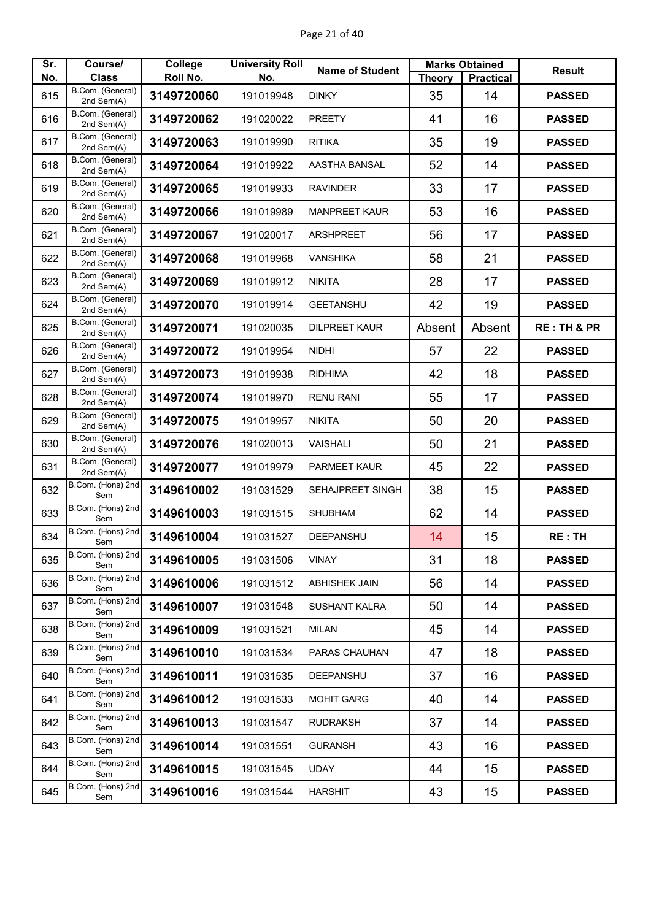| Sr. | Course/                          | College    | <b>University Roll</b> | <b>Name of Student</b>  |               | <b>Marks Obtained</b> | <b>Result</b>          |
|-----|----------------------------------|------------|------------------------|-------------------------|---------------|-----------------------|------------------------|
| No. | <b>Class</b><br>B.Com. (General) | Roll No.   | No.                    |                         | <b>Theory</b> | <b>Practical</b>      |                        |
| 615 | 2nd Sem(A)                       | 3149720060 | 191019948              | <b>DINKY</b>            | 35            | 14                    | <b>PASSED</b>          |
| 616 | B.Com. (General)<br>2nd Sem(A)   | 3149720062 | 191020022              | <b>PREETY</b>           | 41            | 16                    | <b>PASSED</b>          |
| 617 | B.Com. (General)<br>2nd Sem(A)   | 3149720063 | 191019990              | <b>RITIKA</b>           | 35            | 19                    | <b>PASSED</b>          |
| 618 | B.Com. (General)<br>2nd Sem(A)   | 3149720064 | 191019922              | AASTHA BANSAL           | 52            | 14                    | <b>PASSED</b>          |
| 619 | B.Com. (General)<br>2nd Sem(A)   | 3149720065 | 191019933              | <b>RAVINDER</b>         | 33            | 17                    | <b>PASSED</b>          |
| 620 | B.Com. (General)<br>2nd Sem(A)   | 3149720066 | 191019989              | <b>MANPREET KAUR</b>    | 53            | 16                    | <b>PASSED</b>          |
| 621 | B.Com. (General)<br>2nd Sem(A)   | 3149720067 | 191020017              | <b>ARSHPREET</b>        | 56            | 17                    | <b>PASSED</b>          |
| 622 | B.Com. (General)<br>2nd Sem(A)   | 3149720068 | 191019968              | <b>VANSHIKA</b>         | 58            | 21                    | <b>PASSED</b>          |
| 623 | B.Com. (General)<br>2nd Sem(A)   | 3149720069 | 191019912              | <b>NIKITA</b>           | 28            | 17                    | <b>PASSED</b>          |
| 624 | B.Com. (General)<br>2nd Sem(A)   | 3149720070 | 191019914              | <b>GEETANSHU</b>        | 42            | 19                    | <b>PASSED</b>          |
| 625 | B.Com. (General)<br>2nd Sem(A)   | 3149720071 | 191020035              | <b>DILPREET KAUR</b>    | Absent        | Absent                | <b>RE: TH &amp; PR</b> |
| 626 | B.Com. (General)<br>2nd Sem(A)   | 3149720072 | 191019954              | <b>NIDHI</b>            | 57            | 22                    | <b>PASSED</b>          |
| 627 | B.Com. (General)<br>2nd Sem(A)   | 3149720073 | 191019938              | <b>RIDHIMA</b>          | 42            | 18                    | <b>PASSED</b>          |
| 628 | B.Com. (General)<br>2nd Sem(A)   | 3149720074 | 191019970              | <b>RENU RANI</b>        | 55            | 17                    | <b>PASSED</b>          |
| 629 | B.Com. (General)<br>2nd Sem(A)   | 3149720075 | 191019957              | <b>NIKITA</b>           | 50            | 20                    | <b>PASSED</b>          |
| 630 | B.Com. (General)<br>2nd Sem(A)   | 3149720076 | 191020013              | <b>VAISHALI</b>         | 50            | 21                    | <b>PASSED</b>          |
| 631 | B.Com. (General)<br>2nd Sem(A)   | 3149720077 | 191019979              | PARMEET KAUR            | 45            | 22                    | <b>PASSED</b>          |
| 632 | B.Com. (Hons) 2nd<br>Sem         | 3149610002 | 191031529              | <b>SEHAJPREET SINGH</b> | 38            | 15                    | <b>PASSED</b>          |
| 633 | B.Com. (Hons) 2nd<br>Sem         | 3149610003 | 191031515              | <b>SHUBHAM</b>          | 62            | 14                    | <b>PASSED</b>          |
| 634 | B.Com. (Hons) 2nd<br>Sem         | 3149610004 | 191031527              | DEEPANSHU               | 14            | 15                    | <b>RE:TH</b>           |
| 635 | B.Com. (Hons) 2nd<br>Sem         | 3149610005 | 191031506              | <b>VINAY</b>            | 31            | 18                    | <b>PASSED</b>          |
| 636 | B.Com. (Hons) 2nd<br>Sem         | 3149610006 | 191031512              | <b>ABHISHEK JAIN</b>    | 56            | 14                    | <b>PASSED</b>          |
| 637 | B.Com. (Hons) 2nd<br>Sem         | 3149610007 | 191031548              | <b>SUSHANT KALRA</b>    | 50            | 14                    | <b>PASSED</b>          |
| 638 | B.Com. (Hons) 2nd<br>Sem         | 3149610009 | 191031521              | <b>MILAN</b>            | 45            | 14                    | <b>PASSED</b>          |
| 639 | B.Com. (Hons) 2nd<br>Sem         | 3149610010 | 191031534              | PARAS CHAUHAN           | 47            | 18                    | <b>PASSED</b>          |
| 640 | B.Com. (Hons) 2nd<br>Sem         | 3149610011 | 191031535              | DEEPANSHU               | 37            | 16                    | <b>PASSED</b>          |
| 641 | B.Com. (Hons) 2nd<br>Sem         | 3149610012 | 191031533              | <b>MOHIT GARG</b>       | 40            | 14                    | <b>PASSED</b>          |
| 642 | B.Com. (Hons) 2nd<br>Sem         | 3149610013 | 191031547              | <b>RUDRAKSH</b>         | 37            | 14                    | <b>PASSED</b>          |
| 643 | B.Com. (Hons) 2nd<br>Sem         | 3149610014 | 191031551              | <b>GURANSH</b>          | 43            | 16                    | <b>PASSED</b>          |
| 644 | B.Com. (Hons) 2nd<br>Sem         | 3149610015 | 191031545              | <b>UDAY</b>             | 44            | 15                    | <b>PASSED</b>          |
| 645 | B.Com. (Hons) 2nd<br>Sem         | 3149610016 | 191031544              | <b>HARSHIT</b>          | 43            | 15                    | <b>PASSED</b>          |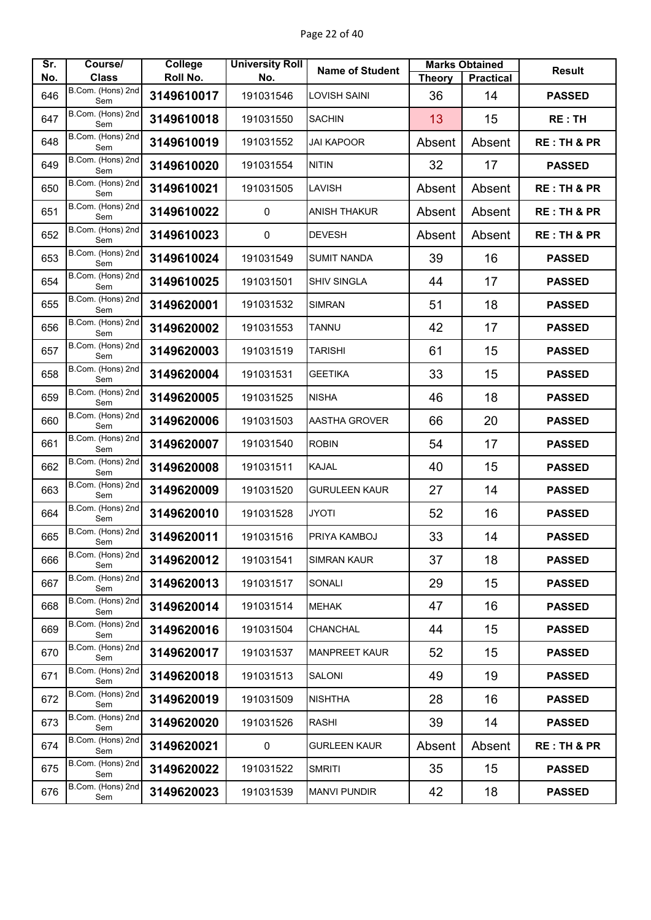| Sr.<br>No. | Course/<br><b>Class</b>  | College<br>Roll No. | <b>University Roll</b><br>No. | <b>Name of Student</b> | <b>Theory</b> | <b>Marks Obtained</b><br><b>Practical</b> | <b>Result</b>          |
|------------|--------------------------|---------------------|-------------------------------|------------------------|---------------|-------------------------------------------|------------------------|
| 646        | B.Com. (Hons) 2nd        | 3149610017          | 191031546                     | <b>LOVISH SAINI</b>    | 36            | 14                                        | <b>PASSED</b>          |
| 647        | Sem<br>B.Com. (Hons) 2nd | 3149610018          | 191031550                     | <b>SACHIN</b>          | 13            | 15                                        | RE:TH                  |
| 648        | Sem<br>B.Com. (Hons) 2nd | 3149610019          | 191031552                     | <b>JAI KAPOOR</b>      | Absent        | Absent                                    | <b>RE: TH &amp; PR</b> |
| 649        | Sem<br>B.Com. (Hons) 2nd | 3149610020          | 191031554                     | <b>NITIN</b>           | 32            | 17                                        | <b>PASSED</b>          |
|            | Sem<br>B.Com. (Hons) 2nd |                     |                               |                        |               |                                           |                        |
| 650        | Sem<br>B.Com. (Hons) 2nd | 3149610021          | 191031505                     | LAVISH                 | Absent        | Absent                                    | <b>RE: TH &amp; PR</b> |
| 651        | Sem                      | 3149610022          | 0                             | <b>ANISH THAKUR</b>    | Absent        | Absent                                    | <b>RE: TH &amp; PR</b> |
| 652        | B.Com. (Hons) 2nd<br>Sem | 3149610023          | $\pmb{0}$                     | <b>DEVESH</b>          | Absent        | Absent                                    | <b>RE: TH &amp; PR</b> |
| 653        | B.Com. (Hons) 2nd<br>Sem | 3149610024          | 191031549                     | <b>SUMIT NANDA</b>     | 39            | 16                                        | <b>PASSED</b>          |
| 654        | B.Com. (Hons) 2nd<br>Sem | 3149610025          | 191031501                     | <b>SHIV SINGLA</b>     | 44            | 17                                        | <b>PASSED</b>          |
| 655        | B.Com. (Hons) 2nd<br>Sem | 3149620001          | 191031532                     | <b>SIMRAN</b>          | 51            | 18                                        | <b>PASSED</b>          |
| 656        | B.Com. (Hons) 2nd<br>Sem | 3149620002          | 191031553                     | <b>TANNU</b>           | 42            | 17                                        | <b>PASSED</b>          |
| 657        | B.Com. (Hons) 2nd<br>Sem | 3149620003          | 191031519                     | <b>TARISHI</b>         | 61            | 15                                        | <b>PASSED</b>          |
| 658        | B.Com. (Hons) 2nd<br>Sem | 3149620004          | 191031531                     | <b>GEETIKA</b>         | 33            | 15                                        | <b>PASSED</b>          |
| 659        | B.Com. (Hons) 2nd<br>Sem | 3149620005          | 191031525                     | <b>NISHA</b>           | 46            | 18                                        | <b>PASSED</b>          |
| 660        | B.Com. (Hons) 2nd<br>Sem | 3149620006          | 191031503                     | <b>AASTHA GROVER</b>   | 66            | 20                                        | <b>PASSED</b>          |
| 661        | B.Com. (Hons) 2nd<br>Sem | 3149620007          | 191031540                     | <b>ROBIN</b>           | 54            | 17                                        | <b>PASSED</b>          |
| 662        | B.Com. (Hons) 2nd<br>Sem | 3149620008          | 191031511                     | <b>KAJAL</b>           | 40            | 15                                        | <b>PASSED</b>          |
| 663        | B.Com. (Hons) 2nd<br>Sem | 3149620009          | 191031520                     | <b>GURULEEN KAUR</b>   | 27            | 14                                        | <b>PASSED</b>          |
| 664        | B.Com. (Hons) 2nd<br>Sem | 3149620010          | 191031528                     | <b>JYOTI</b>           | 52            | 16                                        | <b>PASSED</b>          |
| 665        | B.Com. (Hons) 2nd<br>Sem | 3149620011          | 191031516                     | PRIYA KAMBOJ           | 33            | 14                                        | <b>PASSED</b>          |
| 666        | B.Com. (Hons) 2nd<br>Sem | 3149620012          | 191031541                     | <b>SIMRAN KAUR</b>     | 37            | 18                                        | <b>PASSED</b>          |
| 667        | B.Com. (Hons) 2nd<br>Sem | 3149620013          | 191031517                     | <b>SONALI</b>          | 29            | 15                                        | <b>PASSED</b>          |
| 668        | B.Com. (Hons) 2nd<br>Sem | 3149620014          | 191031514                     | <b>MEHAK</b>           | 47            | 16                                        | <b>PASSED</b>          |
| 669        | B.Com. (Hons) 2nd<br>Sem | 3149620016          | 191031504                     | <b>CHANCHAL</b>        | 44            | 15                                        | <b>PASSED</b>          |
| 670        | B.Com. (Hons) 2nd<br>Sem | 3149620017          | 191031537                     | <b>MANPREET KAUR</b>   | 52            | 15                                        | <b>PASSED</b>          |
| 671        | B.Com. (Hons) 2nd<br>Sem | 3149620018          | 191031513                     | <b>SALONI</b>          | 49            | 19                                        | <b>PASSED</b>          |
| 672        | B.Com. (Hons) 2nd<br>Sem | 3149620019          | 191031509                     | <b>NISHTHA</b>         | 28            | 16                                        | <b>PASSED</b>          |
| 673        | B.Com. (Hons) 2nd<br>Sem | 3149620020          | 191031526                     | <b>RASHI</b>           | 39            | 14                                        | <b>PASSED</b>          |
| 674        | B.Com. (Hons) 2nd<br>Sem | 3149620021          | 0                             | <b>GURLEEN KAUR</b>    | Absent        | Absent                                    | <b>RE: TH &amp; PR</b> |
| 675        | B.Com. (Hons) 2nd<br>Sem | 3149620022          | 191031522                     | <b>SMRITI</b>          | 35            | 15                                        | <b>PASSED</b>          |
| 676        | B.Com. (Hons) 2nd<br>Sem | 3149620023          | 191031539                     | <b>MANVI PUNDIR</b>    | 42            | 18                                        | <b>PASSED</b>          |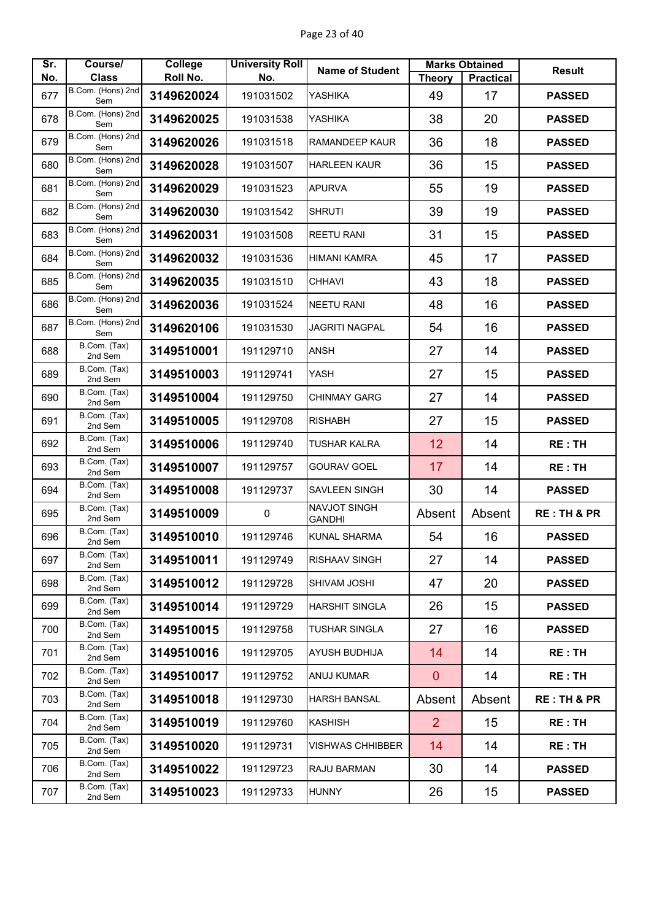| Sr. | Course/                  | <b>College</b> | <b>University Roll</b> | <b>Name of Student</b>        |                | <b>Marks Obtained</b> | <b>Result</b>          |
|-----|--------------------------|----------------|------------------------|-------------------------------|----------------|-----------------------|------------------------|
| No. | <b>Class</b>             | Roll No.       | No.                    |                               | <b>Theory</b>  | <b>Practical</b>      |                        |
| 677 | B.Com. (Hons) 2nd<br>Sem | 3149620024     | 191031502              | <b>YASHIKA</b>                | 49             | 17                    | <b>PASSED</b>          |
| 678 | B.Com. (Hons) 2nd<br>Sem | 3149620025     | 191031538              | YASHIKA                       | 38             | 20                    | <b>PASSED</b>          |
| 679 | B.Com. (Hons) 2nd<br>Sem | 3149620026     | 191031518              | <b>RAMANDEEP KAUR</b>         | 36             | 18                    | <b>PASSED</b>          |
| 680 | B.Com. (Hons) 2nd<br>Sem | 3149620028     | 191031507              | <b>HARLEEN KAUR</b>           | 36             | 15                    | <b>PASSED</b>          |
| 681 | B.Com. (Hons) 2nd<br>Sem | 3149620029     | 191031523              | <b>APURVA</b>                 | 55             | 19                    | <b>PASSED</b>          |
| 682 | B.Com. (Hons) 2nd<br>Sem | 3149620030     | 191031542              | <b>SHRUTI</b>                 | 39             | 19                    | <b>PASSED</b>          |
| 683 | B.Com. (Hons) 2nd<br>Sem | 3149620031     | 191031508              | <b>REETU RANI</b>             | 31             | 15                    | <b>PASSED</b>          |
| 684 | B.Com. (Hons) 2nd<br>Sem | 3149620032     | 191031536              | <b>HIMANI KAMRA</b>           | 45             | 17                    | <b>PASSED</b>          |
| 685 | B.Com. (Hons) 2nd<br>Sem | 3149620035     | 191031510              | <b>CHHAVI</b>                 | 43             | 18                    | <b>PASSED</b>          |
| 686 | B.Com. (Hons) 2nd<br>Sem | 3149620036     | 191031524              | <b>NEETU RANI</b>             | 48             | 16                    | <b>PASSED</b>          |
| 687 | B.Com. (Hons) 2nd<br>Sem | 3149620106     | 191031530              | <b>JAGRITI NAGPAL</b>         | 54             | 16                    | <b>PASSED</b>          |
| 688 | B.Com. (Tax)<br>2nd Sem  | 3149510001     | 191129710              | <b>ANSH</b>                   | 27             | 14                    | <b>PASSED</b>          |
| 689 | B.Com. (Tax)<br>2nd Sem  | 3149510003     | 191129741              | YASH                          | 27             | 15                    | <b>PASSED</b>          |
| 690 | B.Com. (Tax)<br>2nd Sem  | 3149510004     | 191129750              | <b>CHINMAY GARG</b>           | 27             | 14                    | <b>PASSED</b>          |
| 691 | B.Com. (Tax)<br>2nd Sem  | 3149510005     | 191129708              | <b>RISHABH</b>                | 27             | 15                    | <b>PASSED</b>          |
| 692 | B.Com. (Tax)<br>2nd Sem  | 3149510006     | 191129740              | <b>TUSHAR KALRA</b>           | 12             | 14                    | <b>RE: TH</b>          |
| 693 | B.Com. (Tax)<br>2nd Sem  | 3149510007     | 191129757              | <b>GOURAV GOEL</b>            | 17             | 14                    | <b>RE: TH</b>          |
| 694 | B.Com. (Tax)<br>2nd Sem  | 3149510008     | 191129737              | <b>SAVLEEN SINGH</b>          | 30             | 14                    | <b>PASSED</b>          |
| 695 | B.Com. (Tax)<br>2nd Sem  | 3149510009     | $\pmb{0}$              | NAVJOT SINGH<br><b>GANDHI</b> | Absent         | Absent                | <b>RE: TH &amp; PR</b> |
| 696 | B.Com. (Tax)<br>2nd Sem  | 3149510010     | 191129746              | <b>KUNAL SHARMA</b>           | 54             | 16                    | <b>PASSED</b>          |
| 697 | B.Com. (Tax)<br>2nd Sem  | 3149510011     | 191129749              | <b>RISHAAV SINGH</b>          | 27             | 14                    | <b>PASSED</b>          |
| 698 | B.Com. (Tax)<br>2nd Sem  | 3149510012     | 191129728              | <b>SHIVAM JOSHI</b>           | 47             | 20                    | <b>PASSED</b>          |
| 699 | B.Com. (Tax)<br>2nd Sem  | 3149510014     | 191129729              | <b>HARSHIT SINGLA</b>         | 26             | 15                    | <b>PASSED</b>          |
| 700 | B.Com. (Tax)<br>2nd Sem  | 3149510015     | 191129758              | <b>TUSHAR SINGLA</b>          | 27             | 16                    | <b>PASSED</b>          |
| 701 | B.Com. (Tax)<br>2nd Sem  | 3149510016     | 191129705              | <b>AYUSH BUDHIJA</b>          | 14             | 14                    | <b>RE: TH</b>          |
| 702 | B.Com. (Tax)<br>2nd Sem  | 3149510017     | 191129752              | <b>ANUJ KUMAR</b>             | $\overline{0}$ | 14                    | <b>RE: TH</b>          |
| 703 | B.Com. (Tax)<br>2nd Sem  | 3149510018     | 191129730              | <b>HARSH BANSAL</b>           | Absent         | Absent                | <b>RE: TH &amp; PR</b> |
| 704 | B.Com. (Tax)<br>2nd Sem  | 3149510019     | 191129760              | <b>KASHISH</b>                | $\overline{2}$ | 15                    | <b>RE: TH</b>          |
| 705 | B.Com. (Tax)<br>2nd Sem  | 3149510020     | 191129731              | <b>VISHWAS CHHIBBER</b>       | 14             | 14                    | <b>RE: TH</b>          |
| 706 | B.Com. (Tax)<br>2nd Sem  | 3149510022     | 191129723              | RAJU BARMAN                   | 30             | 14                    | <b>PASSED</b>          |
| 707 | B.Com. (Tax)<br>2nd Sem  | 3149510023     | 191129733              | <b>HUNNY</b>                  | 26             | 15                    | <b>PASSED</b>          |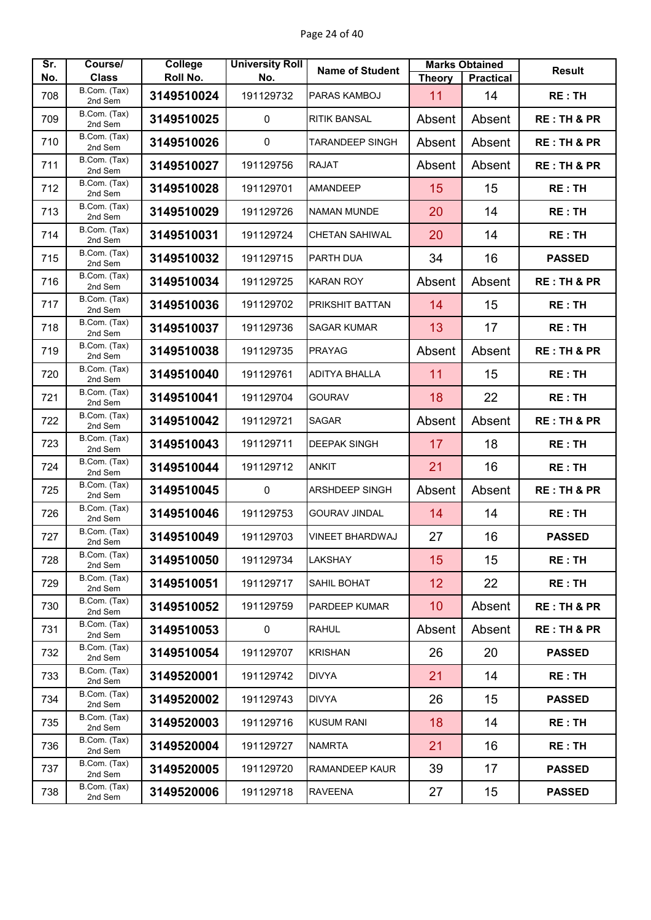| Sr. | Course/                      | <b>College</b> | <b>University Roll</b> | <b>Name of Student</b> |               | <b>Marks Obtained</b> | <b>Result</b>          |
|-----|------------------------------|----------------|------------------------|------------------------|---------------|-----------------------|------------------------|
| No. | <b>Class</b><br>B.Com. (Tax) | Roll No.       | No.                    |                        | <b>Theory</b> | <b>Practical</b>      |                        |
| 708 | 2nd Sem                      | 3149510024     | 191129732              | PARAS KAMBOJ           | 11            | 14                    | <b>RE: TH</b>          |
| 709 | B.Com. (Tax)<br>2nd Sem      | 3149510025     | 0                      | <b>RITIK BANSAL</b>    | Absent        | Absent                | <b>RE: TH &amp; PR</b> |
| 710 | B.Com. (Tax)<br>2nd Sem      | 3149510026     | $\pmb{0}$              | <b>TARANDEEP SINGH</b> | Absent        | Absent                | <b>RE: TH &amp; PR</b> |
| 711 | B.Com. (Tax)<br>2nd Sem      | 3149510027     | 191129756              | <b>RAJAT</b>           | Absent        | Absent                | <b>RE: TH &amp; PR</b> |
| 712 | B.Com. (Tax)<br>2nd Sem      | 3149510028     | 191129701              | <b>AMANDEEP</b>        | 15            | 15                    | <b>RE: TH</b>          |
| 713 | B.Com. (Tax)<br>2nd Sem      | 3149510029     | 191129726              | <b>NAMAN MUNDE</b>     | 20            | 14                    | <b>RE: TH</b>          |
| 714 | B.Com. (Tax)<br>2nd Sem      | 3149510031     | 191129724              | <b>CHETAN SAHIWAL</b>  | 20            | 14                    | <b>RE: TH</b>          |
| 715 | B.Com. (Tax)<br>2nd Sem      | 3149510032     | 191129715              | PARTH DUA              | 34            | 16                    | <b>PASSED</b>          |
| 716 | B.Com. (Tax)<br>2nd Sem      | 3149510034     | 191129725              | <b>KARAN ROY</b>       | Absent        | Absent                | <b>RE: TH &amp; PR</b> |
| 717 | B.Com. (Tax)<br>2nd Sem      | 3149510036     | 191129702              | PRIKSHIT BATTAN        | 14            | 15                    | <b>RE: TH</b>          |
| 718 | B.Com. (Tax)<br>2nd Sem      | 3149510037     | 191129736              | <b>SAGAR KUMAR</b>     | 13            | 17                    | <b>RE: TH</b>          |
| 719 | B.Com. (Tax)<br>2nd Sem      | 3149510038     | 191129735              | <b>PRAYAG</b>          | Absent        | Absent                | <b>RE: TH &amp; PR</b> |
| 720 | B.Com. (Tax)<br>2nd Sem      | 3149510040     | 191129761              | <b>ADITYA BHALLA</b>   | 11            | 15                    | <b>RE: TH</b>          |
| 721 | B.Com. (Tax)<br>2nd Sem      | 3149510041     | 191129704              | <b>GOURAV</b>          | 18            | 22                    | <b>RE: TH</b>          |
| 722 | B.Com. (Tax)<br>2nd Sem      | 3149510042     | 191129721              | <b>SAGAR</b>           | Absent        | Absent                | <b>RE: TH &amp; PR</b> |
| 723 | B.Com. (Tax)<br>2nd Sem      | 3149510043     | 191129711              | <b>DEEPAK SINGH</b>    | 17            | 18                    | <b>RE: TH</b>          |
| 724 | B.Com. (Tax)<br>2nd Sem      | 3149510044     | 191129712              | <b>ANKIT</b>           | 21            | 16                    | <b>RE: TH</b>          |
| 725 | B.Com. (Tax)<br>2nd Sem      | 3149510045     | 0                      | ARSHDEEP SINGH         | Absent        | Absent                | <b>RE: TH &amp; PR</b> |
| 726 | B.Com. (Tax)<br>2nd Sem      | 3149510046     | 191129753              | <b>GOURAV JINDAL</b>   | 14            | 14                    | <b>RE: TH</b>          |
| 727 | B.Com. (Tax)<br>2nd Sem      | 3149510049     | 191129703              | <b>VINEET BHARDWAJ</b> | 27            | 16                    | <b>PASSED</b>          |
| 728 | B.Com. (Tax)<br>2nd Sem      | 3149510050     | 191129734              | <b>LAKSHAY</b>         | 15            | 15                    | <b>RE: TH</b>          |
| 729 | B.Com. (Tax)<br>2nd Sem      | 3149510051     | 191129717              | SAHIL BOHAT            | 12            | 22                    | <b>RE: TH</b>          |
| 730 | B.Com. (Tax)<br>2nd Sem      | 3149510052     | 191129759              | PARDEEP KUMAR          | 10            | Absent                | <b>RE: TH &amp; PR</b> |
| 731 | B.Com. (Tax)<br>2nd Sem      | 3149510053     | 0                      | <b>RAHUL</b>           | Absent        | Absent                | <b>RE: TH &amp; PR</b> |
| 732 | B.Com. (Tax)<br>2nd Sem      | 3149510054     | 191129707              | <b>KRISHAN</b>         | 26            | 20                    | <b>PASSED</b>          |
| 733 | B.Com. (Tax)<br>2nd Sem      | 3149520001     | 191129742              | <b>DIVYA</b>           | 21            | 14                    | <b>RE: TH</b>          |
| 734 | B.Com. (Tax)<br>2nd Sem      | 3149520002     | 191129743              | <b>DIVYA</b>           | 26            | 15                    | <b>PASSED</b>          |
| 735 | B.Com. (Tax)<br>2nd Sem      | 3149520003     | 191129716              | <b>KUSUM RANI</b>      | 18            | 14                    | <b>RE: TH</b>          |
| 736 | B.Com. (Tax)<br>2nd Sem      | 3149520004     | 191129727              | <b>NAMRTA</b>          | 21            | 16                    | <b>RE: TH</b>          |
| 737 | B.Com. (Tax)<br>2nd Sem      | 3149520005     | 191129720              | <b>RAMANDEEP KAUR</b>  | 39            | 17                    | <b>PASSED</b>          |
| 738 | B.Com. (Tax)<br>2nd Sem      | 3149520006     | 191129718              | <b>RAVEENA</b>         | 27            | 15                    | <b>PASSED</b>          |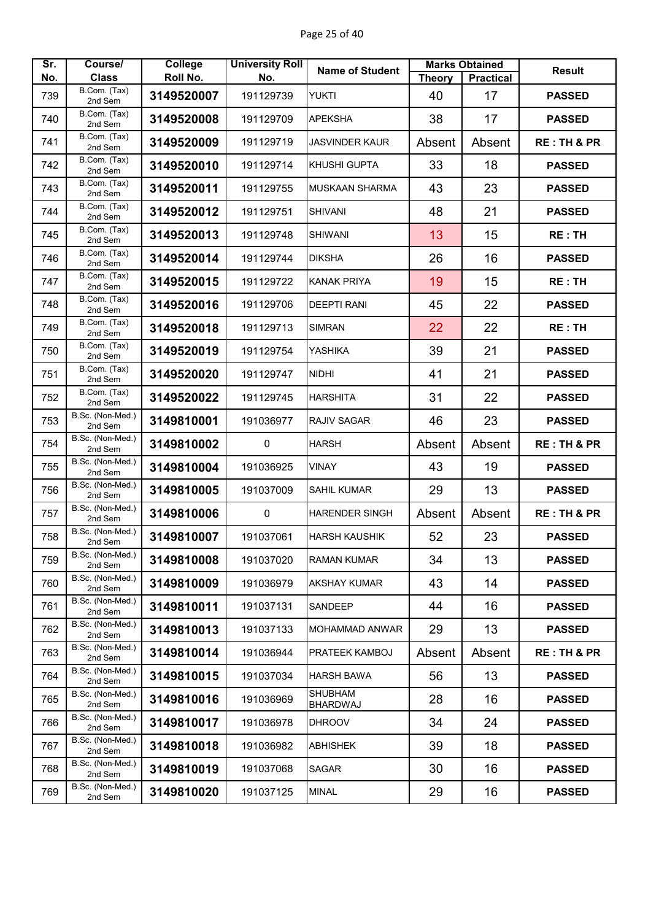| Sr. | Course/                      | <b>College</b> | <b>University Roll</b> | <b>Name of Student</b>     |               | <b>Marks Obtained</b> | <b>Result</b>          |
|-----|------------------------------|----------------|------------------------|----------------------------|---------------|-----------------------|------------------------|
| No. | <b>Class</b><br>B.Com. (Tax) | Roll No.       | No.                    |                            | <b>Theory</b> | <b>Practical</b>      |                        |
| 739 | 2nd Sem                      | 3149520007     | 191129739              | <b>YUKTI</b>               | 40            | 17                    | <b>PASSED</b>          |
| 740 | B.Com. (Tax)<br>2nd Sem      | 3149520008     | 191129709              | <b>APEKSHA</b>             | 38            | 17                    | <b>PASSED</b>          |
| 741 | B.Com. (Tax)<br>2nd Sem      | 3149520009     | 191129719              | <b>JASVINDER KAUR</b>      | Absent        | Absent                | <b>RE: TH &amp; PR</b> |
| 742 | B.Com. (Tax)<br>2nd Sem      | 3149520010     | 191129714              | KHUSHI GUPTA               | 33            | 18                    | <b>PASSED</b>          |
| 743 | B.Com. (Tax)<br>2nd Sem      | 3149520011     | 191129755              | <b>MUSKAAN SHARMA</b>      | 43            | 23                    | <b>PASSED</b>          |
| 744 | B.Com. (Tax)<br>2nd Sem      | 3149520012     | 191129751              | <b>SHIVANI</b>             | 48            | 21                    | <b>PASSED</b>          |
| 745 | B.Com. (Tax)<br>2nd Sem      | 3149520013     | 191129748              | <b>SHIWANI</b>             | 13            | 15                    | <b>RE: TH</b>          |
| 746 | B.Com. (Tax)<br>2nd Sem      | 3149520014     | 191129744              | <b>DIKSHA</b>              | 26            | 16                    | <b>PASSED</b>          |
| 747 | B.Com. (Tax)<br>2nd Sem      | 3149520015     | 191129722              | <b>KANAK PRIYA</b>         | 19            | 15                    | <b>RE: TH</b>          |
| 748 | B.Com. (Tax)<br>2nd Sem      | 3149520016     | 191129706              | <b>DEEPTI RANI</b>         | 45            | 22                    | <b>PASSED</b>          |
| 749 | B.Com. (Tax)<br>2nd Sem      | 3149520018     | 191129713              | <b>SIMRAN</b>              | 22            | 22                    | RE: TH                 |
| 750 | B.Com. (Tax)<br>2nd Sem      | 3149520019     | 191129754              | <b>YASHIKA</b>             | 39            | 21                    | <b>PASSED</b>          |
| 751 | B.Com. (Tax)<br>2nd Sem      | 3149520020     | 191129747              | <b>NIDHI</b>               | 41            | 21                    | <b>PASSED</b>          |
| 752 | B.Com. (Tax)<br>2nd Sem      | 3149520022     | 191129745              | <b>HARSHITA</b>            | 31            | 22                    | <b>PASSED</b>          |
| 753 | B.Sc. (Non-Med.)<br>2nd Sem  | 3149810001     | 191036977              | RAJIV SAGAR                | 46            | 23                    | <b>PASSED</b>          |
| 754 | B.Sc. (Non-Med.)<br>2nd Sem  | 3149810002     | $\mathbf 0$            | <b>HARSH</b>               | Absent        | Absent                | <b>RE: TH &amp; PR</b> |
| 755 | B.Sc. (Non-Med.)<br>2nd Sem  | 3149810004     | 191036925              | <b>VINAY</b>               | 43            | 19                    | <b>PASSED</b>          |
| 756 | B.Sc. (Non-Med.)<br>2nd Sem  | 3149810005     | 191037009              | <b>SAHIL KUMAR</b>         | 29            | 13                    | <b>PASSED</b>          |
| 757 | B.Sc. (Non-Med.)<br>2nd Sem  | 3149810006     | $\pmb{0}$              | HARENDER SINGH             | Absent        | Absent                | <b>RE: TH &amp; PR</b> |
| 758 | B.Sc. (Non-Med.)<br>2nd Sem  | 3149810007     | 191037061              | <b>HARSH KAUSHIK</b>       | 52            | 23                    | <b>PASSED</b>          |
| 759 | B.Sc. (Non-Med.)<br>2nd Sem  | 3149810008     | 191037020              | <b>RAMAN KUMAR</b>         | 34            | 13                    | <b>PASSED</b>          |
| 760 | B.Sc. (Non-Med.)<br>2nd Sem  | 3149810009     | 191036979              | <b>AKSHAY KUMAR</b>        | 43            | 14                    | <b>PASSED</b>          |
| 761 | B.Sc. (Non-Med.)<br>2nd Sem  | 3149810011     | 191037131              | <b>SANDEEP</b>             | 44            | 16                    | <b>PASSED</b>          |
| 762 | B.Sc. (Non-Med.)<br>2nd Sem  | 3149810013     | 191037133              | MOHAMMAD ANWAR             | 29            | 13                    | <b>PASSED</b>          |
| 763 | B.Sc. (Non-Med.)<br>2nd Sem  | 3149810014     | 191036944              | PRATEEK KAMBOJ             | Absent        | Absent                | <b>RE: TH &amp; PR</b> |
| 764 | B.Sc. (Non-Med.)<br>2nd Sem  | 3149810015     | 191037034              | <b>HARSH BAWA</b>          | 56            | 13                    | <b>PASSED</b>          |
| 765 | B.Sc. (Non-Med.)<br>2nd Sem  | 3149810016     | 191036969              | <b>SHUBHAM</b><br>BHARDWAJ | 28            | 16                    | <b>PASSED</b>          |
| 766 | B.Sc. (Non-Med.)<br>2nd Sem  | 3149810017     | 191036978              | <b>DHROOV</b>              | 34            | 24                    | <b>PASSED</b>          |
| 767 | B.Sc. (Non-Med.)<br>2nd Sem  | 3149810018     | 191036982              | <b>ABHISHEK</b>            | 39            | 18                    | <b>PASSED</b>          |
| 768 | B.Sc. (Non-Med.)<br>2nd Sem  | 3149810019     | 191037068              | <b>SAGAR</b>               | 30            | 16                    | <b>PASSED</b>          |
| 769 | B.Sc. (Non-Med.)<br>2nd Sem  | 3149810020     | 191037125              | <b>MINAL</b>               | 29            | 16                    | <b>PASSED</b>          |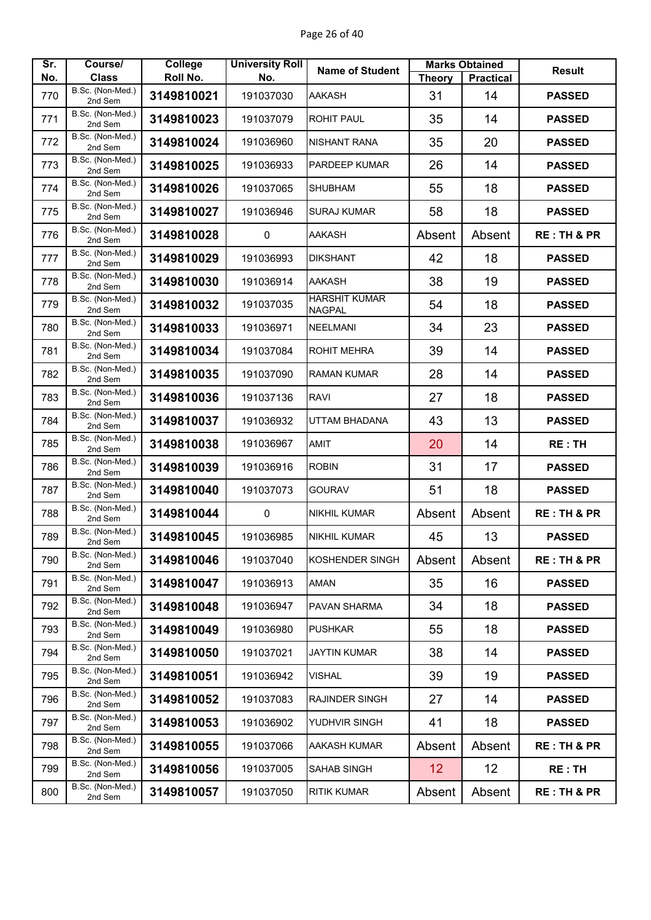| Sr.        | Course/<br><b>Class</b>     | <b>College</b><br>Roll No. | <b>University Roll</b><br>No. | <b>Name of Student</b>                | <b>Theory</b> | <b>Marks Obtained</b><br><b>Practical</b> | <b>Result</b>          |
|------------|-----------------------------|----------------------------|-------------------------------|---------------------------------------|---------------|-------------------------------------------|------------------------|
| No.<br>770 | B.Sc. (Non-Med.)            | 3149810021                 | 191037030                     | AAKASH                                | 31            | 14                                        | <b>PASSED</b>          |
|            | 2nd Sem<br>B.Sc. (Non-Med.) |                            |                               |                                       |               |                                           |                        |
| 771        | 2nd Sem<br>B.Sc. (Non-Med.) | 3149810023                 | 191037079                     | <b>ROHIT PAUL</b>                     | 35            | 14                                        | <b>PASSED</b>          |
| 772        | 2nd Sem                     | 3149810024                 | 191036960                     | NISHANT RANA                          | 35            | 20                                        | <b>PASSED</b>          |
| 773        | B.Sc. (Non-Med.)<br>2nd Sem | 3149810025                 | 191036933                     | PARDEEP KUMAR                         | 26            | 14                                        | <b>PASSED</b>          |
| 774        | B.Sc. (Non-Med.)<br>2nd Sem | 3149810026                 | 191037065                     | <b>SHUBHAM</b>                        | 55            | 18                                        | <b>PASSED</b>          |
| 775        | B.Sc. (Non-Med.)<br>2nd Sem | 3149810027                 | 191036946                     | <b>SURAJ KUMAR</b>                    | 58            | 18                                        | <b>PASSED</b>          |
| 776        | B.Sc. (Non-Med.)<br>2nd Sem | 3149810028                 | 0                             | AAKASH                                | Absent        | Absent                                    | <b>RE: TH &amp; PR</b> |
| 777        | B.Sc. (Non-Med.)<br>2nd Sem | 3149810029                 | 191036993                     | <b>DIKSHANT</b>                       | 42            | 18                                        | <b>PASSED</b>          |
| 778        | B.Sc. (Non-Med.)<br>2nd Sem | 3149810030                 | 191036914                     | <b>AAKASH</b>                         | 38            | 19                                        | <b>PASSED</b>          |
| 779        | B.Sc. (Non-Med.)<br>2nd Sem | 3149810032                 | 191037035                     | <b>HARSHIT KUMAR</b><br><b>NAGPAL</b> | 54            | 18                                        | <b>PASSED</b>          |
| 780        | B.Sc. (Non-Med.)<br>2nd Sem | 3149810033                 | 191036971                     | <b>NEELMANI</b>                       | 34            | 23                                        | <b>PASSED</b>          |
| 781        | B.Sc. (Non-Med.)<br>2nd Sem | 3149810034                 | 191037084                     | <b>ROHIT MEHRA</b>                    | 39            | 14                                        | <b>PASSED</b>          |
| 782        | B.Sc. (Non-Med.)<br>2nd Sem | 3149810035                 | 191037090                     | <b>RAMAN KUMAR</b>                    | 28            | 14                                        | <b>PASSED</b>          |
| 783        | B.Sc. (Non-Med.)<br>2nd Sem | 3149810036                 | 191037136                     | <b>RAVI</b>                           | 27            | 18                                        | <b>PASSED</b>          |
| 784        | B.Sc. (Non-Med.)<br>2nd Sem | 3149810037                 | 191036932                     | UTTAM BHADANA                         | 43            | 13                                        | <b>PASSED</b>          |
| 785        | B.Sc. (Non-Med.)<br>2nd Sem | 3149810038                 | 191036967                     | <b>AMIT</b>                           | 20            | 14                                        | <b>RE: TH</b>          |
| 786        | B.Sc. (Non-Med.)<br>2nd Sem | 3149810039                 | 191036916                     | <b>ROBIN</b>                          | 31            | 17                                        | <b>PASSED</b>          |
| 787        | B.Sc. (Non-Med.)<br>2nd Sem | 3149810040                 | 191037073                     | <b>GOURAV</b>                         | 51            | 18                                        | <b>PASSED</b>          |
| 788        | B.Sc. (Non-Med.)<br>2nd Sem | 3149810044                 | $\pmb{0}$                     | <b>NIKHIL KUMAR</b>                   | Absent        | Absent                                    | <b>RE: TH &amp; PR</b> |
| 789        | B.Sc. (Non-Med.)<br>2nd Sem | 3149810045                 | 191036985                     | <b>NIKHIL KUMAR</b>                   | 45            | 13                                        | <b>PASSED</b>          |
| 790        | B.Sc. (Non-Med.)<br>2nd Sem | 3149810046                 | 191037040                     | KOSHENDER SINGH                       | Absent        | Absent                                    | <b>RE: TH &amp; PR</b> |
| 791        | B.Sc. (Non-Med.)<br>2nd Sem | 3149810047                 | 191036913                     | AMAN                                  | 35            | 16                                        | <b>PASSED</b>          |
| 792        | B.Sc. (Non-Med.)<br>2nd Sem | 3149810048                 | 191036947                     | <b>PAVAN SHARMA</b>                   | 34            | 18                                        | <b>PASSED</b>          |
| 793        | B.Sc. (Non-Med.)<br>2nd Sem | 3149810049                 | 191036980                     | <b>PUSHKAR</b>                        | 55            | 18                                        | <b>PASSED</b>          |
| 794        | B.Sc. (Non-Med.)<br>2nd Sem | 3149810050                 | 191037021                     | JAYTIN KUMAR                          | 38            | 14                                        | <b>PASSED</b>          |
| 795        | B.Sc. (Non-Med.)<br>2nd Sem | 3149810051                 | 191036942                     | VISHAL                                | 39            | 19                                        | <b>PASSED</b>          |
| 796        | B.Sc. (Non-Med.)<br>2nd Sem | 3149810052                 | 191037083                     | <b>RAJINDER SINGH</b>                 | 27            | 14                                        | <b>PASSED</b>          |
| 797        | B.Sc. (Non-Med.)<br>2nd Sem | 3149810053                 | 191036902                     | YUDHVIR SINGH                         | 41            | 18                                        | <b>PASSED</b>          |
| 798        | B.Sc. (Non-Med.)<br>2nd Sem | 3149810055                 | 191037066                     | AAKASH KUMAR                          | Absent        | Absent                                    | <b>RE: TH &amp; PR</b> |
| 799        | B.Sc. (Non-Med.)<br>2nd Sem | 3149810056                 | 191037005                     | <b>SAHAB SINGH</b>                    | 12            | 12                                        | RE:TH                  |
| 800        | B.Sc. (Non-Med.)<br>2nd Sem | 3149810057                 | 191037050                     | <b>RITIK KUMAR</b>                    | Absent        | Absent                                    | <b>RE: TH &amp; PR</b> |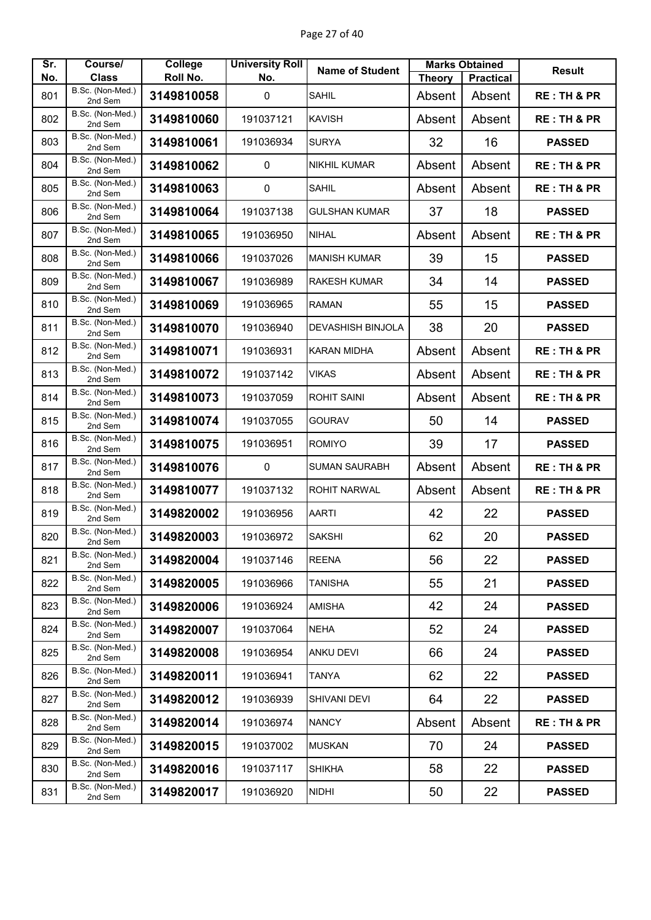| Sr. | Course/                          | <b>College</b> | <b>University Roll</b> | <b>Name of Student</b>   |               | <b>Marks Obtained</b> | <b>Result</b>          |
|-----|----------------------------------|----------------|------------------------|--------------------------|---------------|-----------------------|------------------------|
| No. | <b>Class</b><br>B.Sc. (Non-Med.) | Roll No.       | No.                    |                          | <b>Theory</b> | <b>Practical</b>      |                        |
| 801 | 2nd Sem                          | 3149810058     | 0                      | <b>SAHIL</b>             | Absent        | Absent                | <b>RE: TH &amp; PR</b> |
| 802 | B.Sc. (Non-Med.)<br>2nd Sem      | 3149810060     | 191037121              | <b>KAVISH</b>            | Absent        | Absent                | <b>RE: TH &amp; PR</b> |
| 803 | B.Sc. (Non-Med.)<br>2nd Sem      | 3149810061     | 191036934              | <b>SURYA</b>             | 32            | 16                    | <b>PASSED</b>          |
| 804 | B.Sc. (Non-Med.)<br>2nd Sem      | 3149810062     | 0                      | <b>NIKHIL KUMAR</b>      | Absent        | Absent                | <b>RE: TH &amp; PR</b> |
| 805 | B.Sc. (Non-Med.)<br>2nd Sem      | 3149810063     | $\pmb{0}$              | <b>SAHIL</b>             | Absent        | Absent                | <b>RE: TH &amp; PR</b> |
| 806 | B.Sc. (Non-Med.)<br>2nd Sem      | 3149810064     | 191037138              | <b>GULSHAN KUMAR</b>     | 37            | 18                    | <b>PASSED</b>          |
| 807 | B.Sc. (Non-Med.)<br>2nd Sem      | 3149810065     | 191036950              | <b>NIHAL</b>             | Absent        | Absent                | <b>RE: TH &amp; PR</b> |
| 808 | B.Sc. (Non-Med.)<br>2nd Sem      | 3149810066     | 191037026              | <b>MANISH KUMAR</b>      | 39            | 15                    | <b>PASSED</b>          |
| 809 | B.Sc. (Non-Med.)<br>2nd Sem      | 3149810067     | 191036989              | <b>RAKESH KUMAR</b>      | 34            | 14                    | <b>PASSED</b>          |
| 810 | B.Sc. (Non-Med.)<br>2nd Sem      | 3149810069     | 191036965              | <b>RAMAN</b>             | 55            | 15                    | <b>PASSED</b>          |
| 811 | B.Sc. (Non-Med.)<br>2nd Sem      | 3149810070     | 191036940              | <b>DEVASHISH BINJOLA</b> | 38            | 20                    | <b>PASSED</b>          |
| 812 | B.Sc. (Non-Med.)<br>2nd Sem      | 3149810071     | 191036931              | <b>KARAN MIDHA</b>       | Absent        | Absent                | <b>RE: TH &amp; PR</b> |
| 813 | B.Sc. (Non-Med.)<br>2nd Sem      | 3149810072     | 191037142              | <b>VIKAS</b>             | Absent        | Absent                | <b>RE: TH &amp; PR</b> |
| 814 | B.Sc. (Non-Med.)<br>2nd Sem      | 3149810073     | 191037059              | <b>ROHIT SAINI</b>       | Absent        | Absent                | <b>RE: TH &amp; PR</b> |
| 815 | B.Sc. (Non-Med.)<br>2nd Sem      | 3149810074     | 191037055              | <b>GOURAV</b>            | 50            | 14                    | <b>PASSED</b>          |
| 816 | B.Sc. (Non-Med.)<br>2nd Sem      | 3149810075     | 191036951              | <b>ROMIYO</b>            | 39            | 17                    | <b>PASSED</b>          |
| 817 | B.Sc. (Non-Med.)<br>2nd Sem      | 3149810076     | 0                      | <b>SUMAN SAURABH</b>     | Absent        | Absent                | <b>RE: TH &amp; PR</b> |
| 818 | B.Sc. (Non-Med.)<br>2nd Sem      | 3149810077     | 191037132              | <b>ROHIT NARWAL</b>      | Absent        | Absent                | <b>RE: TH &amp; PR</b> |
| 819 | B.Sc. (Non-Med.)<br>2nd Sem      | 3149820002     | 191036956              | <b>AARTI</b>             | 42            | 22                    | <b>PASSED</b>          |
| 820 | B.Sc. (Non-Med.)<br>2nd Sem      | 3149820003     | 191036972              | <b>SAKSHI</b>            | 62            | 20                    | <b>PASSED</b>          |
| 821 | B.Sc. (Non-Med.)<br>2nd Sem      | 3149820004     | 191037146              | <b>REENA</b>             | 56            | 22                    | <b>PASSED</b>          |
| 822 | B.Sc. (Non-Med.)<br>2nd Sem      | 3149820005     | 191036966              | TANISHA                  | 55            | 21                    | <b>PASSED</b>          |
| 823 | B.Sc. (Non-Med.)<br>2nd Sem      | 3149820006     | 191036924              | <b>AMISHA</b>            | 42            | 24                    | <b>PASSED</b>          |
| 824 | B.Sc. (Non-Med.)<br>2nd Sem      | 3149820007     | 191037064              | <b>NEHA</b>              | 52            | 24                    | <b>PASSED</b>          |
| 825 | B.Sc. (Non-Med.)<br>2nd Sem      | 3149820008     | 191036954              | <b>ANKU DEVI</b>         | 66            | 24                    | <b>PASSED</b>          |
| 826 | B.Sc. (Non-Med.)<br>2nd Sem      | 3149820011     | 191036941              | TANYA                    | 62            | 22                    | <b>PASSED</b>          |
| 827 | B.Sc. (Non-Med.)<br>2nd Sem      | 3149820012     | 191036939              | <b>SHIVANI DEVI</b>      | 64            | 22                    | <b>PASSED</b>          |
| 828 | B.Sc. (Non-Med.)<br>2nd Sem      | 3149820014     | 191036974              | <b>NANCY</b>             | Absent        | Absent                | <b>RE: TH &amp; PR</b> |
| 829 | B.Sc. (Non-Med.)<br>2nd Sem      | 3149820015     | 191037002              | <b>MUSKAN</b>            | 70            | 24                    | <b>PASSED</b>          |
| 830 | B.Sc. (Non-Med.)<br>2nd Sem      | 3149820016     | 191037117              | <b>SHIKHA</b>            | 58            | 22                    | <b>PASSED</b>          |
| 831 | B.Sc. (Non-Med.)<br>2nd Sem      | 3149820017     | 191036920              | <b>NIDHI</b>             | 50            | 22                    | <b>PASSED</b>          |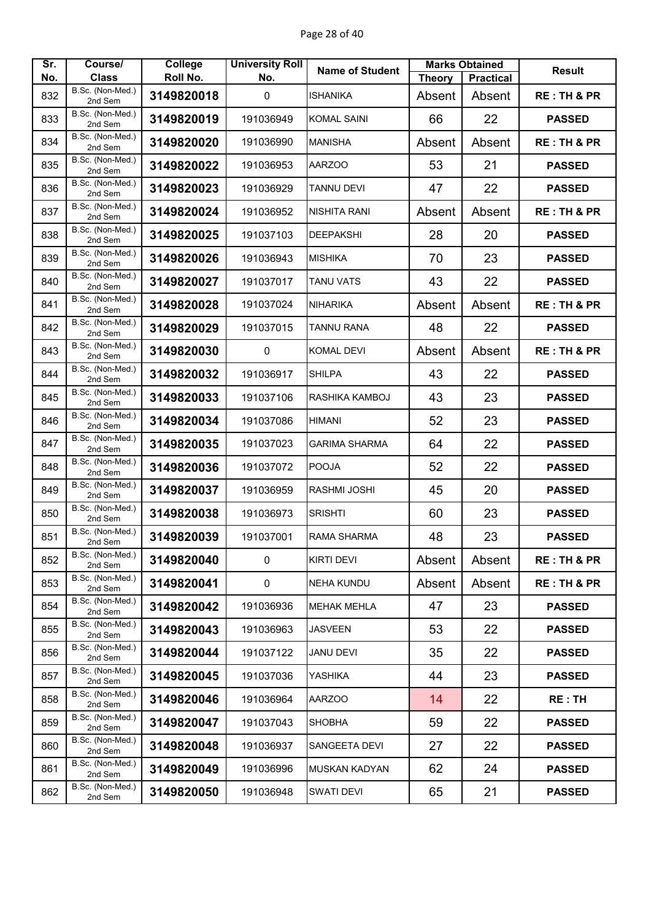| Sr. | Course/                     | College    | <b>University Roll</b> | <b>Name of Student</b> |               | <b>Marks Obtained</b> | <b>Result</b>          |
|-----|-----------------------------|------------|------------------------|------------------------|---------------|-----------------------|------------------------|
| No. | <b>Class</b>                | Roll No.   | No.                    |                        | <b>Theory</b> | <b>Practical</b>      |                        |
| 832 | B.Sc. (Non-Med.)<br>2nd Sem | 3149820018 | $\mathbf 0$            | <b>ISHANIKA</b>        | Absent        | Absent                | <b>RE: TH &amp; PR</b> |
| 833 | B.Sc. (Non-Med.)<br>2nd Sem | 3149820019 | 191036949              | <b>KOMAL SAINI</b>     | 66            | 22                    | <b>PASSED</b>          |
| 834 | B.Sc. (Non-Med.)<br>2nd Sem | 3149820020 | 191036990              | <b>MANISHA</b>         | Absent        | Absent                | <b>RE: TH &amp; PR</b> |
| 835 | B.Sc. (Non-Med.)<br>2nd Sem | 3149820022 | 191036953              | AARZOO                 | 53            | 21                    | <b>PASSED</b>          |
| 836 | B.Sc. (Non-Med.)<br>2nd Sem | 3149820023 | 191036929              | <b>TANNU DEVI</b>      | 47            | 22                    | <b>PASSED</b>          |
| 837 | B.Sc. (Non-Med.)<br>2nd Sem | 3149820024 | 191036952              | <b>NISHITA RANI</b>    | Absent        | Absent                | <b>RE: TH &amp; PR</b> |
| 838 | B.Sc. (Non-Med.)<br>2nd Sem | 3149820025 | 191037103              | <b>DEEPAKSHI</b>       | 28            | 20                    | <b>PASSED</b>          |
| 839 | B.Sc. (Non-Med.)<br>2nd Sem | 3149820026 | 191036943              | <b>MISHIKA</b>         | 70            | 23                    | <b>PASSED</b>          |
| 840 | B.Sc. (Non-Med.)<br>2nd Sem | 3149820027 | 191037017              | TANU VATS              | 43            | 22                    | <b>PASSED</b>          |
| 841 | B.Sc. (Non-Med.)<br>2nd Sem | 3149820028 | 191037024              | <b>NIHARIKA</b>        | Absent        | Absent                | <b>RE: TH &amp; PR</b> |
| 842 | B.Sc. (Non-Med.)<br>2nd Sem | 3149820029 | 191037015              | <b>TANNU RANA</b>      | 48            | 22                    | <b>PASSED</b>          |
| 843 | B.Sc. (Non-Med.)<br>2nd Sem | 3149820030 | $\mathbf 0$            | <b>KOMAL DEVI</b>      | Absent        | Absent                | <b>RE: TH &amp; PR</b> |
| 844 | B.Sc. (Non-Med.)<br>2nd Sem | 3149820032 | 191036917              | <b>SHILPA</b>          | 43            | 22                    | <b>PASSED</b>          |
| 845 | B.Sc. (Non-Med.)<br>2nd Sem | 3149820033 | 191037106              | RASHIKA KAMBOJ         | 43            | 23                    | <b>PASSED</b>          |
| 846 | B.Sc. (Non-Med.)<br>2nd Sem | 3149820034 | 191037086              | <b>HIMANI</b>          | 52            | 23                    | <b>PASSED</b>          |
| 847 | B.Sc. (Non-Med.)<br>2nd Sem | 3149820035 | 191037023              | <b>GARIMA SHARMA</b>   | 64            | 22                    | <b>PASSED</b>          |
| 848 | B.Sc. (Non-Med.)<br>2nd Sem | 3149820036 | 191037072              | <b>POOJA</b>           | 52            | 22                    | <b>PASSED</b>          |
| 849 | B.Sc. (Non-Med.)<br>2nd Sem | 3149820037 | 191036959              | <b>RASHMI JOSHI</b>    | 45            | 20                    | <b>PASSED</b>          |
| 850 | B.Sc. (Non-Med.)<br>2nd Sem | 3149820038 | 191036973              | <b>SRISHTI</b>         | 60            | 23                    | <b>PASSED</b>          |
| 851 | B.Sc. (Non-Med.)<br>2nd Sem | 3149820039 | 191037001              | RAMA SHARMA            | 48            | 23                    | <b>PASSED</b>          |
| 852 | B.Sc. (Non-Med.)<br>2nd Sem | 3149820040 | $\mathbf 0$            | <b>KIRTI DEVI</b>      | Absent        | Absent                | <b>RE: TH &amp; PR</b> |
| 853 | B.Sc. (Non-Med.)<br>2nd Sem | 3149820041 | $\pmb{0}$              | <b>NEHA KUNDU</b>      | Absent        | Absent                | <b>RE: TH &amp; PR</b> |
| 854 | B.Sc. (Non-Med.)<br>2nd Sem | 3149820042 | 191036936              | <b>MEHAK MEHLA</b>     | 47            | 23                    | <b>PASSED</b>          |
| 855 | B.Sc. (Non-Med.)<br>2nd Sem | 3149820043 | 191036963              | <b>JASVEEN</b>         | 53            | 22                    | <b>PASSED</b>          |
| 856 | B.Sc. (Non-Med.)<br>2nd Sem | 3149820044 | 191037122              | <b>JANU DEVI</b>       | 35            | 22                    | <b>PASSED</b>          |
| 857 | B.Sc. (Non-Med.)<br>2nd Sem | 3149820045 | 191037036              | YASHIKA                | 44            | 23                    | <b>PASSED</b>          |
| 858 | B.Sc. (Non-Med.)<br>2nd Sem | 3149820046 | 191036964              | <b>AARZOO</b>          | 14            | 22                    | <b>RE: TH</b>          |
| 859 | B.Sc. (Non-Med.)<br>2nd Sem | 3149820047 | 191037043              | <b>SHOBHA</b>          | 59            | 22                    | <b>PASSED</b>          |
| 860 | B.Sc. (Non-Med.)<br>2nd Sem | 3149820048 | 191036937              | SANGEETA DEVI          | 27            | 22                    | <b>PASSED</b>          |
| 861 | B.Sc. (Non-Med.)<br>2nd Sem | 3149820049 | 191036996              | <b>MUSKAN KADYAN</b>   | 62            | 24                    | <b>PASSED</b>          |
| 862 | B.Sc. (Non-Med.)<br>2nd Sem | 3149820050 | 191036948              | <b>SWATI DEVI</b>      | 65            | 21                    | <b>PASSED</b>          |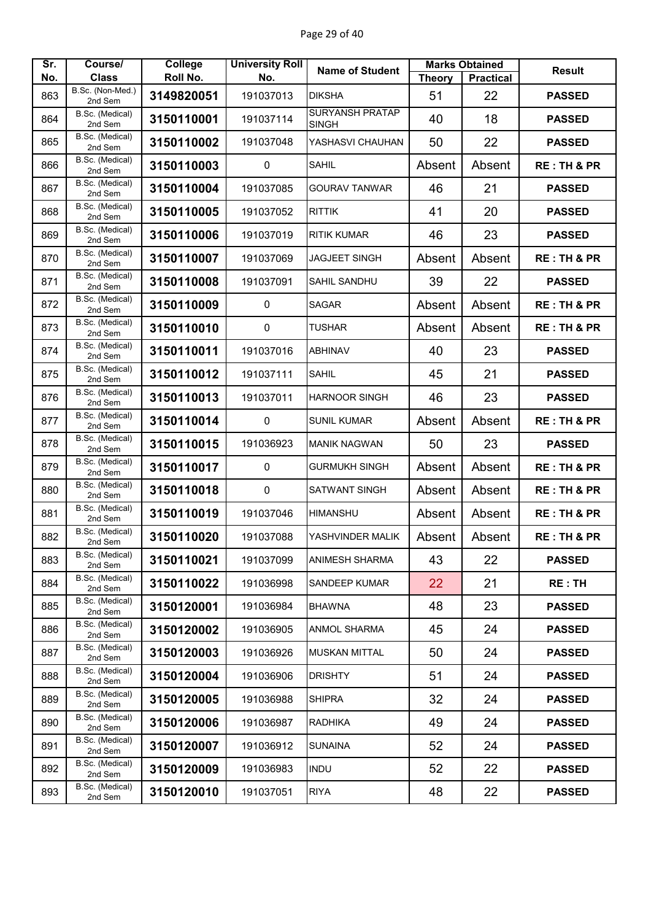| Sr. | Course/                     | College    | <b>University Roll</b> | <b>Name of Student</b>                 |               | <b>Marks Obtained</b> | <b>Result</b>          |
|-----|-----------------------------|------------|------------------------|----------------------------------------|---------------|-----------------------|------------------------|
| No. | <b>Class</b>                | Roll No.   | No.                    |                                        | <b>Theory</b> | <b>Practical</b>      |                        |
| 863 | B.Sc. (Non-Med.)<br>2nd Sem | 3149820051 | 191037013              | <b>DIKSHA</b>                          | 51            | 22                    | <b>PASSED</b>          |
| 864 | B.Sc. (Medical)<br>2nd Sem  | 3150110001 | 191037114              | <b>SURYANSH PRATAP</b><br><b>SINGH</b> | 40            | 18                    | <b>PASSED</b>          |
| 865 | B.Sc. (Medical)<br>2nd Sem  | 3150110002 | 191037048              | YASHASVI CHAUHAN                       | 50            | 22                    | <b>PASSED</b>          |
| 866 | B.Sc. (Medical)<br>2nd Sem  | 3150110003 | 0                      | <b>SAHIL</b>                           | Absent        | Absent                | <b>RE: TH &amp; PR</b> |
| 867 | B.Sc. (Medical)<br>2nd Sem  | 3150110004 | 191037085              | <b>GOURAV TANWAR</b>                   | 46            | 21                    | <b>PASSED</b>          |
| 868 | B.Sc. (Medical)<br>2nd Sem  | 3150110005 | 191037052              | <b>RITTIK</b>                          | 41            | 20                    | <b>PASSED</b>          |
| 869 | B.Sc. (Medical)<br>2nd Sem  | 3150110006 | 191037019              | <b>RITIK KUMAR</b>                     | 46            | 23                    | <b>PASSED</b>          |
| 870 | B.Sc. (Medical)<br>2nd Sem  | 3150110007 | 191037069              | <b>JAGJEET SINGH</b>                   | Absent        | Absent                | <b>RE: TH &amp; PR</b> |
| 871 | B.Sc. (Medical)<br>2nd Sem  | 3150110008 | 191037091              | SAHIL SANDHU                           | 39            | 22                    | <b>PASSED</b>          |
| 872 | B.Sc. (Medical)<br>2nd Sem  | 3150110009 | $\mathbf 0$            | <b>SAGAR</b>                           | Absent        | Absent                | <b>RE: TH &amp; PR</b> |
| 873 | B.Sc. (Medical)<br>2nd Sem  | 3150110010 | $\pmb{0}$              | <b>TUSHAR</b>                          | Absent        | Absent                | <b>RE: TH &amp; PR</b> |
| 874 | B.Sc. (Medical)<br>2nd Sem  | 3150110011 | 191037016              | <b>ABHINAV</b>                         | 40            | 23                    | <b>PASSED</b>          |
| 875 | B.Sc. (Medical)<br>2nd Sem  | 3150110012 | 191037111              | <b>SAHIL</b>                           | 45            | 21                    | <b>PASSED</b>          |
| 876 | B.Sc. (Medical)<br>2nd Sem  | 3150110013 | 191037011              | <b>HARNOOR SINGH</b>                   | 46            | 23                    | <b>PASSED</b>          |
| 877 | B.Sc. (Medical)<br>2nd Sem  | 3150110014 | $\pmb{0}$              | <b>SUNIL KUMAR</b>                     | Absent        | Absent                | <b>RE: TH &amp; PR</b> |
| 878 | B.Sc. (Medical)<br>2nd Sem  | 3150110015 | 191036923              | <b>MANIK NAGWAN</b>                    | 50            | 23                    | <b>PASSED</b>          |
| 879 | B.Sc. (Medical)<br>2nd Sem  | 3150110017 | 0                      | <b>GURMUKH SINGH</b>                   | Absent        | Absent                | <b>RE: TH &amp; PR</b> |
| 880 | B.Sc. (Medical)<br>2nd Sem  | 3150110018 | $\pmb{0}$              | <b>SATWANT SINGH</b>                   | Absent        | Absent                | <b>RE: TH &amp; PR</b> |
| 881 | B.Sc. (Medical)<br>2nd Sem  | 3150110019 | 191037046              | <b>HIMANSHU</b>                        | Absent        | Absent                | <b>RE: TH &amp; PR</b> |
| 882 | B.Sc. (Medical)<br>2nd Sem  | 3150110020 | 191037088              | YASHVINDER MALIK                       | Absent        | Absent                | <b>RE: TH &amp; PR</b> |
| 883 | B.Sc. (Medical)<br>2nd Sem  | 3150110021 | 191037099              | <b>ANIMESH SHARMA</b>                  | 43            | 22                    | <b>PASSED</b>          |
| 884 | B.Sc. (Medical)<br>2nd Sem  | 3150110022 | 191036998              | SANDEEP KUMAR                          | 22            | 21                    | <b>RE: TH</b>          |
| 885 | B.Sc. (Medical)<br>2nd Sem  | 3150120001 | 191036984              | <b>BHAWNA</b>                          | 48            | 23                    | <b>PASSED</b>          |
| 886 | B.Sc. (Medical)<br>2nd Sem  | 3150120002 | 191036905              | ANMOL SHARMA                           | 45            | 24                    | <b>PASSED</b>          |
| 887 | B.Sc. (Medical)<br>2nd Sem  | 3150120003 | 191036926              | <b>MUSKAN MITTAL</b>                   | 50            | 24                    | <b>PASSED</b>          |
| 888 | B.Sc. (Medical)<br>2nd Sem  | 3150120004 | 191036906              | <b>DRISHTY</b>                         | 51            | 24                    | <b>PASSED</b>          |
| 889 | B.Sc. (Medical)<br>2nd Sem  | 3150120005 | 191036988              | <b>SHIPRA</b>                          | 32            | 24                    | <b>PASSED</b>          |
| 890 | B.Sc. (Medical)<br>2nd Sem  | 3150120006 | 191036987              | <b>RADHIKA</b>                         | 49            | 24                    | <b>PASSED</b>          |
| 891 | B.Sc. (Medical)<br>2nd Sem  | 3150120007 | 191036912              | <b>SUNAINA</b>                         | 52            | 24                    | <b>PASSED</b>          |
| 892 | B.Sc. (Medical)<br>2nd Sem  | 3150120009 | 191036983              | <b>INDU</b>                            | 52            | 22                    | <b>PASSED</b>          |
| 893 | B.Sc. (Medical)<br>2nd Sem  | 3150120010 | 191037051              | <b>RIYA</b>                            | 48            | 22                    | <b>PASSED</b>          |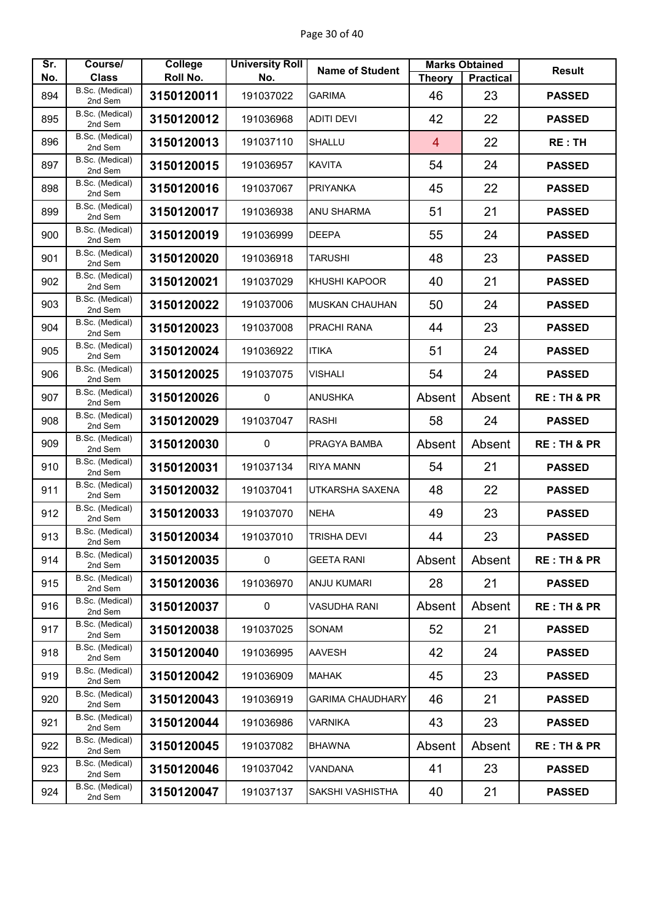| Sr. | Course/                         | College    | <b>University Roll</b> | <b>Name of Student</b>  |                | <b>Marks Obtained</b> | <b>Result</b>          |
|-----|---------------------------------|------------|------------------------|-------------------------|----------------|-----------------------|------------------------|
| No. | <b>Class</b><br>B.Sc. (Medical) | Roll No.   | No.                    |                         | <b>Theory</b>  | <b>Practical</b>      |                        |
| 894 | 2nd Sem                         | 3150120011 | 191037022              | <b>GARIMA</b>           | 46             | 23                    | <b>PASSED</b>          |
| 895 | B.Sc. (Medical)<br>2nd Sem      | 3150120012 | 191036968              | <b>ADITI DEVI</b>       | 42             | 22                    | <b>PASSED</b>          |
| 896 | B.Sc. (Medical)<br>2nd Sem      | 3150120013 | 191037110              | <b>SHALLU</b>           | $\overline{4}$ | 22                    | <b>RE:TH</b>           |
| 897 | B.Sc. (Medical)<br>2nd Sem      | 3150120015 | 191036957              | <b>KAVITA</b>           | 54             | 24                    | <b>PASSED</b>          |
| 898 | B.Sc. (Medical)<br>2nd Sem      | 3150120016 | 191037067              | <b>PRIYANKA</b>         | 45             | 22                    | <b>PASSED</b>          |
| 899 | B.Sc. (Medical)<br>2nd Sem      | 3150120017 | 191036938              | ANU SHARMA              | 51             | 21                    | <b>PASSED</b>          |
| 900 | B.Sc. (Medical)<br>2nd Sem      | 3150120019 | 191036999              | <b>DEEPA</b>            | 55             | 24                    | <b>PASSED</b>          |
| 901 | B.Sc. (Medical)<br>2nd Sem      | 3150120020 | 191036918              | <b>TARUSHI</b>          | 48             | 23                    | <b>PASSED</b>          |
| 902 | B.Sc. (Medical)<br>2nd Sem      | 3150120021 | 191037029              | KHUSHI KAPOOR           | 40             | 21                    | <b>PASSED</b>          |
| 903 | B.Sc. (Medical)<br>2nd Sem      | 3150120022 | 191037006              | <b>MUSKAN CHAUHAN</b>   | 50             | 24                    | <b>PASSED</b>          |
| 904 | B.Sc. (Medical)<br>2nd Sem      | 3150120023 | 191037008              | PRACHI RANA             | 44             | 23                    | <b>PASSED</b>          |
| 905 | B.Sc. (Medical)<br>2nd Sem      | 3150120024 | 191036922              | <b>ITIKA</b>            | 51             | 24                    | <b>PASSED</b>          |
| 906 | B.Sc. (Medical)<br>2nd Sem      | 3150120025 | 191037075              | <b>VISHALI</b>          | 54             | 24                    | <b>PASSED</b>          |
| 907 | B.Sc. (Medical)<br>2nd Sem      | 3150120026 | 0                      | <b>ANUSHKA</b>          | Absent         | Absent                | <b>RE: TH &amp; PR</b> |
| 908 | B.Sc. (Medical)<br>2nd Sem      | 3150120029 | 191037047              | <b>RASHI</b>            | 58             | 24                    | <b>PASSED</b>          |
| 909 | B.Sc. (Medical)<br>2nd Sem      | 3150120030 | 0                      | PRAGYA BAMBA            | Absent         | Absent                | <b>RE: TH &amp; PR</b> |
| 910 | B.Sc. (Medical)<br>2nd Sem      | 3150120031 | 191037134              | <b>RIYA MANN</b>        | 54             | 21                    | <b>PASSED</b>          |
| 911 | B.Sc. (Medical)<br>2nd Sem      | 3150120032 | 191037041              | UTKARSHA SAXENA         | 48             | 22                    | <b>PASSED</b>          |
| 912 | B.Sc. (Medical)<br>2nd Sem      | 3150120033 | 191037070              | <b>NEHA</b>             | 49             | 23                    | <b>PASSED</b>          |
| 913 | B.Sc. (Medical)<br>2nd Sem      | 3150120034 | 191037010              | <b>TRISHA DEVI</b>      | 44             | 23                    | <b>PASSED</b>          |
| 914 | B.Sc. (Medical)<br>2nd Sem      | 3150120035 | $\mathbf 0$            | <b>GEETA RANI</b>       | Absent         | Absent                | <b>RE: TH &amp; PR</b> |
| 915 | B.Sc. (Medical)<br>2nd Sem      | 3150120036 | 191036970              | <b>ANJU KUMARI</b>      | 28             | 21                    | <b>PASSED</b>          |
| 916 | B.Sc. (Medical)<br>2nd Sem      | 3150120037 | $\mathbf 0$            | <b>VASUDHA RANI</b>     | Absent         | Absent                | <b>RE: TH &amp; PR</b> |
| 917 | B.Sc. (Medical)<br>2nd Sem      | 3150120038 | 191037025              | <b>SONAM</b>            | 52             | 21                    | <b>PASSED</b>          |
| 918 | B.Sc. (Medical)<br>2nd Sem      | 3150120040 | 191036995              | <b>AAVESH</b>           | 42             | 24                    | <b>PASSED</b>          |
| 919 | B.Sc. (Medical)<br>2nd Sem      | 3150120042 | 191036909              | <b>MAHAK</b>            | 45             | 23                    | <b>PASSED</b>          |
| 920 | B.Sc. (Medical)<br>2nd Sem      | 3150120043 | 191036919              | <b>GARIMA CHAUDHARY</b> | 46             | 21                    | <b>PASSED</b>          |
| 921 | B.Sc. (Medical)<br>2nd Sem      | 3150120044 | 191036986              | <b>VARNIKA</b>          | 43             | 23                    | <b>PASSED</b>          |
| 922 | B.Sc. (Medical)<br>2nd Sem      | 3150120045 | 191037082              | <b>BHAWNA</b>           | Absent         | Absent                | <b>RE: TH &amp; PR</b> |
| 923 | B.Sc. (Medical)<br>2nd Sem      | 3150120046 | 191037042              | <b>VANDANA</b>          | 41             | 23                    | <b>PASSED</b>          |
| 924 | B.Sc. (Medical)<br>2nd Sem      | 3150120047 | 191037137              | SAKSHI VASHISTHA        | 40             | 21                    | <b>PASSED</b>          |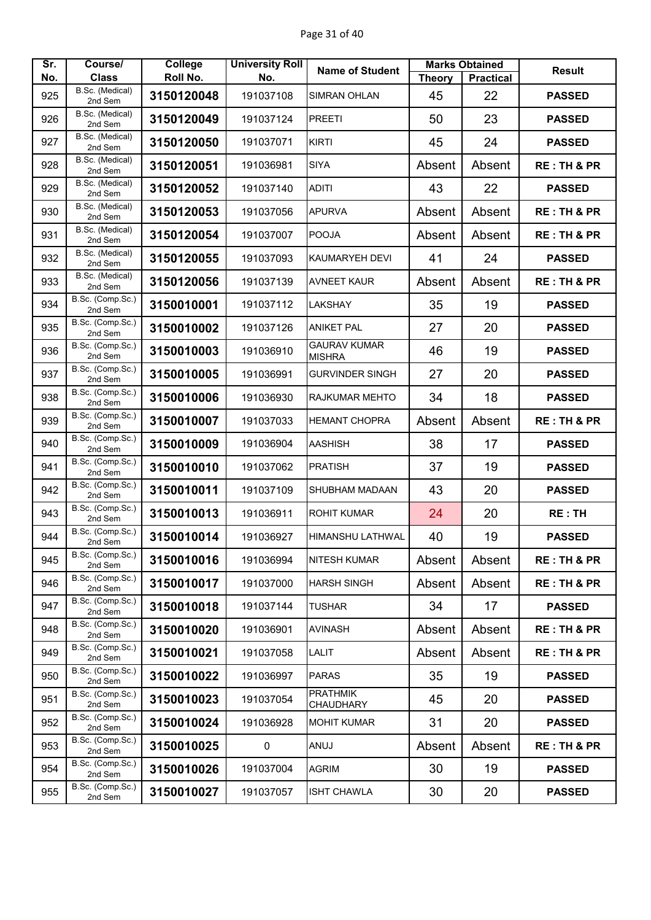| Sr. | Course/                     | College    | <b>University Roll</b> | <b>Name of Student</b>               |               | <b>Marks Obtained</b> | <b>Result</b>          |
|-----|-----------------------------|------------|------------------------|--------------------------------------|---------------|-----------------------|------------------------|
| No. | <b>Class</b>                | Roll No.   | No.                    |                                      | <b>Theory</b> | <b>Practical</b>      |                        |
| 925 | B.Sc. (Medical)<br>2nd Sem  | 3150120048 | 191037108              | SIMRAN OHLAN                         | 45            | 22                    | <b>PASSED</b>          |
| 926 | B.Sc. (Medical)<br>2nd Sem  | 3150120049 | 191037124              | <b>PREETI</b>                        | 50            | 23                    | <b>PASSED</b>          |
| 927 | B.Sc. (Medical)<br>2nd Sem  | 3150120050 | 191037071              | <b>KIRTI</b>                         | 45            | 24                    | <b>PASSED</b>          |
| 928 | B.Sc. (Medical)<br>2nd Sem  | 3150120051 | 191036981              | <b>SIYA</b>                          | Absent        | Absent                | <b>RE: TH &amp; PR</b> |
| 929 | B.Sc. (Medical)<br>2nd Sem  | 3150120052 | 191037140              | <b>ADITI</b>                         | 43            | 22                    | <b>PASSED</b>          |
| 930 | B.Sc. (Medical)<br>2nd Sem  | 3150120053 | 191037056              | <b>APURVA</b>                        | Absent        | Absent                | <b>RE: TH &amp; PR</b> |
| 931 | B.Sc. (Medical)<br>2nd Sem  | 3150120054 | 191037007              | <b>POOJA</b>                         | Absent        | Absent                | <b>RE: TH &amp; PR</b> |
| 932 | B.Sc. (Medical)<br>2nd Sem  | 3150120055 | 191037093              | KAUMARYEH DEVI                       | 41            | 24                    | <b>PASSED</b>          |
| 933 | B.Sc. (Medical)<br>2nd Sem  | 3150120056 | 191037139              | <b>AVNEET KAUR</b>                   | Absent        | Absent                | <b>RE: TH &amp; PR</b> |
| 934 | B.Sc. (Comp.Sc.)<br>2nd Sem | 3150010001 | 191037112              | <b>LAKSHAY</b>                       | 35            | 19                    | <b>PASSED</b>          |
| 935 | B.Sc. (Comp.Sc.)<br>2nd Sem | 3150010002 | 191037126              | <b>ANIKET PAL</b>                    | 27            | 20                    | <b>PASSED</b>          |
| 936 | B.Sc. (Comp.Sc.)<br>2nd Sem | 3150010003 | 191036910              | <b>GAURAV KUMAR</b><br><b>MISHRA</b> | 46            | 19                    | <b>PASSED</b>          |
| 937 | B.Sc. (Comp.Sc.)<br>2nd Sem | 3150010005 | 191036991              | <b>GURVINDER SINGH</b>               | 27            | 20                    | <b>PASSED</b>          |
| 938 | B.Sc. (Comp.Sc.)<br>2nd Sem | 3150010006 | 191036930              | RAJKUMAR MEHTO                       | 34            | 18                    | <b>PASSED</b>          |
| 939 | B.Sc. (Comp.Sc.)<br>2nd Sem | 3150010007 | 191037033              | <b>HEMANT CHOPRA</b>                 | Absent        | Absent                | <b>RE: TH &amp; PR</b> |
| 940 | B.Sc. (Comp.Sc.)<br>2nd Sem | 3150010009 | 191036904              | <b>AASHISH</b>                       | 38            | 17                    | <b>PASSED</b>          |
| 941 | B.Sc. (Comp.Sc.)<br>2nd Sem | 3150010010 | 191037062              | <b>PRATISH</b>                       | 37            | 19                    | <b>PASSED</b>          |
| 942 | B.Sc. (Comp.Sc.)<br>2nd Sem | 3150010011 | 191037109              | SHUBHAM MADAAN                       | 43            | 20                    | <b>PASSED</b>          |
| 943 | B.Sc. (Comp.Sc.)<br>2nd Sem | 3150010013 | 191036911              | <b>ROHIT KUMAR</b>                   | 24            | 20                    | <b>RE: TH</b>          |
| 944 | B.Sc. (Comp.Sc.)<br>2nd Sem | 3150010014 | 191036927              | <b>HIMANSHU LATHWAL</b>              | 40            | 19                    | <b>PASSED</b>          |
| 945 | B.Sc. (Comp.Sc.)<br>2nd Sem | 3150010016 | 191036994              | <b>NITESH KUMAR</b>                  | Absent        | Absent                | <b>RE: TH &amp; PR</b> |
| 946 | B.Sc. (Comp.Sc.)<br>2nd Sem | 3150010017 | 191037000              | <b>HARSH SINGH</b>                   | Absent        | Absent                | <b>RE: TH &amp; PR</b> |
| 947 | B.Sc. (Comp.Sc.)<br>2nd Sem | 3150010018 | 191037144              | <b>TUSHAR</b>                        | 34            | 17                    | <b>PASSED</b>          |
| 948 | B.Sc. (Comp.Sc.)<br>2nd Sem | 3150010020 | 191036901              | <b>AVINASH</b>                       | Absent        | Absent                | <b>RE: TH &amp; PR</b> |
| 949 | B.Sc. (Comp.Sc.)<br>2nd Sem | 3150010021 | 191037058              | LALIT                                | Absent        | Absent                | <b>RE: TH &amp; PR</b> |
| 950 | B.Sc. (Comp.Sc.)<br>2nd Sem | 3150010022 | 191036997              | <b>PARAS</b>                         | 35            | 19                    | <b>PASSED</b>          |
| 951 | B.Sc. (Comp.Sc.)<br>2nd Sem | 3150010023 | 191037054              | <b>PRATHMIK</b><br>CHAUDHARY         | 45            | 20                    | <b>PASSED</b>          |
| 952 | B.Sc. (Comp.Sc.)<br>2nd Sem | 3150010024 | 191036928              | <b>MOHIT KUMAR</b>                   | 31            | 20                    | <b>PASSED</b>          |
| 953 | B.Sc. (Comp.Sc.)<br>2nd Sem | 3150010025 | 0                      | ANUJ                                 | Absent        | Absent                | <b>RE: TH &amp; PR</b> |
| 954 | B.Sc. (Comp.Sc.)<br>2nd Sem | 3150010026 | 191037004              | <b>AGRIM</b>                         | 30            | 19                    | <b>PASSED</b>          |
| 955 | B.Sc. (Comp.Sc.)<br>2nd Sem | 3150010027 | 191037057              | <b>ISHT CHAWLA</b>                   | 30            | 20                    | <b>PASSED</b>          |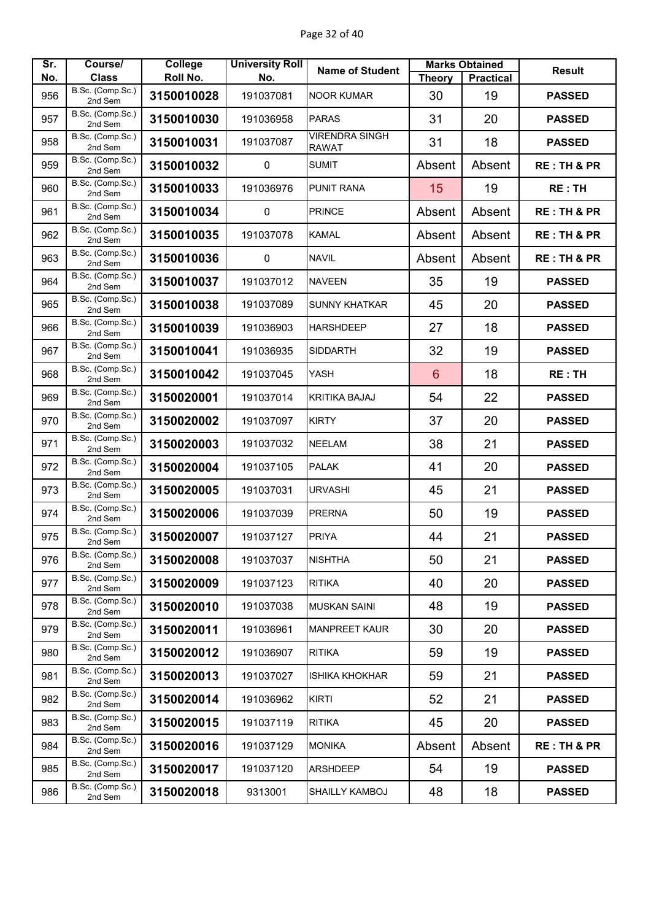| Sr. | Course/                     | <b>College</b> | <b>University Roll</b> | <b>Name of Student</b>                |                | <b>Marks Obtained</b> | <b>Result</b>          |
|-----|-----------------------------|----------------|------------------------|---------------------------------------|----------------|-----------------------|------------------------|
| No. | <b>Class</b>                | Roll No.       | No.                    |                                       | <b>Theory</b>  | <b>Practical</b>      |                        |
| 956 | B.Sc. (Comp.Sc.)<br>2nd Sem | 3150010028     | 191037081              | <b>NOOR KUMAR</b>                     | 30             | 19                    | <b>PASSED</b>          |
| 957 | B.Sc. (Comp.Sc.)<br>2nd Sem | 3150010030     | 191036958              | <b>PARAS</b>                          | 31             | 20                    | <b>PASSED</b>          |
| 958 | B.Sc. (Comp.Sc.)<br>2nd Sem | 3150010031     | 191037087              | <b>VIRENDRA SINGH</b><br><b>RAWAT</b> | 31             | 18                    | <b>PASSED</b>          |
| 959 | B.Sc. (Comp.Sc.)<br>2nd Sem | 3150010032     | 0                      | <b>SUMIT</b>                          | Absent         | Absent                | <b>RE: TH &amp; PR</b> |
| 960 | B.Sc. (Comp.Sc.)<br>2nd Sem | 3150010033     | 191036976              | <b>PUNIT RANA</b>                     | 15             | 19                    | <b>RE: TH</b>          |
| 961 | B.Sc. (Comp.Sc.)<br>2nd Sem | 3150010034     | $\pmb{0}$              | <b>PRINCE</b>                         | Absent         | Absent                | <b>RE: TH &amp; PR</b> |
| 962 | B.Sc. (Comp.Sc.)<br>2nd Sem | 3150010035     | 191037078              | <b>KAMAL</b>                          | Absent         | Absent                | <b>RE: TH &amp; PR</b> |
| 963 | B.Sc. (Comp.Sc.)<br>2nd Sem | 3150010036     | $\mathbf 0$            | <b>NAVIL</b>                          | Absent         | Absent                | <b>RE: TH &amp; PR</b> |
| 964 | B.Sc. (Comp.Sc.)<br>2nd Sem | 3150010037     | 191037012              | <b>NAVEEN</b>                         | 35             | 19                    | <b>PASSED</b>          |
| 965 | B.Sc. (Comp.Sc.)<br>2nd Sem | 3150010038     | 191037089              | <b>SUNNY KHATKAR</b>                  | 45             | 20                    | <b>PASSED</b>          |
| 966 | B.Sc. (Comp.Sc.)<br>2nd Sem | 3150010039     | 191036903              | <b>HARSHDEEP</b>                      | 27             | 18                    | <b>PASSED</b>          |
| 967 | B.Sc. (Comp.Sc.)<br>2nd Sem | 3150010041     | 191036935              | <b>SIDDARTH</b>                       | 32             | 19                    | <b>PASSED</b>          |
| 968 | B.Sc. (Comp.Sc.)<br>2nd Sem | 3150010042     | 191037045              | YASH                                  | $6\phantom{1}$ | 18                    | <b>RE: TH</b>          |
| 969 | B.Sc. (Comp.Sc.)<br>2nd Sem | 3150020001     | 191037014              | <b>KRITIKA BAJAJ</b>                  | 54             | 22                    | <b>PASSED</b>          |
| 970 | B.Sc. (Comp.Sc.)<br>2nd Sem | 3150020002     | 191037097              | <b>KIRTY</b>                          | 37             | 20                    | <b>PASSED</b>          |
| 971 | B.Sc. (Comp.Sc.)<br>2nd Sem | 3150020003     | 191037032              | <b>NEELAM</b>                         | 38             | 21                    | <b>PASSED</b>          |
| 972 | B.Sc. (Comp.Sc.)<br>2nd Sem | 3150020004     | 191037105              | <b>PALAK</b>                          | 41             | 20                    | <b>PASSED</b>          |
| 973 | B.Sc. (Comp.Sc.)<br>2nd Sem | 3150020005     | 191037031              | <b>URVASHI</b>                        | 45             | 21                    | <b>PASSED</b>          |
| 974 | B.Sc. (Comp.Sc.)<br>2nd Sem | 3150020006     | 191037039              | <b>PRERNA</b>                         | 50             | 19                    | <b>PASSED</b>          |
| 975 | B.Sc. (Comp.Sc.)<br>2nd Sem | 3150020007     | 191037127              | PRIYA                                 | 44             | 21                    | <b>PASSED</b>          |
| 976 | B.Sc. (Comp.Sc.)<br>2nd Sem | 3150020008     | 191037037              | <b>NISHTHA</b>                        | 50             | 21                    | <b>PASSED</b>          |
| 977 | B.Sc. (Comp.Sc.)<br>2nd Sem | 3150020009     | 191037123              | <b>RITIKA</b>                         | 40             | 20                    | <b>PASSED</b>          |
| 978 | B.Sc. (Comp.Sc.)<br>2nd Sem | 3150020010     | 191037038              | <b>MUSKAN SAINI</b>                   | 48             | 19                    | <b>PASSED</b>          |
| 979 | B.Sc. (Comp.Sc.)<br>2nd Sem | 3150020011     | 191036961              | <b>MANPREET KAUR</b>                  | 30             | 20                    | <b>PASSED</b>          |
| 980 | B.Sc. (Comp.Sc.)<br>2nd Sem | 3150020012     | 191036907              | <b>RITIKA</b>                         | 59             | 19                    | <b>PASSED</b>          |
| 981 | B.Sc. (Comp.Sc.)<br>2nd Sem | 3150020013     | 191037027              | <b>ISHIKA KHOKHAR</b>                 | 59             | 21                    | <b>PASSED</b>          |
| 982 | B.Sc. (Comp.Sc.)<br>2nd Sem | 3150020014     | 191036962              | <b>KIRTI</b>                          | 52             | 21                    | <b>PASSED</b>          |
| 983 | B.Sc. (Comp.Sc.)<br>2nd Sem | 3150020015     | 191037119              | <b>RITIKA</b>                         | 45             | 20                    | <b>PASSED</b>          |
| 984 | B.Sc. (Comp.Sc.)<br>2nd Sem | 3150020016     | 191037129              | <b>MONIKA</b>                         | Absent         | Absent                | <b>RE: TH &amp; PR</b> |
| 985 | B.Sc. (Comp.Sc.)<br>2nd Sem | 3150020017     | 191037120              | <b>ARSHDEEP</b>                       | 54             | 19                    | <b>PASSED</b>          |
| 986 | B.Sc. (Comp.Sc.)<br>2nd Sem | 3150020018     | 9313001                | SHAILLY KAMBOJ                        | 48             | 18                    | <b>PASSED</b>          |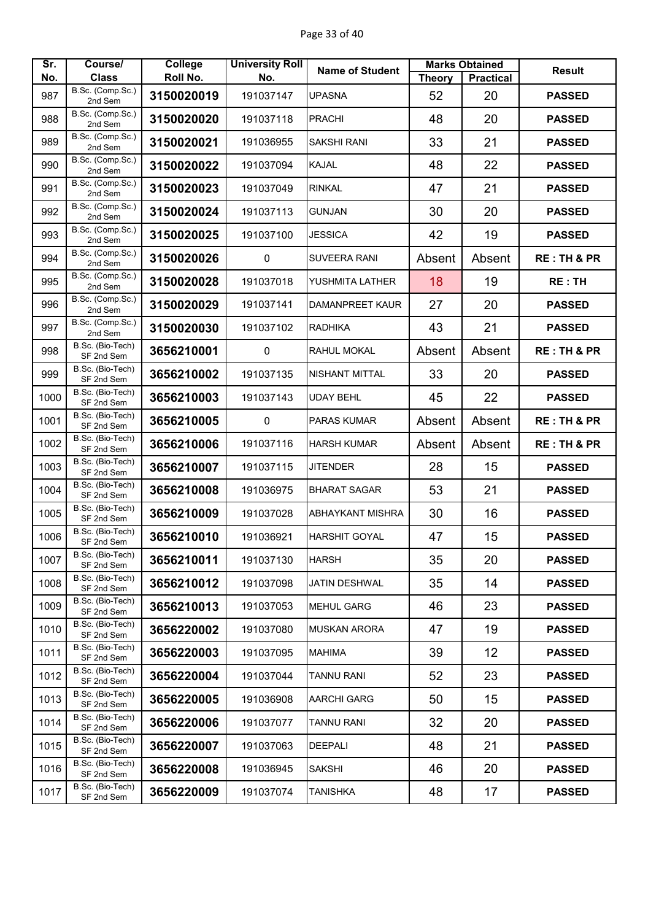| Sr.  | Course/                        | <b>College</b> | <b>University Roll</b> | <b>Name of Student</b>  |               | <b>Marks Obtained</b> | <b>Result</b>          |
|------|--------------------------------|----------------|------------------------|-------------------------|---------------|-----------------------|------------------------|
| No.  | <b>Class</b>                   | Roll No.       | No.                    |                         | <b>Theory</b> | <b>Practical</b>      |                        |
| 987  | B.Sc. (Comp.Sc.)<br>2nd Sem    | 3150020019     | 191037147              | <b>UPASNA</b>           | 52            | 20                    | <b>PASSED</b>          |
| 988  | B.Sc. (Comp.Sc.)<br>2nd Sem    | 3150020020     | 191037118              | <b>PRACHI</b>           | 48            | 20                    | <b>PASSED</b>          |
| 989  | B.Sc. (Comp.Sc.)<br>2nd Sem    | 3150020021     | 191036955              | <b>SAKSHI RANI</b>      | 33            | 21                    | <b>PASSED</b>          |
| 990  | B.Sc. (Comp.Sc.)<br>2nd Sem    | 3150020022     | 191037094              | <b>KAJAL</b>            | 48            | 22                    | <b>PASSED</b>          |
| 991  | B.Sc. (Comp.Sc.)<br>2nd Sem    | 3150020023     | 191037049              | <b>RINKAL</b>           | 47            | 21                    | <b>PASSED</b>          |
| 992  | B.Sc. (Comp.Sc.)<br>2nd Sem    | 3150020024     | 191037113              | <b>GUNJAN</b>           | 30            | 20                    | <b>PASSED</b>          |
| 993  | B.Sc. (Comp.Sc.)<br>2nd Sem    | 3150020025     | 191037100              | <b>JESSICA</b>          | 42            | 19                    | <b>PASSED</b>          |
| 994  | B.Sc. (Comp.Sc.)<br>2nd Sem    | 3150020026     | $\mathbf 0$            | <b>SUVEERA RANI</b>     | Absent        | Absent                | <b>RE: TH &amp; PR</b> |
| 995  | B.Sc. (Comp.Sc.)<br>2nd Sem    | 3150020028     | 191037018              | YUSHMITA LATHER         | 18            | 19                    | <b>RE: TH</b>          |
| 996  | B.Sc. (Comp.Sc.)<br>2nd Sem    | 3150020029     | 191037141              | <b>DAMANPREET KAUR</b>  | 27            | 20                    | <b>PASSED</b>          |
| 997  | B.Sc. (Comp.Sc.)<br>2nd Sem    | 3150020030     | 191037102              | <b>RADHIKA</b>          | 43            | 21                    | <b>PASSED</b>          |
| 998  | B.Sc. (Bio-Tech)<br>SF 2nd Sem | 3656210001     | $\mathbf 0$            | <b>RAHUL MOKAL</b>      | Absent        | Absent                | <b>RE: TH &amp; PR</b> |
| 999  | B.Sc. (Bio-Tech)<br>SF 2nd Sem | 3656210002     | 191037135              | <b>NISHANT MITTAL</b>   | 33            | 20                    | <b>PASSED</b>          |
| 1000 | B.Sc. (Bio-Tech)<br>SF 2nd Sem | 3656210003     | 191037143              | <b>UDAY BEHL</b>        | 45            | 22                    | <b>PASSED</b>          |
| 1001 | B.Sc. (Bio-Tech)<br>SF 2nd Sem | 3656210005     | $\pmb{0}$              | <b>PARAS KUMAR</b>      | Absent        | Absent                | <b>RE: TH &amp; PR</b> |
| 1002 | B.Sc. (Bio-Tech)<br>SF 2nd Sem | 3656210006     | 191037116              | <b>HARSH KUMAR</b>      | Absent        | Absent                | <b>RE: TH &amp; PR</b> |
| 1003 | B.Sc. (Bio-Tech)<br>SF 2nd Sem | 3656210007     | 191037115              | <b>JITENDER</b>         | 28            | 15                    | <b>PASSED</b>          |
| 1004 | B.Sc. (Bio-Tech)<br>SF 2nd Sem | 3656210008     | 191036975              | <b>BHARAT SAGAR</b>     | 53            | 21                    | <b>PASSED</b>          |
| 1005 | B.Sc. (Bio-Tech)<br>SF 2nd Sem | 3656210009     | 191037028              | <b>ABHAYKANT MISHRA</b> | 30            | 16                    | <b>PASSED</b>          |
| 1006 | B.Sc. (Bio-Tech)<br>SF 2nd Sem | 3656210010     | 191036921              | <b>HARSHIT GOYAL</b>    | 47            | 15                    | <b>PASSED</b>          |
| 1007 | B.Sc. (Bio-Tech)<br>SF 2nd Sem | 3656210011     | 191037130              | <b>HARSH</b>            | 35            | 20                    | <b>PASSED</b>          |
| 1008 | B.Sc. (Bio-Tech)<br>SF 2nd Sem | 3656210012     | 191037098              | JATIN DESHWAL           | 35            | 14                    | <b>PASSED</b>          |
| 1009 | B.Sc. (Bio-Tech)<br>SF 2nd Sem | 3656210013     | 191037053              | <b>MEHUL GARG</b>       | 46            | 23                    | <b>PASSED</b>          |
| 1010 | B.Sc. (Bio-Tech)<br>SF 2nd Sem | 3656220002     | 191037080              | <b>MUSKAN ARORA</b>     | 47            | 19                    | <b>PASSED</b>          |
| 1011 | B.Sc. (Bio-Tech)<br>SF 2nd Sem | 3656220003     | 191037095              | <b>MAHIMA</b>           | 39            | 12                    | <b>PASSED</b>          |
| 1012 | B.Sc. (Bio-Tech)<br>SF 2nd Sem | 3656220004     | 191037044              | <b>TANNU RANI</b>       | 52            | 23                    | <b>PASSED</b>          |
| 1013 | B.Sc. (Bio-Tech)<br>SF 2nd Sem | 3656220005     | 191036908              | <b>AARCHI GARG</b>      | 50            | 15                    | <b>PASSED</b>          |
| 1014 | B.Sc. (Bio-Tech)<br>SF 2nd Sem | 3656220006     | 191037077              | <b>TANNU RANI</b>       | 32            | 20                    | <b>PASSED</b>          |
| 1015 | B.Sc. (Bio-Tech)<br>SF 2nd Sem | 3656220007     | 191037063              | <b>DEEPALI</b>          | 48            | 21                    | <b>PASSED</b>          |
| 1016 | B.Sc. (Bio-Tech)<br>SF 2nd Sem | 3656220008     | 191036945              | <b>SAKSHI</b>           | 46            | 20                    | <b>PASSED</b>          |
| 1017 | B.Sc. (Bio-Tech)<br>SF 2nd Sem | 3656220009     | 191037074              | <b>TANISHKA</b>         | 48            | 17                    | <b>PASSED</b>          |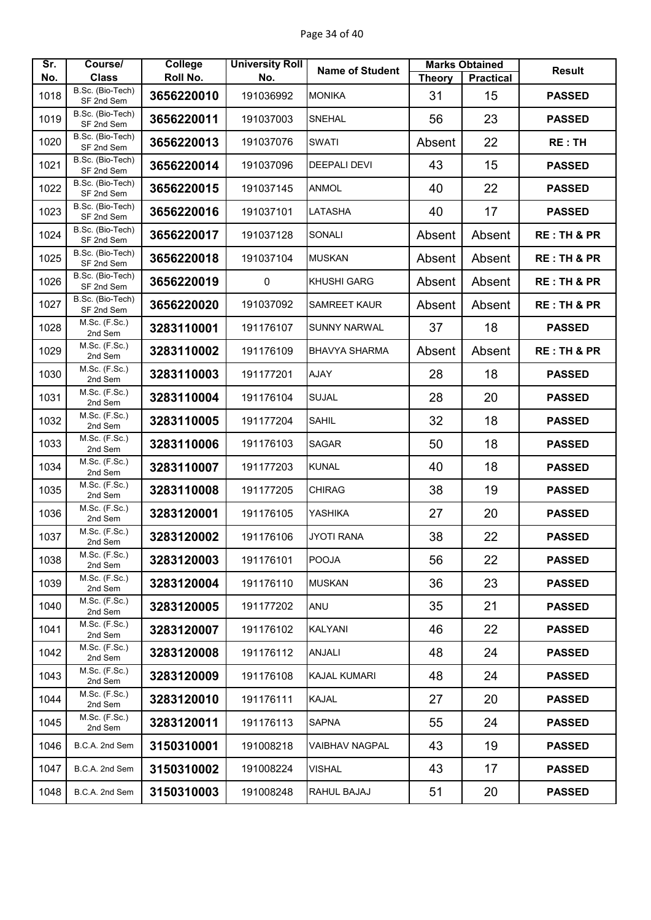| Sr.<br>No. | Course/<br><b>Class</b>                      | College<br>Roll No. | <b>University Roll</b><br>No. | <b>Name of Student</b> | <b>Theory</b> | <b>Marks Obtained</b><br><b>Practical</b> | <b>Result</b>          |
|------------|----------------------------------------------|---------------------|-------------------------------|------------------------|---------------|-------------------------------------------|------------------------|
| 1018       | B.Sc. (Bio-Tech)                             | 3656220010          | 191036992                     | <b>MONIKA</b>          | 31            | 15                                        | <b>PASSED</b>          |
| 1019       | SF 2nd Sem<br>B.Sc. (Bio-Tech)               | 3656220011          | 191037003                     | <b>SNEHAL</b>          | 56            | 23                                        | <b>PASSED</b>          |
| 1020       | SF 2nd Sem<br>B.Sc. (Bio-Tech)               | 3656220013          | 191037076                     | <b>SWATI</b>           | Absent        | 22                                        | <b>RE: TH</b>          |
| 1021       | SF 2nd Sem<br>B.Sc. (Bio-Tech)               | 3656220014          | 191037096                     | <b>DEEPALI DEVI</b>    | 43            | 15                                        | <b>PASSED</b>          |
| 1022       | SF 2nd Sem<br>B.Sc. (Bio-Tech)               | 3656220015          | 191037145                     | <b>ANMOL</b>           | 40            | 22                                        | <b>PASSED</b>          |
| 1023       | SF 2nd Sem<br>B.Sc. (Bio-Tech)<br>SF 2nd Sem | 3656220016          | 191037101                     | LATASHA                | 40            | 17                                        | <b>PASSED</b>          |
| 1024       | B.Sc. (Bio-Tech)<br>SF 2nd Sem               | 3656220017          | 191037128                     | SONALI                 | Absent        | Absent                                    | <b>RE: TH &amp; PR</b> |
| 1025       | B.Sc. (Bio-Tech)<br>SF 2nd Sem               | 3656220018          | 191037104                     | <b>MUSKAN</b>          | Absent        | Absent                                    | <b>RE: TH &amp; PR</b> |
| 1026       | B.Sc. (Bio-Tech)<br>SF 2nd Sem               | 3656220019          | $\Omega$                      | KHUSHI GARG            | Absent        | Absent                                    | <b>RE: TH &amp; PR</b> |
| 1027       | B.Sc. (Bio-Tech)<br>SF 2nd Sem               | 3656220020          | 191037092                     | <b>SAMREET KAUR</b>    | Absent        | Absent                                    | <b>RE: TH &amp; PR</b> |
| 1028       | M.Sc. (F.Sc.)<br>2nd Sem                     | 3283110001          | 191176107                     | <b>SUNNY NARWAL</b>    | 37            | 18                                        | <b>PASSED</b>          |
| 1029       | $M.Sc.$ (F.Sc.)<br>2nd Sem                   | 3283110002          | 191176109                     | <b>BHAVYA SHARMA</b>   | Absent        | Absent                                    | <b>RE: TH &amp; PR</b> |
| 1030       | M.Sc. (F.Sc.)<br>2nd Sem                     | 3283110003          | 191177201                     | <b>AJAY</b>            | 28            | 18                                        | <b>PASSED</b>          |
| 1031       | M.Sc. (F.Sc.)<br>2nd Sem                     | 3283110004          | 191176104                     | <b>SUJAL</b>           | 28            | 20                                        | <b>PASSED</b>          |
| 1032       | M.Sc. (F.Sc.)<br>2nd Sem                     | 3283110005          | 191177204                     | <b>SAHIL</b>           | 32            | 18                                        | <b>PASSED</b>          |
| 1033       | M.Sc. (F.Sc.)<br>2nd Sem                     | 3283110006          | 191176103                     | <b>SAGAR</b>           | 50            | 18                                        | <b>PASSED</b>          |
| 1034       | M.Sc. (F.Sc.)<br>2nd Sem                     | 3283110007          | 191177203                     | <b>KUNAL</b>           | 40            | 18                                        | <b>PASSED</b>          |
| 1035       | M.Sc. (F.Sc.)<br>2nd Sem                     | 3283110008          | 191177205                     | <b>CHIRAG</b>          | 38            | 19                                        | <b>PASSED</b>          |
| 1036       | M.Sc. (F.Sc.)<br>2nd Sem                     | 3283120001          | 191176105                     | YASHIKA                | 27            | 20                                        | <b>PASSED</b>          |
| 1037       | M.Sc. (F.Sc.)<br>2nd Sem                     | 3283120002          | 191176106                     | JYOTI RANA             | 38            | 22                                        | <b>PASSED</b>          |
| 1038       | M.Sc. (F.Sc.)<br>2nd Sem                     | 3283120003          | 191176101                     | <b>POOJA</b>           | 56            | 22                                        | <b>PASSED</b>          |
| 1039       | M.Sc. (F.Sc.)<br>2nd Sem                     | 3283120004          | 191176110                     | <b>MUSKAN</b>          | 36            | 23                                        | <b>PASSED</b>          |
| 1040       | M.Sc. (F.Sc.)<br>2nd Sem                     | 3283120005          | 191177202                     | ANU                    | 35            | 21                                        | <b>PASSED</b>          |
| 1041       | $M.Sc.$ (F.Sc.)<br>2nd Sem                   | 3283120007          | 191176102                     | KALYANI                | 46            | 22                                        | <b>PASSED</b>          |
| 1042       | M.Sc. (F.Sc.)<br>2nd Sem                     | 3283120008          | 191176112                     | ANJALI                 | 48            | 24                                        | <b>PASSED</b>          |
| 1043       | M.Sc. (F.Sc.)<br>2nd Sem                     | 3283120009          | 191176108                     | KAJAL KUMARI           | 48            | 24                                        | <b>PASSED</b>          |
| 1044       | M.Sc. (F.Sc.)<br>2nd Sem                     | 3283120010          | 191176111                     | KAJAL                  | 27            | 20                                        | <b>PASSED</b>          |
| 1045       | M.Sc. (F.Sc.)<br>2nd Sem                     | 3283120011          | 191176113                     | <b>SAPNA</b>           | 55            | 24                                        | <b>PASSED</b>          |
| 1046       | B.C.A. 2nd Sem                               | 3150310001          | 191008218                     | VAIBHAV NAGPAL         | 43            | 19                                        | <b>PASSED</b>          |
| 1047       | B.C.A. 2nd Sem                               | 3150310002          | 191008224                     | VISHAL                 | 43            | 17                                        | <b>PASSED</b>          |
| 1048       | B.C.A. 2nd Sem                               | 3150310003          | 191008248                     | RAHUL BAJAJ            | 51            | 20                                        | <b>PASSED</b>          |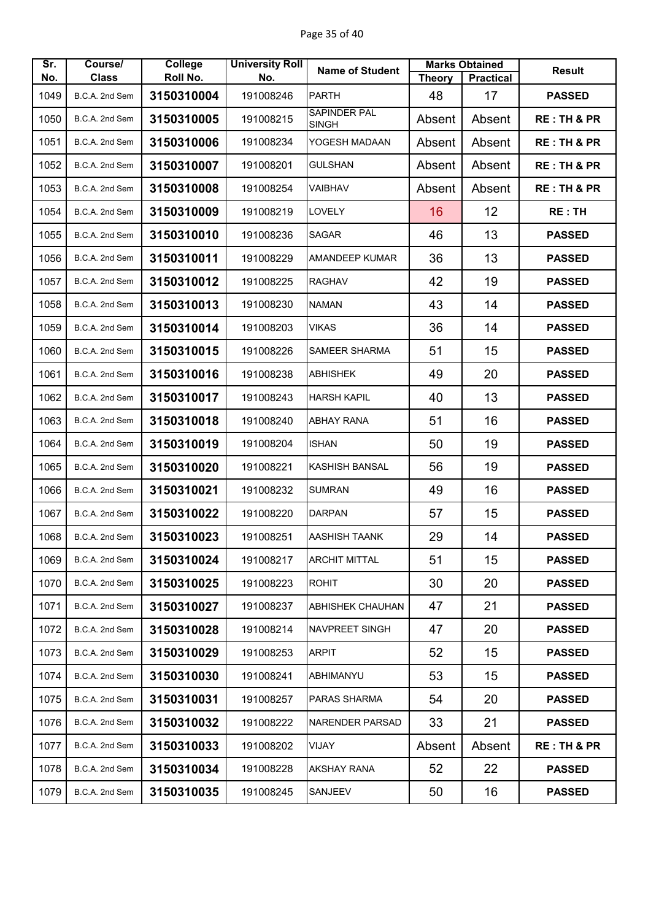| Sr.<br>No. | Course/<br><b>Class</b> | College<br>Roll No. | <b>University Roll</b><br>No. | <b>Name of Student</b>  | <b>Theory</b> | <b>Marks Obtained</b><br><b>Practical</b> | <b>Result</b>          |
|------------|-------------------------|---------------------|-------------------------------|-------------------------|---------------|-------------------------------------------|------------------------|
| 1049       | B.C.A. 2nd Sem          | 3150310004          | 191008246                     | <b>PARTH</b>            | 48            | 17                                        | <b>PASSED</b>          |
| 1050       | B.C.A. 2nd Sem          | 3150310005          | 191008215                     | SAPINDER PAL            | Absent        | Absent                                    | <b>RE: TH &amp; PR</b> |
|            |                         |                     |                               | <b>SINGH</b>            |               |                                           |                        |
| 1051       | B.C.A. 2nd Sem          | 3150310006          | 191008234                     | YOGESH MADAAN           | Absent        | Absent                                    | <b>RE: TH &amp; PR</b> |
| 1052       | B.C.A. 2nd Sem          | 3150310007          | 191008201                     | <b>GULSHAN</b>          | Absent        | Absent                                    | <b>RE: TH &amp; PR</b> |
| 1053       | B.C.A. 2nd Sem          | 3150310008          | 191008254                     | VAIBHAV                 | Absent        | Absent                                    | <b>RE: TH &amp; PR</b> |
| 1054       | B.C.A. 2nd Sem          | 3150310009          | 191008219                     | <b>LOVELY</b>           | 16            | 12                                        | <b>RE:TH</b>           |
| 1055       | B.C.A. 2nd Sem          | 3150310010          | 191008236                     | <b>SAGAR</b>            | 46            | 13                                        | <b>PASSED</b>          |
| 1056       | B.C.A. 2nd Sem          | 3150310011          | 191008229                     | <b>AMANDEEP KUMAR</b>   | 36            | 13                                        | <b>PASSED</b>          |
| 1057       | B.C.A. 2nd Sem          | 3150310012          | 191008225                     | <b>RAGHAV</b>           | 42            | 19                                        | <b>PASSED</b>          |
| 1058       | B.C.A. 2nd Sem          | 3150310013          | 191008230                     | <b>NAMAN</b>            | 43            | 14                                        | <b>PASSED</b>          |
| 1059       | B.C.A. 2nd Sem          | 3150310014          | 191008203                     | VIKAS                   | 36            | 14                                        | <b>PASSED</b>          |
| 1060       | B.C.A. 2nd Sem          | 3150310015          | 191008226                     | SAMEER SHARMA           | 51            | 15                                        | <b>PASSED</b>          |
| 1061       | B.C.A. 2nd Sem          | 3150310016          | 191008238                     | <b>ABHISHEK</b>         | 49            | 20                                        | <b>PASSED</b>          |
| 1062       | B.C.A. 2nd Sem          | 3150310017          | 191008243                     | <b>HARSH KAPIL</b>      | 40            | 13                                        | <b>PASSED</b>          |
| 1063       | B.C.A. 2nd Sem          | 3150310018          | 191008240                     | <b>ABHAY RANA</b>       | 51            | 16                                        | <b>PASSED</b>          |
| 1064       | B.C.A. 2nd Sem          | 3150310019          | 191008204                     | <b>ISHAN</b>            | 50            | 19                                        | <b>PASSED</b>          |
| 1065       | B.C.A. 2nd Sem          | 3150310020          | 191008221                     | <b>KASHISH BANSAL</b>   | 56            | 19                                        | <b>PASSED</b>          |
| 1066       | B.C.A. 2nd Sem          | 3150310021          | 191008232                     | <b>SUMRAN</b>           | 49            | 16                                        | <b>PASSED</b>          |
| 1067       | B.C.A. 2nd Sem          | 3150310022          | 191008220                     | <b>DARPAN</b>           | 57            | 15                                        | <b>PASSED</b>          |
| 1068       | B.C.A. 2nd Sem          | 3150310023          | 191008251                     | <b>AASHISH TAANK</b>    | 29            | 14                                        | <b>PASSED</b>          |
| 1069       | B.C.A. 2nd Sem          | 3150310024          | 191008217                     | <b>ARCHIT MITTAL</b>    | 51            | 15                                        | <b>PASSED</b>          |
| 1070       | B.C.A. 2nd Sem          | 3150310025          | 191008223                     | <b>ROHIT</b>            | 30            | 20                                        | <b>PASSED</b>          |
| 1071       | B.C.A. 2nd Sem          | 3150310027          | 191008237                     | <b>ABHISHEK CHAUHAN</b> | 47            | 21                                        | <b>PASSED</b>          |
| 1072       | B.C.A. 2nd Sem          | 3150310028          | 191008214                     | <b>NAVPREET SINGH</b>   | 47            | 20                                        | <b>PASSED</b>          |
| 1073       | B.C.A. 2nd Sem          | 3150310029          | 191008253                     | <b>ARPIT</b>            | 52            | 15                                        | <b>PASSED</b>          |
| 1074       | B.C.A. 2nd Sem          | 3150310030          | 191008241                     | ABHIMANYU               | 53            | 15                                        | <b>PASSED</b>          |
| 1075       | B.C.A. 2nd Sem          | 3150310031          | 191008257                     | PARAS SHARMA            | 54            | 20                                        | <b>PASSED</b>          |
| 1076       | B.C.A. 2nd Sem          | 3150310032          | 191008222                     | <b>NARENDER PARSAD</b>  | 33            | 21                                        | <b>PASSED</b>          |
| 1077       | B.C.A. 2nd Sem          | 3150310033          | 191008202                     | VIJAY                   | Absent        | Absent                                    | <b>RE: TH &amp; PR</b> |
| 1078       | B.C.A. 2nd Sem          | 3150310034          | 191008228                     | <b>AKSHAY RANA</b>      | 52            | 22                                        | <b>PASSED</b>          |
| 1079       | B.C.A. 2nd Sem          | 3150310035          | 191008245                     | SANJEEV                 | 50            | 16                                        | <b>PASSED</b>          |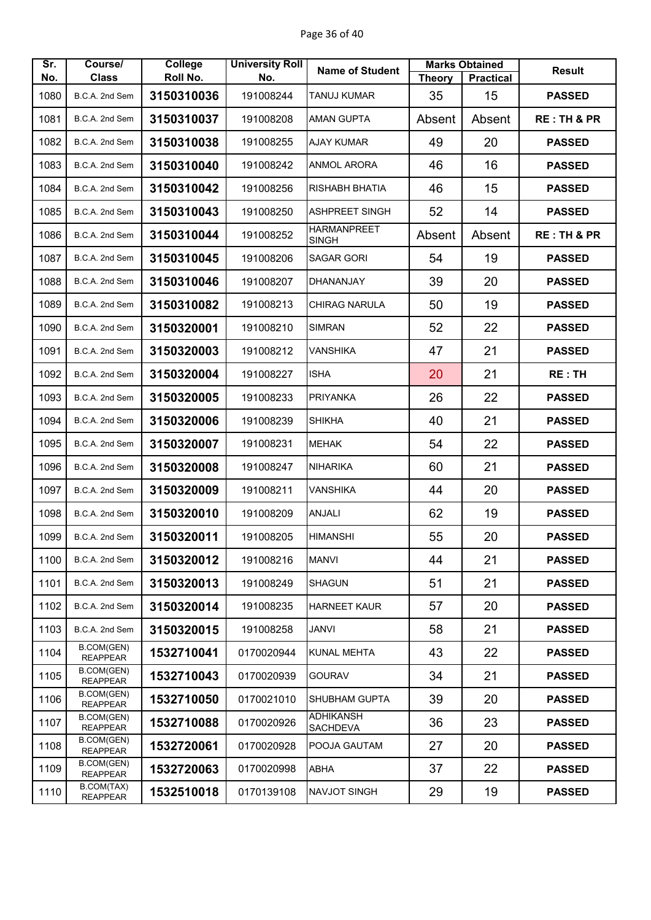| Sr.  | Course/                       | College    | <b>University Roll</b> | <b>Name of Student</b>              |               | <b>Marks Obtained</b> | <b>Result</b>          |
|------|-------------------------------|------------|------------------------|-------------------------------------|---------------|-----------------------|------------------------|
| No.  | <b>Class</b>                  | Roll No.   | No.                    |                                     | <b>Theory</b> | <b>Practical</b>      |                        |
| 1080 | B.C.A. 2nd Sem                | 3150310036 | 191008244              | <b>TANUJ KUMAR</b>                  | 35            | 15                    | <b>PASSED</b>          |
| 1081 | B.C.A. 2nd Sem                | 3150310037 | 191008208              | <b>AMAN GUPTA</b>                   | Absent        | Absent                | <b>RE: TH &amp; PR</b> |
| 1082 | B.C.A. 2nd Sem                | 3150310038 | 191008255              | <b>AJAY KUMAR</b>                   | 49            | 20                    | <b>PASSED</b>          |
| 1083 | B.C.A. 2nd Sem                | 3150310040 | 191008242              | ANMOL ARORA                         | 46            | 16                    | <b>PASSED</b>          |
| 1084 | B.C.A. 2nd Sem                | 3150310042 | 191008256              | RISHABH BHATIA                      | 46            | 15                    | <b>PASSED</b>          |
| 1085 | B.C.A. 2nd Sem                | 3150310043 | 191008250              | <b>ASHPREET SINGH</b>               | 52            | 14                    | <b>PASSED</b>          |
| 1086 | B.C.A. 2nd Sem                | 3150310044 | 191008252              | <b>HARMANPREET</b><br><b>SINGH</b>  | Absent        | Absent                | <b>RE: TH &amp; PR</b> |
| 1087 | B.C.A. 2nd Sem                | 3150310045 | 191008206              | <b>SAGAR GORI</b>                   | 54            | 19                    | <b>PASSED</b>          |
| 1088 | B.C.A. 2nd Sem                | 3150310046 | 191008207              | DHANANJAY                           | 39            | 20                    | <b>PASSED</b>          |
| 1089 | B.C.A. 2nd Sem                | 3150310082 | 191008213              | <b>CHIRAG NARULA</b>                | 50            | 19                    | <b>PASSED</b>          |
| 1090 | B.C.A. 2nd Sem                | 3150320001 | 191008210              | <b>SIMRAN</b>                       | 52            | 22                    | <b>PASSED</b>          |
| 1091 | B.C.A. 2nd Sem                | 3150320003 | 191008212              | <b>VANSHIKA</b>                     | 47            | 21                    | <b>PASSED</b>          |
| 1092 | B.C.A. 2nd Sem                | 3150320004 | 191008227              | <b>ISHA</b>                         | 20            | 21                    | <b>RE: TH</b>          |
| 1093 | B.C.A. 2nd Sem                | 3150320005 | 191008233              | <b>PRIYANKA</b>                     | 26            | 22                    | <b>PASSED</b>          |
| 1094 | B.C.A. 2nd Sem                | 3150320006 | 191008239              | <b>SHIKHA</b>                       | 40            | 21                    | <b>PASSED</b>          |
| 1095 | B.C.A. 2nd Sem                | 3150320007 | 191008231              | <b>MEHAK</b>                        | 54            | 22                    | <b>PASSED</b>          |
| 1096 | B.C.A. 2nd Sem                | 3150320008 | 191008247              | <b>NIHARIKA</b>                     | 60            | 21                    | <b>PASSED</b>          |
| 1097 | B.C.A. 2nd Sem                | 3150320009 | 191008211              | VANSHIKA                            | 44            | 20                    | <b>PASSED</b>          |
| 1098 | B.C.A. 2nd Sem                | 3150320010 | 191008209              | <b>ANJALI</b>                       | 62            | 19                    | <b>PASSED</b>          |
| 1099 | B.C.A. 2nd Sem                | 3150320011 | 191008205              | <b>HIMANSHI</b>                     | 55            | 20                    | <b>PASSED</b>          |
| 1100 | B.C.A. 2nd Sem                | 3150320012 | 191008216              | <b>MANVI</b>                        | 44            | 21                    | <b>PASSED</b>          |
| 1101 | B.C.A. 2nd Sem                | 3150320013 | 191008249              | <b>SHAGUN</b>                       | 51            | 21                    | <b>PASSED</b>          |
| 1102 | B.C.A. 2nd Sem                | 3150320014 | 191008235              | <b>HARNEET KAUR</b>                 | 57            | 20                    | <b>PASSED</b>          |
| 1103 | B.C.A. 2nd Sem                | 3150320015 | 191008258              | <b>JANVI</b>                        | 58            | 21                    | <b>PASSED</b>          |
| 1104 | B.COM(GEN)<br><b>REAPPEAR</b> | 1532710041 | 0170020944             | <b>KUNAL MEHTA</b>                  | 43            | 22                    | <b>PASSED</b>          |
| 1105 | B.COM(GEN)<br><b>REAPPEAR</b> | 1532710043 | 0170020939             | <b>GOURAV</b>                       | 34            | 21                    | <b>PASSED</b>          |
| 1106 | B.COM(GEN)<br><b>REAPPEAR</b> | 1532710050 | 0170021010             | <b>SHUBHAM GUPTA</b>                | 39            | 20                    | <b>PASSED</b>          |
| 1107 | B.COM(GEN)<br><b>REAPPEAR</b> | 1532710088 | 0170020926             | <b>ADHIKANSH</b><br><b>SACHDEVA</b> | 36            | 23                    | <b>PASSED</b>          |
| 1108 | B.COM(GEN)<br><b>REAPPEAR</b> | 1532720061 | 0170020928             | POOJA GAUTAM                        | 27            | 20                    | <b>PASSED</b>          |
| 1109 | B.COM(GEN)<br><b>REAPPEAR</b> | 1532720063 | 0170020998             | ABHA                                | 37            | 22                    | <b>PASSED</b>          |
| 1110 | B.COM(TAX)<br><b>REAPPEAR</b> | 1532510018 | 0170139108             | NAVJOT SINGH                        | 29            | 19                    | <b>PASSED</b>          |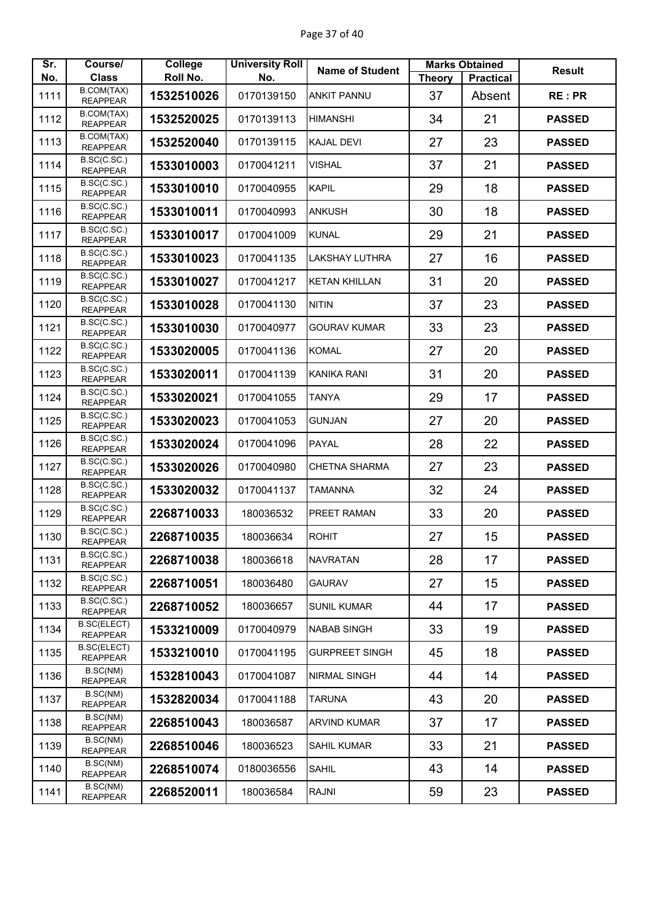| Sr.<br>No. | Course/<br><b>Class</b>               | College<br>Roll No. | <b>University Roll</b><br>No. | <b>Name of Student</b> | <b>Theory</b> | <b>Marks Obtained</b><br><b>Practical</b> | <b>Result</b> |
|------------|---------------------------------------|---------------------|-------------------------------|------------------------|---------------|-------------------------------------------|---------------|
| 1111       | B.COM(TAX)                            | 1532510026          | 0170139150                    | <b>ANKIT PANNU</b>     | 37            | Absent                                    | <b>RE:PR</b>  |
|            | <b>REAPPEAR</b><br>B.COM(TAX)         |                     |                               |                        |               |                                           |               |
| 1112       | <b>REAPPEAR</b><br>B.COM(TAX)         | 1532520025          | 0170139113                    | <b>HIMANSHI</b>        | 34            | 21                                        | <b>PASSED</b> |
| 1113       | <b>REAPPEAR</b>                       | 1532520040          | 0170139115                    | <b>KAJAL DEVI</b>      | 27            | 23                                        | <b>PASSED</b> |
| 1114       | B.SC(C.SC.)<br><b>REAPPEAR</b>        | 1533010003          | 0170041211                    | <b>VISHAL</b>          | 37            | 21                                        | <b>PASSED</b> |
| 1115       | B.SC(C.SC.)<br><b>REAPPEAR</b>        | 1533010010          | 0170040955                    | <b>KAPIL</b>           | 29            | 18                                        | <b>PASSED</b> |
| 1116       | B.SC(C.SC.)<br><b>REAPPEAR</b>        | 1533010011          | 0170040993                    | <b>ANKUSH</b>          | 30            | 18                                        | <b>PASSED</b> |
| 1117       | B.SC(C.SC.)<br><b>REAPPEAR</b>        | 1533010017          | 0170041009                    | <b>KUNAL</b>           | 29            | 21                                        | <b>PASSED</b> |
| 1118       | B.SC(C.SC.)<br><b>REAPPEAR</b>        | 1533010023          | 0170041135                    | <b>LAKSHAY LUTHRA</b>  | 27            | 16                                        | <b>PASSED</b> |
| 1119       | B.SC(C.SC.)<br><b>REAPPEAR</b>        | 1533010027          | 0170041217                    | <b>KETAN KHILLAN</b>   | 31            | 20                                        | <b>PASSED</b> |
| 1120       | B.SC(C.SC.)<br><b>REAPPEAR</b>        | 1533010028          | 0170041130                    | <b>NITIN</b>           | 37            | 23                                        | <b>PASSED</b> |
| 1121       | B.SC(C.SC.)<br><b>REAPPEAR</b>        | 1533010030          | 0170040977                    | <b>GOURAV KUMAR</b>    | 33            | 23                                        | <b>PASSED</b> |
| 1122       | B.SC(C.SC.)<br><b>REAPPEAR</b>        | 1533020005          | 0170041136                    | <b>KOMAL</b>           | 27            | 20                                        | <b>PASSED</b> |
| 1123       | B.SC(C.SC.)<br><b>REAPPEAR</b>        | 1533020011          | 0170041139                    | KANIKA RANI            | 31            | 20                                        | <b>PASSED</b> |
| 1124       | B.SC(C.SC.)<br><b>REAPPEAR</b>        | 1533020021          | 0170041055                    | <b>TANYA</b>           | 29            | 17                                        | <b>PASSED</b> |
| 1125       | B.SC(C.SC.)<br><b>REAPPEAR</b>        | 1533020023          | 0170041053                    | <b>GUNJAN</b>          | 27            | 20                                        | <b>PASSED</b> |
| 1126       | B.SC(C.SC.)<br><b>REAPPEAR</b>        | 1533020024          | 0170041096                    | PAYAL                  | 28            | 22                                        | <b>PASSED</b> |
| 1127       | B.SC(C.SC.)<br><b>REAPPEAR</b>        | 1533020026          | 0170040980                    | <b>CHETNA SHARMA</b>   | 27            | 23                                        | <b>PASSED</b> |
| 1128       | B.SC(C.SC.)<br><b>REAPPEAR</b>        | 1533020032          | 0170041137                    | <b>TAMANNA</b>         | 32            | 24                                        | <b>PASSED</b> |
| 1129       | B.SC(C.SC.)<br><b>REAPPEAR</b>        | 2268710033          | 180036532                     | <b>PREET RAMAN</b>     | 33            | 20                                        | <b>PASSED</b> |
| 1130       | B.SC(C.SC.)<br><b>REAPPEAR</b>        | 2268710035          | 180036634                     | <b>ROHIT</b>           | 27            | 15                                        | <b>PASSED</b> |
| 1131       | B.SC(C.SC.)<br><b>REAPPEAR</b>        | 2268710038          | 180036618                     | <b>NAVRATAN</b>        | 28            | 17                                        | <b>PASSED</b> |
| 1132       | B.SC(C.SC.)<br><b>REAPPEAR</b>        | 2268710051          | 180036480                     | <b>GAURAV</b>          | 27            | 15                                        | <b>PASSED</b> |
| 1133       | B.SC(C.SC.)<br><b>REAPPEAR</b>        | 2268710052          | 180036657                     | <b>SUNIL KUMAR</b>     | 44            | 17                                        | <b>PASSED</b> |
| 1134       | <b>B.SC(ELECT)</b><br><b>REAPPEAR</b> | 1533210009          | 0170040979                    | <b>NABAB SINGH</b>     | 33            | 19                                        | <b>PASSED</b> |
| 1135       | <b>B.SC(ELECT)</b><br><b>REAPPEAR</b> | 1533210010          | 0170041195                    | <b>GURPREET SINGH</b>  | 45            | 18                                        | <b>PASSED</b> |
| 1136       | B.SC(NM)<br><b>REAPPEAR</b>           | 1532810043          | 0170041087                    | <b>NIRMAL SINGH</b>    | 44            | 14                                        | <b>PASSED</b> |
| 1137       | B.SC(NM)<br><b>REAPPEAR</b>           | 1532820034          | 0170041188                    | <b>TARUNA</b>          | 43            | 20                                        | <b>PASSED</b> |
| 1138       | B.SC(NM)<br><b>REAPPEAR</b>           | 2268510043          | 180036587                     | <b>ARVIND KUMAR</b>    | 37            | 17                                        | <b>PASSED</b> |
| 1139       | B.SC(NM)<br><b>REAPPEAR</b>           | 2268510046          | 180036523                     | <b>SAHIL KUMAR</b>     | 33            | 21                                        | <b>PASSED</b> |
| 1140       | B.SC(NM)<br><b>REAPPEAR</b>           | 2268510074          | 0180036556                    | <b>SAHIL</b>           | 43            | 14                                        | <b>PASSED</b> |
| 1141       | B.SC(NM)<br><b>REAPPEAR</b>           | 2268520011          | 180036584                     | <b>RAJNI</b>           | 59            | 23                                        | <b>PASSED</b> |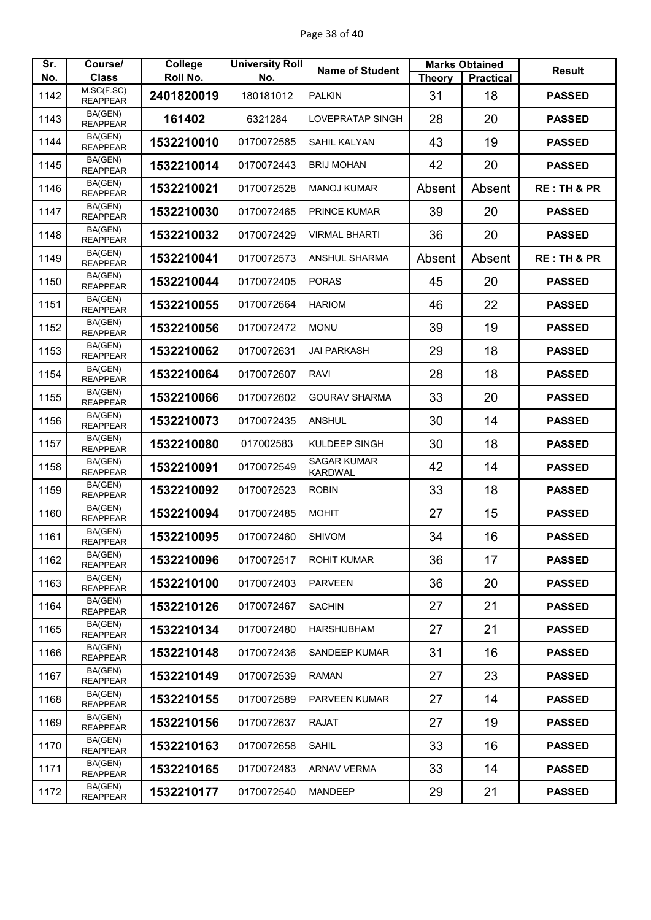| Sr.  | Course/                       | College    | <b>University Roll</b> | <b>Name of Student</b>               | <b>Marks Obtained</b> |                  | <b>Result</b>          |
|------|-------------------------------|------------|------------------------|--------------------------------------|-----------------------|------------------|------------------------|
| No.  | <b>Class</b>                  | Roll No.   | No.                    |                                      | <b>Theory</b>         | <b>Practical</b> |                        |
| 1142 | M.SC(F.SC)<br><b>REAPPEAR</b> | 2401820019 | 180181012              | <b>PALKIN</b>                        | 31                    | 18               | <b>PASSED</b>          |
| 1143 | BA(GEN)<br><b>REAPPEAR</b>    | 161402     | 6321284                | <b>LOVEPRATAP SINGH</b>              | 28                    | 20               | <b>PASSED</b>          |
| 1144 | BA(GEN)<br><b>REAPPEAR</b>    | 1532210010 | 0170072585             | SAHIL KALYAN                         | 43                    | 19               | <b>PASSED</b>          |
| 1145 | BA(GEN)<br><b>REAPPEAR</b>    | 1532210014 | 0170072443             | <b>BRIJ MOHAN</b>                    | 42                    | 20               | <b>PASSED</b>          |
| 1146 | BA(GEN)<br><b>REAPPEAR</b>    | 1532210021 | 0170072528             | <b>MANOJ KUMAR</b>                   | Absent                | Absent           | <b>RE: TH &amp; PR</b> |
| 1147 | BA(GEN)<br><b>REAPPEAR</b>    | 1532210030 | 0170072465             | <b>PRINCE KUMAR</b>                  | 39                    | 20               | <b>PASSED</b>          |
| 1148 | BA(GEN)<br><b>REAPPEAR</b>    | 1532210032 | 0170072429             | <b>VIRMAL BHARTI</b>                 | 36                    | 20               | <b>PASSED</b>          |
| 1149 | BA(GEN)<br><b>REAPPEAR</b>    | 1532210041 | 0170072573             | <b>ANSHUL SHARMA</b>                 | Absent                | Absent           | <b>RE: TH &amp; PR</b> |
| 1150 | BA(GEN)<br><b>REAPPEAR</b>    | 1532210044 | 0170072405             | <b>PORAS</b>                         | 45                    | 20               | <b>PASSED</b>          |
| 1151 | BA(GEN)<br><b>REAPPEAR</b>    | 1532210055 | 0170072664             | <b>HARIOM</b>                        | 46                    | 22               | <b>PASSED</b>          |
| 1152 | BA(GEN)<br><b>REAPPEAR</b>    | 1532210056 | 0170072472             | <b>MONU</b>                          | 39                    | 19               | <b>PASSED</b>          |
| 1153 | BA(GEN)<br><b>REAPPEAR</b>    | 1532210062 | 0170072631             | <b>JAI PARKASH</b>                   | 29                    | 18               | <b>PASSED</b>          |
| 1154 | BA(GEN)<br><b>REAPPEAR</b>    | 1532210064 | 0170072607             | <b>RAVI</b>                          | 28                    | 18               | <b>PASSED</b>          |
| 1155 | BA(GEN)<br><b>REAPPEAR</b>    | 1532210066 | 0170072602             | <b>GOURAV SHARMA</b>                 | 33                    | 20               | <b>PASSED</b>          |
| 1156 | BA(GEN)<br><b>REAPPEAR</b>    | 1532210073 | 0170072435             | <b>ANSHUL</b>                        | 30                    | 14               | <b>PASSED</b>          |
| 1157 | BA(GEN)<br><b>REAPPEAR</b>    | 1532210080 | 017002583              | <b>KULDEEP SINGH</b>                 | 30                    | 18               | <b>PASSED</b>          |
| 1158 | BA(GEN)<br><b>REAPPEAR</b>    | 1532210091 | 0170072549             | <b>SAGAR KUMAR</b><br><b>KARDWAL</b> | 42                    | 14               | <b>PASSED</b>          |
| 1159 | BA(GEN)<br><b>REAPPEAR</b>    | 1532210092 | 0170072523             | <b>ROBIN</b>                         | 33                    | 18               | <b>PASSED</b>          |
| 1160 | BA(GEN)<br><b>REAPPEAR</b>    | 1532210094 | 0170072485             | <b>MOHIT</b>                         | 27                    | 15               | <b>PASSED</b>          |
| 1161 | BA(GEN)<br><b>REAPPEAR</b>    | 1532210095 | 0170072460             | <b>SHIVOM</b>                        | 34                    | 16               | <b>PASSED</b>          |
| 1162 | BA(GEN)<br><b>REAPPEAR</b>    | 1532210096 | 0170072517             | <b>ROHIT KUMAR</b>                   | 36                    | 17               | <b>PASSED</b>          |
| 1163 | BA(GEN)<br><b>REAPPEAR</b>    | 1532210100 | 0170072403             | <b>PARVEEN</b>                       | 36                    | 20               | <b>PASSED</b>          |
| 1164 | BA(GEN)<br><b>REAPPEAR</b>    | 1532210126 | 0170072467             | <b>SACHIN</b>                        | 27                    | 21               | <b>PASSED</b>          |
| 1165 | BA(GEN)<br><b>REAPPEAR</b>    | 1532210134 | 0170072480             | <b>HARSHUBHAM</b>                    | 27                    | 21               | <b>PASSED</b>          |
| 1166 | BA(GEN)<br><b>REAPPEAR</b>    | 1532210148 | 0170072436             | <b>SANDEEP KUMAR</b>                 | 31                    | 16               | <b>PASSED</b>          |
| 1167 | BA(GEN)<br><b>REAPPEAR</b>    | 1532210149 | 0170072539             | <b>RAMAN</b>                         | 27                    | 23               | <b>PASSED</b>          |
| 1168 | BA(GEN)<br><b>REAPPEAR</b>    | 1532210155 | 0170072589             | <b>PARVEEN KUMAR</b>                 | 27                    | 14               | <b>PASSED</b>          |
| 1169 | BA(GEN)<br><b>REAPPEAR</b>    | 1532210156 | 0170072637             | <b>RAJAT</b>                         | 27                    | 19               | <b>PASSED</b>          |
| 1170 | BA(GEN)<br><b>REAPPEAR</b>    | 1532210163 | 0170072658             | <b>SAHIL</b>                         | 33                    | 16               | <b>PASSED</b>          |
| 1171 | BA(GEN)<br><b>REAPPEAR</b>    | 1532210165 | 0170072483             | <b>ARNAV VERMA</b>                   | 33                    | 14               | <b>PASSED</b>          |
| 1172 | BA(GEN)<br><b>REAPPEAR</b>    | 1532210177 | 0170072540             | <b>MANDEEP</b>                       | 29                    | 21               | <b>PASSED</b>          |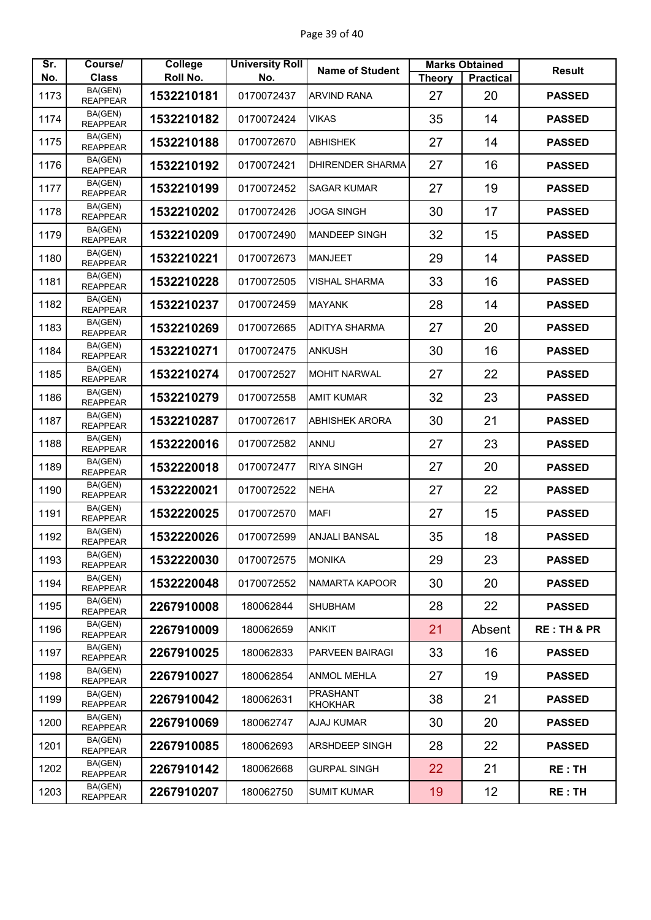| Sr.  | Course/                    | College    | <b>University Roll</b> | <b>Name of Student</b>            | <b>Marks Obtained</b> |                  | <b>Result</b> |
|------|----------------------------|------------|------------------------|-----------------------------------|-----------------------|------------------|---------------|
| No.  | <b>Class</b><br>BA(GEN)    | Roll No.   | No.                    |                                   | <b>Theory</b>         | <b>Practical</b> |               |
| 1173 | <b>REAPPEAR</b>            | 1532210181 | 0170072437             | <b>ARVIND RANA</b>                | 27                    | 20               | <b>PASSED</b> |
| 1174 | BA(GEN)<br><b>REAPPEAR</b> | 1532210182 | 0170072424             | <b>VIKAS</b>                      | 35                    | 14               | <b>PASSED</b> |
| 1175 | BA(GEN)<br><b>REAPPEAR</b> | 1532210188 | 0170072670             | <b>ABHISHEK</b>                   | 27                    | 14               | <b>PASSED</b> |
| 1176 | BA(GEN)<br><b>REAPPEAR</b> | 1532210192 | 0170072421             | <b>DHIRENDER SHARMA</b>           | 27                    | 16               | <b>PASSED</b> |
| 1177 | BA(GEN)<br><b>REAPPEAR</b> | 1532210199 | 0170072452             | <b>SAGAR KUMAR</b>                | 27                    | 19               | <b>PASSED</b> |
| 1178 | BA(GEN)<br><b>REAPPEAR</b> | 1532210202 | 0170072426             | <b>JOGA SINGH</b>                 | 30                    | 17               | <b>PASSED</b> |
| 1179 | BA(GEN)<br><b>REAPPEAR</b> | 1532210209 | 0170072490             | <b>MANDEEP SINGH</b>              | 32                    | 15               | <b>PASSED</b> |
| 1180 | BA(GEN)<br><b>REAPPEAR</b> | 1532210221 | 0170072673             | <b>MANJEET</b>                    | 29                    | 14               | <b>PASSED</b> |
| 1181 | BA(GEN)<br><b>REAPPEAR</b> | 1532210228 | 0170072505             | <b>VISHAL SHARMA</b>              | 33                    | 16               | <b>PASSED</b> |
| 1182 | BA(GEN)<br><b>REAPPEAR</b> | 1532210237 | 0170072459             | <b>MAYANK</b>                     | 28                    | 14               | <b>PASSED</b> |
| 1183 | BA(GEN)<br><b>REAPPEAR</b> | 1532210269 | 0170072665             | <b>ADITYA SHARMA</b>              | 27                    | 20               | <b>PASSED</b> |
| 1184 | BA(GEN)<br><b>REAPPEAR</b> | 1532210271 | 0170072475             | <b>ANKUSH</b>                     | 30                    | 16               | <b>PASSED</b> |
| 1185 | BA(GEN)<br><b>REAPPEAR</b> | 1532210274 | 0170072527             | <b>IMOHIT NARWAL</b>              | 27                    | 22               | <b>PASSED</b> |
| 1186 | BA(GEN)<br><b>REAPPEAR</b> | 1532210279 | 0170072558             | <b>AMIT KUMAR</b>                 | 32                    | 23               | <b>PASSED</b> |
| 1187 | BA(GEN)<br><b>REAPPEAR</b> | 1532210287 | 0170072617             | <b>ABHISHEK ARORA</b>             | 30                    | 21               | <b>PASSED</b> |
| 1188 | BA(GEN)<br><b>REAPPEAR</b> | 1532220016 | 0170072582             | ANNU                              | 27                    | 23               | <b>PASSED</b> |
| 1189 | BA(GEN)<br><b>REAPPEAR</b> | 1532220018 | 0170072477             | <b>RIYA SINGH</b>                 | 27                    | 20               | <b>PASSED</b> |
| 1190 | BA(GEN)<br><b>REAPPEAR</b> | 1532220021 | 0170072522             | <b>NEHA</b>                       | 27                    | 22               | <b>PASSED</b> |
| 1191 | BA(GEN)<br><b>REAPPEAR</b> | 1532220025 | 0170072570             | <b>MAFI</b>                       | 27                    | 15               | <b>PASSED</b> |
| 1192 | BA(GEN)<br><b>REAPPEAR</b> | 1532220026 | 0170072599             | <b>ANJALI BANSAL</b>              | 35                    | 18               | <b>PASSED</b> |
| 1193 | BA(GEN)<br><b>REAPPEAR</b> | 1532220030 | 0170072575             | <b>MONIKA</b>                     | 29                    | 23               | <b>PASSED</b> |
| 1194 | BA(GEN)<br><b>REAPPEAR</b> | 1532220048 | 0170072552             | NAMARTA KAPOOR                    | 30                    | 20               | <b>PASSED</b> |
| 1195 | BA(GEN)<br><b>REAPPEAR</b> | 2267910008 | 180062844              | <b>SHUBHAM</b>                    | 28                    | 22               | <b>PASSED</b> |
| 1196 | BA(GEN)<br><b>REAPPEAR</b> | 2267910009 | 180062659              | <b>ANKIT</b>                      | 21                    | Absent           | RE:TH&PR      |
| 1197 | BA(GEN)<br><b>REAPPEAR</b> | 2267910025 | 180062833              | <b>PARVEEN BAIRAGI</b>            | 33                    | 16               | <b>PASSED</b> |
| 1198 | BA(GEN)<br><b>REAPPEAR</b> | 2267910027 | 180062854              | <b>ANMOL MEHLA</b>                | 27                    | 19               | <b>PASSED</b> |
| 1199 | BA(GEN)<br><b>REAPPEAR</b> | 2267910042 | 180062631              | <b>PRASHANT</b><br><b>KHOKHAR</b> | 38                    | 21               | <b>PASSED</b> |
| 1200 | BA(GEN)<br><b>REAPPEAR</b> | 2267910069 | 180062747              | <b>AJAJ KUMAR</b>                 | 30                    | 20               | <b>PASSED</b> |
| 1201 | BA(GEN)<br><b>REAPPEAR</b> | 2267910085 | 180062693              | ARSHDEEP SINGH                    | 28                    | 22               | <b>PASSED</b> |
| 1202 | BA(GEN)<br><b>REAPPEAR</b> | 2267910142 | 180062668              | <b>GURPAL SINGH</b>               | 22                    | 21               | <b>RE: TH</b> |
| 1203 | BA(GEN)<br><b>REAPPEAR</b> | 2267910207 | 180062750              | <b>SUMIT KUMAR</b>                | 19                    | 12               | RE: TH        |